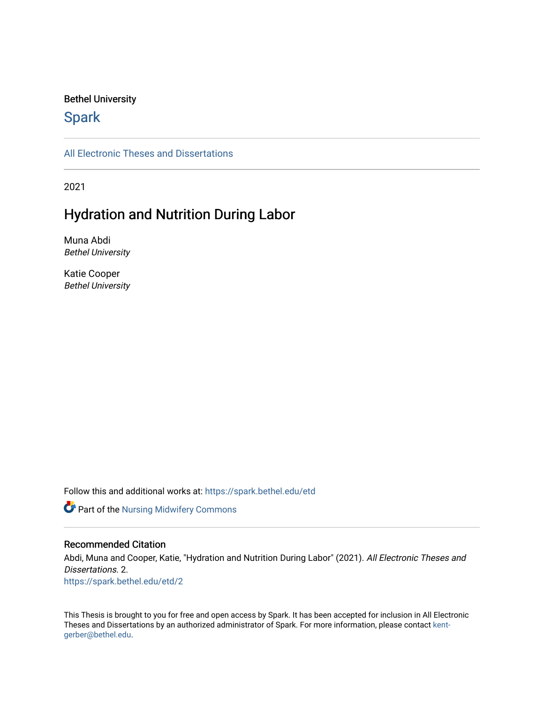#### Bethel University

## **Spark**

[All Electronic Theses and Dissertations](https://spark.bethel.edu/etd) 

2021

## Hydration and Nutrition During Labor

Muna Abdi Bethel University

Katie Cooper Bethel University

Follow this and additional works at: [https://spark.bethel.edu/etd](https://spark.bethel.edu/etd?utm_source=spark.bethel.edu%2Fetd%2F2&utm_medium=PDF&utm_campaign=PDFCoverPages)

Part of the [Nursing Midwifery Commons](http://network.bepress.com/hgg/discipline/722?utm_source=spark.bethel.edu%2Fetd%2F2&utm_medium=PDF&utm_campaign=PDFCoverPages) 

#### Recommended Citation

Abdi, Muna and Cooper, Katie, "Hydration and Nutrition During Labor" (2021). All Electronic Theses and Dissertations. 2. [https://spark.bethel.edu/etd/2](https://spark.bethel.edu/etd/2?utm_source=spark.bethel.edu%2Fetd%2F2&utm_medium=PDF&utm_campaign=PDFCoverPages)

This Thesis is brought to you for free and open access by Spark. It has been accepted for inclusion in All Electronic Theses and Dissertations by an authorized administrator of Spark. For more information, please contact [kent](mailto:kent-gerber@bethel.edu)[gerber@bethel.edu.](mailto:kent-gerber@bethel.edu)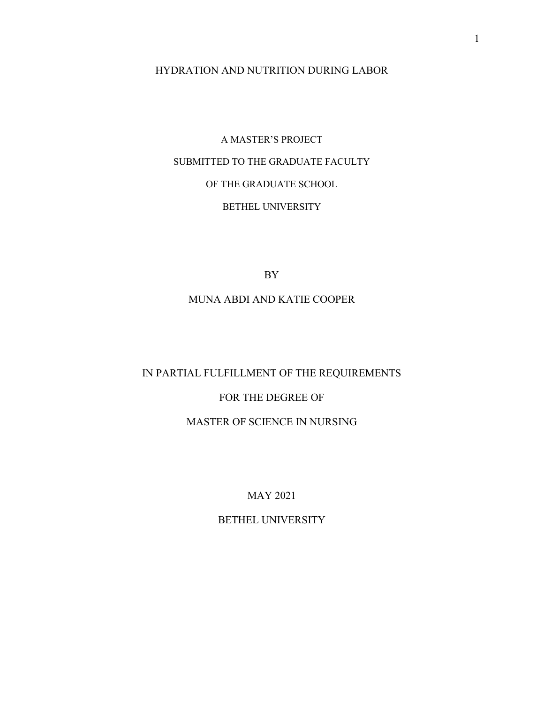### HYDRATION AND NUTRITION DURING LABOR

# A MASTER'S PROJECT SUBMITTED TO THE GRADUATE FACULTY OF THE GRADUATE SCHOOL BETHEL UNIVERSITY

BY

### MUNA ABDI AND KATIE COOPER

## IN PARTIAL FULFILLMENT OF THE REQUIREMENTS

## FOR THE DEGREE OF

### MASTER OF SCIENCE IN NURSING

## MAY 2021

## BETHEL UNIVERSITY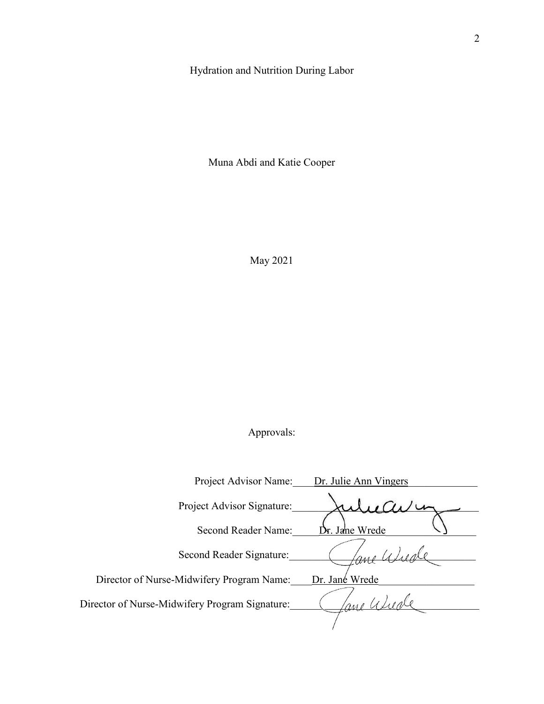## Hydration and Nutrition During Labor

Muna Abdi and Katie Cooper

May 2021

## Approvals:

| Project Advisor Name:                          | Dr. Julie Ann Vingers |
|------------------------------------------------|-----------------------|
| Project Advisor Signature:                     |                       |
| <b>Second Reader Name:</b>                     | Dr. Jane Wrede        |
| Second Reader Signature:                       |                       |
| Director of Nurse-Midwifery Program Name:      | Dr. Jané Wrede        |
| Director of Nurse-Midwifery Program Signature: |                       |
|                                                |                       |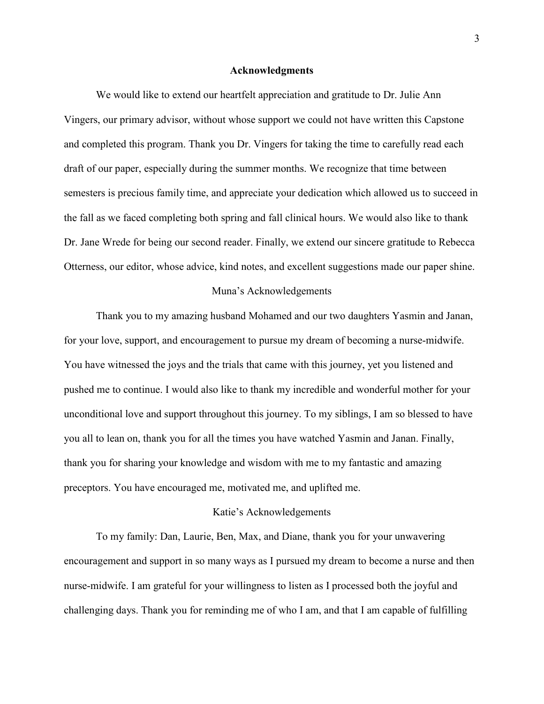#### **Acknowledgments**

We would like to extend our heartfelt appreciation and gratitude to Dr. Julie Ann Vingers, our primary advisor, without whose support we could not have written this Capstone and completed this program. Thank you Dr. Vingers for taking the time to carefully read each draft of our paper, especially during the summer months. We recognize that time between semesters is precious family time, and appreciate your dedication which allowed us to succeed in the fall as we faced completing both spring and fall clinical hours. We would also like to thank Dr. Jane Wrede for being our second reader. Finally, we extend our sincere gratitude to Rebecca Otterness, our editor, whose advice, kind notes, and excellent suggestions made our paper shine.

#### Muna's Acknowledgements

Thank you to my amazing husband Mohamed and our two daughters Yasmin and Janan, for your love, support, and encouragement to pursue my dream of becoming a nurse-midwife. You have witnessed the joys and the trials that came with this journey, yet you listened and pushed me to continue. I would also like to thank my incredible and wonderful mother for your unconditional love and support throughout this journey. To my siblings, I am so blessed to have you all to lean on, thank you for all the times you have watched Yasmin and Janan. Finally, thank you for sharing your knowledge and wisdom with me to my fantastic and amazing preceptors. You have encouraged me, motivated me, and uplifted me.

#### Katie's Acknowledgements

 To my family: Dan, Laurie, Ben, Max, and Diane, thank you for your unwavering encouragement and support in so many ways as I pursued my dream to become a nurse and then nurse-midwife. I am grateful for your willingness to listen as I processed both the joyful and challenging days. Thank you for reminding me of who I am, and that I am capable of fulfilling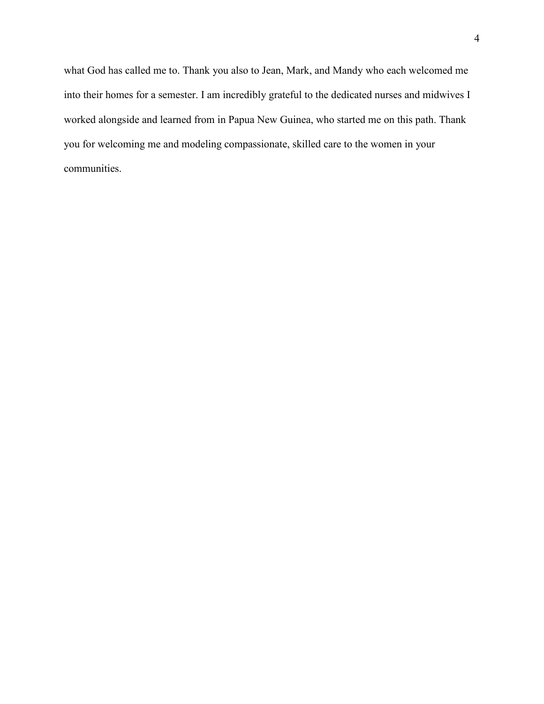what God has called me to. Thank you also to Jean, Mark, and Mandy who each welcomed me into their homes for a semester. I am incredibly grateful to the dedicated nurses and midwives I worked alongside and learned from in Papua New Guinea, who started me on this path. Thank you for welcoming me and modeling compassionate, skilled care to the women in your communities.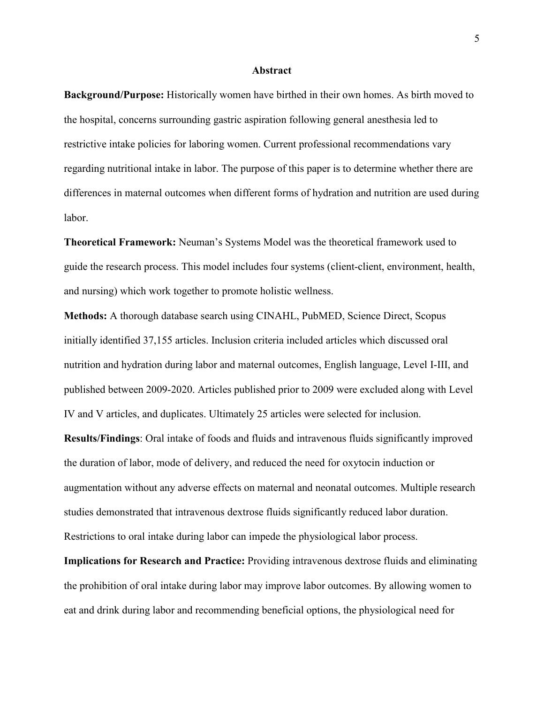#### **Abstract**

**Background/Purpose:** Historically women have birthed in their own homes. As birth moved to the hospital, concerns surrounding gastric aspiration following general anesthesia led to restrictive intake policies for laboring women. Current professional recommendations vary regarding nutritional intake in labor. The purpose of this paper is to determine whether there are differences in maternal outcomes when different forms of hydration and nutrition are used during labor.

**Theoretical Framework:** Neuman's Systems Model was the theoretical framework used to guide the research process. This model includes four systems (client-client, environment, health, and nursing) which work together to promote holistic wellness.

**Methods:** A thorough database search using CINAHL, PubMED, Science Direct, Scopus initially identified 37,155 articles. Inclusion criteria included articles which discussed oral nutrition and hydration during labor and maternal outcomes, English language, Level I-III, and published between 2009-2020. Articles published prior to 2009 were excluded along with Level IV and V articles, and duplicates. Ultimately 25 articles were selected for inclusion.

**Results/Findings**: Oral intake of foods and fluids and intravenous fluids significantly improved the duration of labor, mode of delivery, and reduced the need for oxytocin induction or augmentation without any adverse effects on maternal and neonatal outcomes. Multiple research studies demonstrated that intravenous dextrose fluids significantly reduced labor duration. Restrictions to oral intake during labor can impede the physiological labor process.

**Implications for Research and Practice:** Providing intravenous dextrose fluids and eliminating the prohibition of oral intake during labor may improve labor outcomes. By allowing women to eat and drink during labor and recommending beneficial options, the physiological need for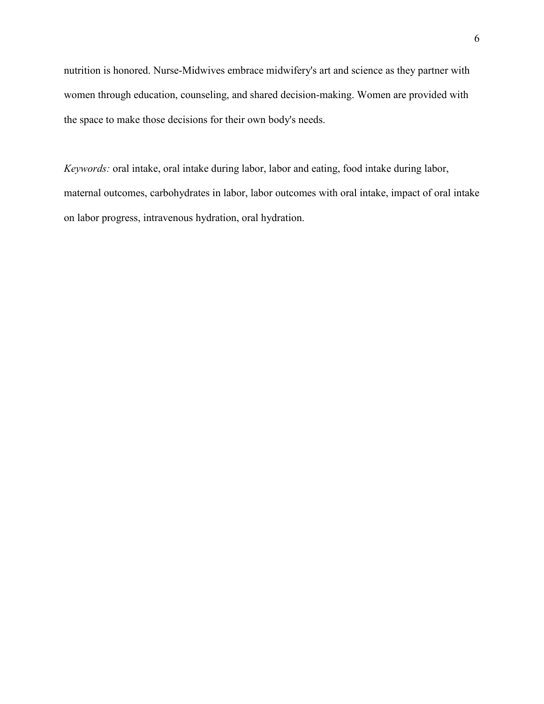nutrition is honored. Nurse-Midwives embrace midwifery's art and science as they partner with women through education, counseling, and shared decision-making. Women are provided with the space to make those decisions for their own body's needs.

*Keywords:* oral intake, oral intake during labor, labor and eating, food intake during labor, maternal outcomes, carbohydrates in labor, labor outcomes with oral intake, impact of oral intake on labor progress, intravenous hydration, oral hydration.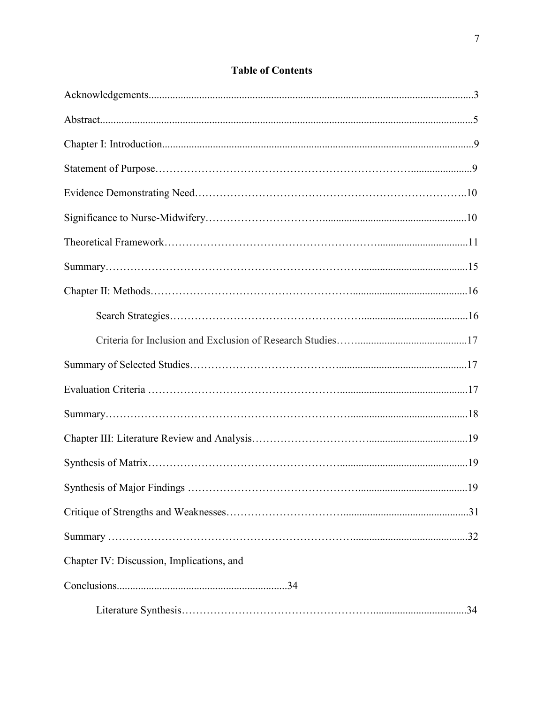## **Table of Contents**

| Chapter IV: Discussion, Implications, and |  |
|-------------------------------------------|--|
|                                           |  |
|                                           |  |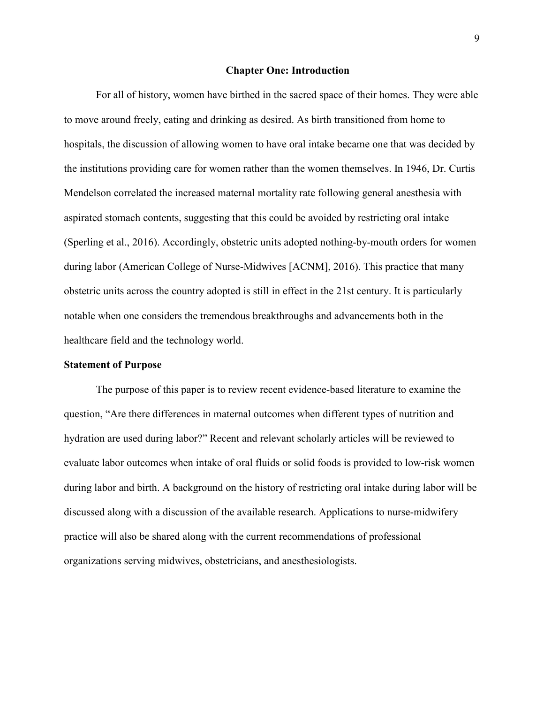#### **Chapter One: Introduction**

For all of history, women have birthed in the sacred space of their homes. They were able to move around freely, eating and drinking as desired. As birth transitioned from home to hospitals, the discussion of allowing women to have oral intake became one that was decided by the institutions providing care for women rather than the women themselves. In 1946, Dr. Curtis Mendelson correlated the increased maternal mortality rate following general anesthesia with aspirated stomach contents, suggesting that this could be avoided by restricting oral intake (Sperling et al., 2016). Accordingly, obstetric units adopted nothing-by-mouth orders for women during labor (American College of Nurse-Midwives [ACNM], 2016). This practice that many obstetric units across the country adopted is still in effect in the 21st century. It is particularly notable when one considers the tremendous breakthroughs and advancements both in the healthcare field and the technology world.

#### **Statement of Purpose**

The purpose of this paper is to review recent evidence-based literature to examine the question, "Are there differences in maternal outcomes when different types of nutrition and hydration are used during labor?" Recent and relevant scholarly articles will be reviewed to evaluate labor outcomes when intake of oral fluids or solid foods is provided to low-risk women during labor and birth. A background on the history of restricting oral intake during labor will be discussed along with a discussion of the available research. Applications to nurse-midwifery practice will also be shared along with the current recommendations of professional organizations serving midwives, obstetricians, and anesthesiologists.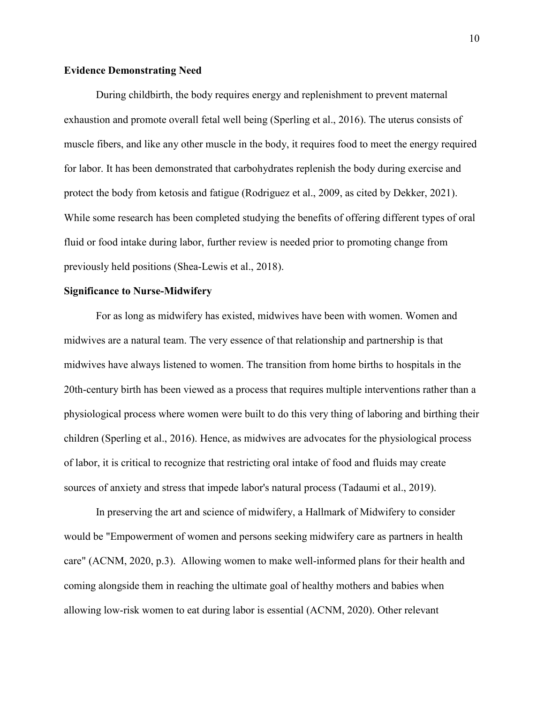#### **Evidence Demonstrating Need**

During childbirth, the body requires energy and replenishment to prevent maternal exhaustion and promote overall fetal well being (Sperling et al., 2016). The uterus consists of muscle fibers, and like any other muscle in the body, it requires food to meet the energy required for labor. It has been demonstrated that carbohydrates replenish the body during exercise and protect the body from ketosis and fatigue (Rodriguez et al., 2009, as cited by Dekker, 2021). While some research has been completed studying the benefits of offering different types of oral fluid or food intake during labor, further review is needed prior to promoting change from previously held positions (Shea-Lewis et al., 2018).

#### **Significance to Nurse-Midwifery**

For as long as midwifery has existed, midwives have been with women. Women and midwives are a natural team. The very essence of that relationship and partnership is that midwives have always listened to women. The transition from home births to hospitals in the 20th-century birth has been viewed as a process that requires multiple interventions rather than a physiological process where women were built to do this very thing of laboring and birthing their children (Sperling et al., 2016). Hence, as midwives are advocates for the physiological process of labor, it is critical to recognize that restricting oral intake of food and fluids may create sources of anxiety and stress that impede labor's natural process (Tadaumi et al., 2019).

In preserving the art and science of midwifery, a Hallmark of Midwifery to consider would be "Empowerment of women and persons seeking midwifery care as partners in health care" (ACNM, 2020, p.3). Allowing women to make well-informed plans for their health and coming alongside them in reaching the ultimate goal of healthy mothers and babies when allowing low-risk women to eat during labor is essential (ACNM, 2020). Other relevant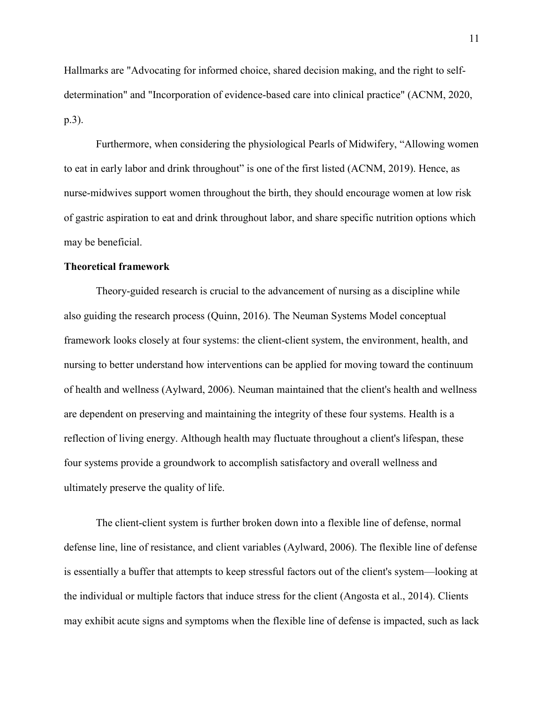Hallmarks are "Advocating for informed choice, shared decision making, and the right to selfdetermination" and "Incorporation of evidence-based care into clinical practice" (ACNM, 2020, p.3).

 Furthermore, when considering the physiological Pearls of Midwifery, "Allowing women to eat in early labor and drink throughout" is one of the first listed (ACNM, 2019). Hence, as nurse-midwives support women throughout the birth, they should encourage women at low risk of gastric aspiration to eat and drink throughout labor, and share specific nutrition options which may be beneficial.

#### **Theoretical framework**

Theory-guided research is crucial to the advancement of nursing as a discipline while also guiding the research process (Quinn, 2016). The Neuman Systems Model conceptual framework looks closely at four systems: the client-client system, the environment, health, and nursing to better understand how interventions can be applied for moving toward the continuum of health and wellness (Aylward, 2006). Neuman maintained that the client's health and wellness are dependent on preserving and maintaining the integrity of these four systems. Health is a reflection of living energy. Although health may fluctuate throughout a client's lifespan, these four systems provide a groundwork to accomplish satisfactory and overall wellness and ultimately preserve the quality of life.

The client-client system is further broken down into a flexible line of defense, normal defense line, line of resistance, and client variables (Aylward, 2006). The flexible line of defense is essentially a buffer that attempts to keep stressful factors out of the client's system—looking at the individual or multiple factors that induce stress for the client (Angosta et al., 2014). Clients may exhibit acute signs and symptoms when the flexible line of defense is impacted, such as lack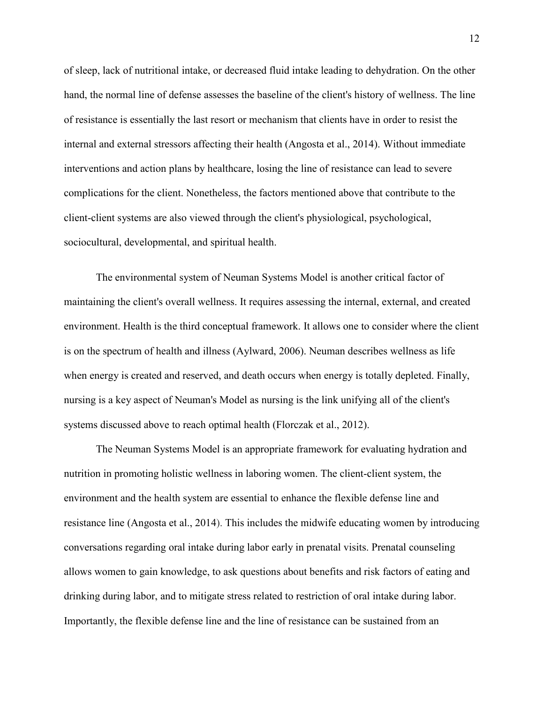of sleep, lack of nutritional intake, or decreased fluid intake leading to dehydration. On the other hand, the normal line of defense assesses the baseline of the client's history of wellness. The line of resistance is essentially the last resort or mechanism that clients have in order to resist the internal and external stressors affecting their health (Angosta et al., 2014). Without immediate interventions and action plans by healthcare, losing the line of resistance can lead to severe complications for the client. Nonetheless, the factors mentioned above that contribute to the client-client systems are also viewed through the client's physiological, psychological, sociocultural, developmental, and spiritual health.

The environmental system of Neuman Systems Model is another critical factor of maintaining the client's overall wellness. It requires assessing the internal, external, and created environment. Health is the third conceptual framework. It allows one to consider where the client is on the spectrum of health and illness (Aylward, 2006). Neuman describes wellness as life when energy is created and reserved, and death occurs when energy is totally depleted. Finally, nursing is a key aspect of Neuman's Model as nursing is the link unifying all of the client's systems discussed above to reach optimal health (Florczak et al., 2012).

The Neuman Systems Model is an appropriate framework for evaluating hydration and nutrition in promoting holistic wellness in laboring women. The client-client system, the environment and the health system are essential to enhance the flexible defense line and resistance line (Angosta et al., 2014). This includes the midwife educating women by introducing conversations regarding oral intake during labor early in prenatal visits. Prenatal counseling allows women to gain knowledge, to ask questions about benefits and risk factors of eating and drinking during labor, and to mitigate stress related to restriction of oral intake during labor. Importantly, the flexible defense line and the line of resistance can be sustained from an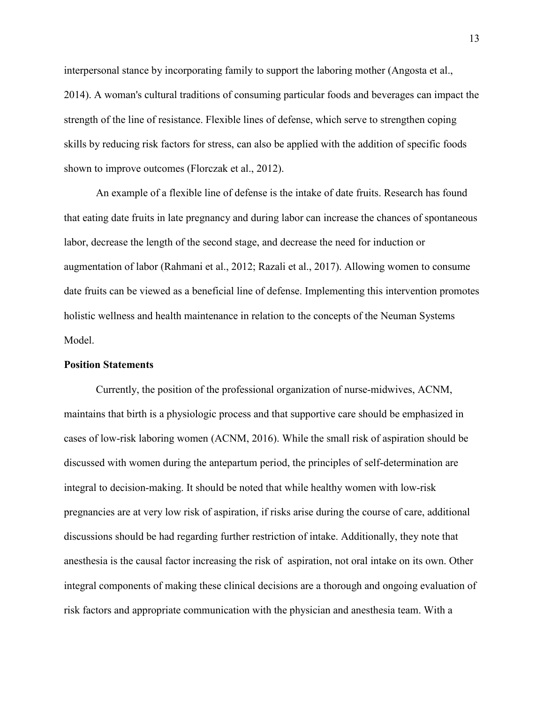interpersonal stance by incorporating family to support the laboring mother (Angosta et al., 2014). A woman's cultural traditions of consuming particular foods and beverages can impact the strength of the line of resistance. Flexible lines of defense, which serve to strengthen coping skills by reducing risk factors for stress, can also be applied with the addition of specific foods shown to improve outcomes (Florczak et al., 2012).

An example of a flexible line of defense is the intake of date fruits. Research has found that eating date fruits in late pregnancy and during labor can increase the chances of spontaneous labor, decrease the length of the second stage, and decrease the need for induction or augmentation of labor (Rahmani et al., 2012; Razali et al., 2017). Allowing women to consume date fruits can be viewed as a beneficial line of defense. Implementing this intervention promotes holistic wellness and health maintenance in relation to the concepts of the Neuman Systems Model.

#### **Position Statements**

Currently, the position of the professional organization of nurse-midwives, ACNM, maintains that birth is a physiologic process and that supportive care should be emphasized in cases of low-risk laboring women (ACNM, 2016). While the small risk of aspiration should be discussed with women during the antepartum period, the principles of self-determination are integral to decision-making. It should be noted that while healthy women with low-risk pregnancies are at very low risk of aspiration, if risks arise during the course of care, additional discussions should be had regarding further restriction of intake. Additionally, they note that anesthesia is the causal factor increasing the risk of aspiration, not oral intake on its own. Other integral components of making these clinical decisions are a thorough and ongoing evaluation of risk factors and appropriate communication with the physician and anesthesia team. With a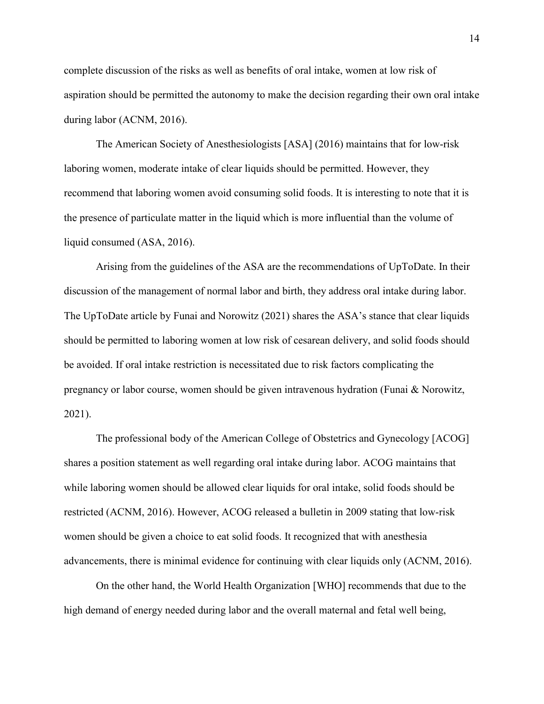complete discussion of the risks as well as benefits of oral intake, women at low risk of aspiration should be permitted the autonomy to make the decision regarding their own oral intake during labor (ACNM, 2016).

The American Society of Anesthesiologists [ASA] (2016) maintains that for low-risk laboring women, moderate intake of clear liquids should be permitted. However, they recommend that laboring women avoid consuming solid foods. It is interesting to note that it is the presence of particulate matter in the liquid which is more influential than the volume of liquid consumed (ASA, 2016).

Arising from the guidelines of the ASA are the recommendations of UpToDate. In their discussion of the management of normal labor and birth, they address oral intake during labor. The UpToDate article by Funai and Norowitz (2021) shares the ASA's stance that clear liquids should be permitted to laboring women at low risk of cesarean delivery, and solid foods should be avoided. If oral intake restriction is necessitated due to risk factors complicating the pregnancy or labor course, women should be given intravenous hydration (Funai & Norowitz, 2021).

The professional body of the American College of Obstetrics and Gynecology [ACOG] shares a position statement as well regarding oral intake during labor. ACOG maintains that while laboring women should be allowed clear liquids for oral intake, solid foods should be restricted (ACNM, 2016). However, ACOG released a bulletin in 2009 stating that low-risk women should be given a choice to eat solid foods. It recognized that with anesthesia advancements, there is minimal evidence for continuing with clear liquids only (ACNM, 2016).

On the other hand, the World Health Organization [WHO] recommends that due to the high demand of energy needed during labor and the overall maternal and fetal well being,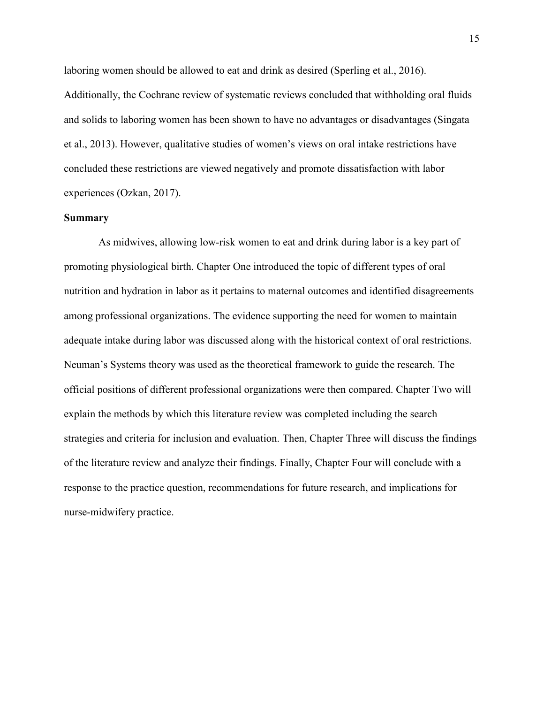laboring women should be allowed to eat and drink as desired (Sperling et al., 2016). Additionally, the Cochrane review of systematic reviews concluded that withholding oral fluids and solids to laboring women has been shown to have no advantages or disadvantages (Singata et al., 2013). However, qualitative studies of women's views on oral intake restrictions have concluded these restrictions are viewed negatively and promote dissatisfaction with labor experiences (Ozkan, 2017).

#### **Summary**

 As midwives, allowing low-risk women to eat and drink during labor is a key part of promoting physiological birth. Chapter One introduced the topic of different types of oral nutrition and hydration in labor as it pertains to maternal outcomes and identified disagreements among professional organizations. The evidence supporting the need for women to maintain adequate intake during labor was discussed along with the historical context of oral restrictions. Neuman's Systems theory was used as the theoretical framework to guide the research. The official positions of different professional organizations were then compared. Chapter Two will explain the methods by which this literature review was completed including the search strategies and criteria for inclusion and evaluation. Then, Chapter Three will discuss the findings of the literature review and analyze their findings. Finally, Chapter Four will conclude with a response to the practice question, recommendations for future research, and implications for nurse-midwifery practice.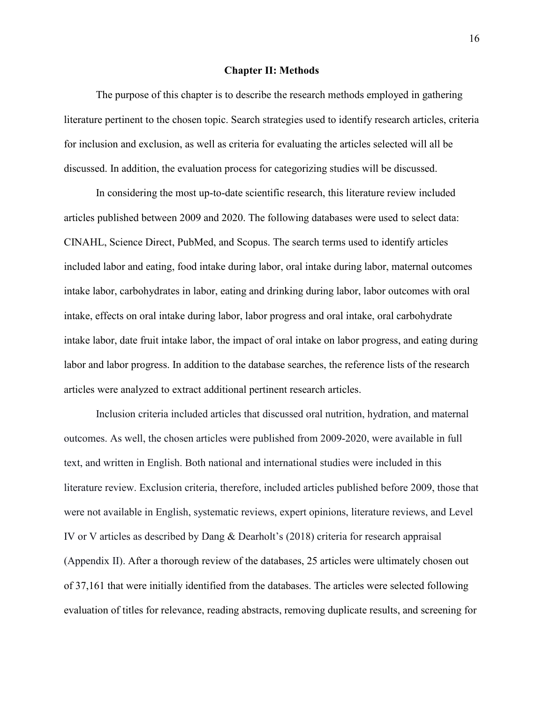#### **Chapter II: Methods**

The purpose of this chapter is to describe the research methods employed in gathering literature pertinent to the chosen topic. Search strategies used to identify research articles, criteria for inclusion and exclusion, as well as criteria for evaluating the articles selected will all be discussed. In addition, the evaluation process for categorizing studies will be discussed.

In considering the most up-to-date scientific research, this literature review included articles published between 2009 and 2020. The following databases were used to select data: CINAHL, Science Direct, PubMed, and Scopus. The search terms used to identify articles included labor and eating, food intake during labor, oral intake during labor, maternal outcomes intake labor, carbohydrates in labor, eating and drinking during labor, labor outcomes with oral intake, effects on oral intake during labor, labor progress and oral intake, oral carbohydrate intake labor, date fruit intake labor, the impact of oral intake on labor progress, and eating during labor and labor progress. In addition to the database searches, the reference lists of the research articles were analyzed to extract additional pertinent research articles.

Inclusion criteria included articles that discussed oral nutrition, hydration, and maternal outcomes. As well, the chosen articles were published from 2009-2020, were available in full text, and written in English. Both national and international studies were included in this literature review. Exclusion criteria, therefore, included articles published before 2009, those that were not available in English, systematic reviews, expert opinions, literature reviews, and Level IV or V articles as described by Dang & Dearholt's (2018) criteria for research appraisal (Appendix II). After a thorough review of the databases, 25 articles were ultimately chosen out of 37,161 that were initially identified from the databases. The articles were selected following evaluation of titles for relevance, reading abstracts, removing duplicate results, and screening for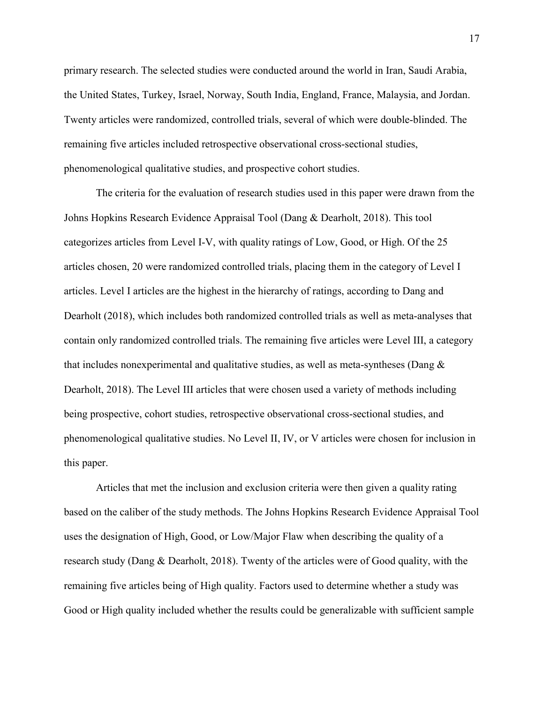primary research. The selected studies were conducted around the world in Iran, Saudi Arabia, the United States, Turkey, Israel, Norway, South India, England, France, Malaysia, and Jordan. Twenty articles were randomized, controlled trials, several of which were double-blinded. The remaining five articles included retrospective observational cross-sectional studies, phenomenological qualitative studies, and prospective cohort studies.

The criteria for the evaluation of research studies used in this paper were drawn from the Johns Hopkins Research Evidence Appraisal Tool (Dang & Dearholt, 2018). This tool categorizes articles from Level I-V, with quality ratings of Low, Good, or High. Of the 25 articles chosen, 20 were randomized controlled trials, placing them in the category of Level I articles. Level I articles are the highest in the hierarchy of ratings, according to Dang and Dearholt (2018), which includes both randomized controlled trials as well as meta-analyses that contain only randomized controlled trials. The remaining five articles were Level III, a category that includes nonexperimental and qualitative studies, as well as meta-syntheses (Dang & Dearholt, 2018). The Level III articles that were chosen used a variety of methods including being prospective, cohort studies, retrospective observational cross-sectional studies, and phenomenological qualitative studies. No Level II, IV, or V articles were chosen for inclusion in this paper.

Articles that met the inclusion and exclusion criteria were then given a quality rating based on the caliber of the study methods. The Johns Hopkins Research Evidence Appraisal Tool uses the designation of High, Good, or Low/Major Flaw when describing the quality of a research study (Dang & Dearholt, 2018). Twenty of the articles were of Good quality, with the remaining five articles being of High quality. Factors used to determine whether a study was Good or High quality included whether the results could be generalizable with sufficient sample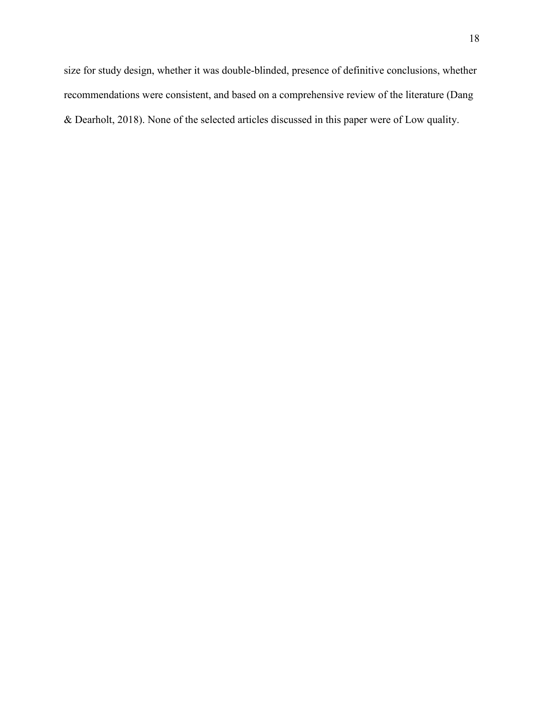size for study design, whether it was double-blinded, presence of definitive conclusions, whether recommendations were consistent, and based on a comprehensive review of the literature (Dang & Dearholt, 2018). None of the selected articles discussed in this paper were of Low quality.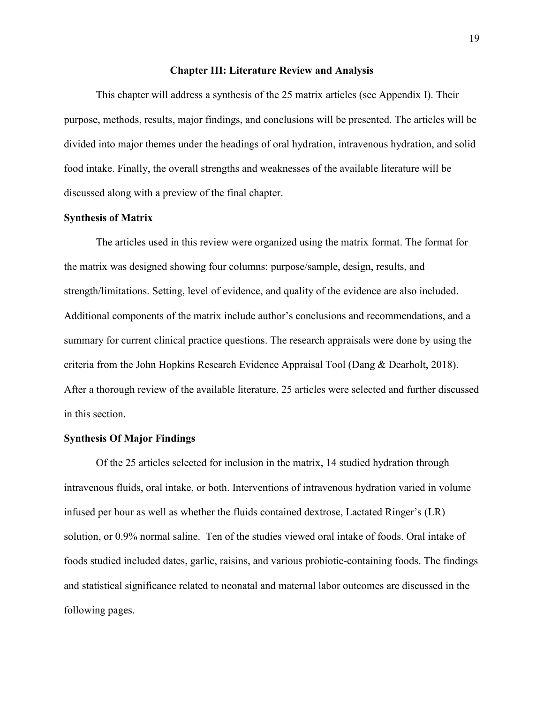#### **Chapter III: Literature Review and Analysis**

This chapter will address a synthesis of the 25 matrix articles (see Appendix I). Their purpose, methods, results, major findings, and conclusions will be presented. The articles will be divided into major themes under the headings of oral hydration, intravenous hydration, and solid food intake. Finally, the overall strengths and weaknesses of the available literature will be discussed along with a preview of the final chapter.

#### **Synthesis of Matrix**

The articles used in this review were organized using the matrix format. The format for the matrix was designed showing four columns: purpose/sample, design, results, and strength/limitations. Setting, level of evidence, and quality of the evidence are also included. Additional components of the matrix include author's conclusions and recommendations, and a summary for current clinical practice questions. The research appraisals were done by using the criteria from the John Hopkins Research Evidence Appraisal Tool (Dang & Dearholt, 2018). After a thorough review of the available literature, 25 articles were selected and further discussed in this section.

#### **Synthesis Of Major Findings**

Of the 25 articles selected for inclusion in the matrix, 14 studied hydration through intravenous fluids, oral intake, or both. Interventions of intravenous hydration varied in volume infused per hour as well as whether the fluids contained dextrose, Lactated Ringer's (LR) solution, or 0.9% normal saline. Ten of the studies viewed oral intake of foods. Oral intake of foods studied included dates, garlic, raisins, and various probiotic-containing foods. The findings and statistical significance related to neonatal and maternal labor outcomes are discussed in the following pages.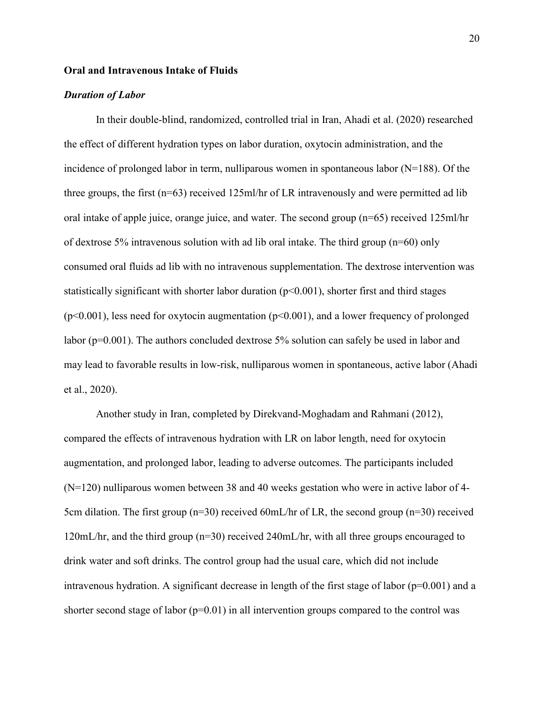#### **Oral and Intravenous Intake of Fluids**

#### *Duration of Labor*

In their double-blind, randomized, controlled trial in Iran, Ahadi et al. (2020) researched the effect of different hydration types on labor duration, oxytocin administration, and the incidence of prolonged labor in term, nulliparous women in spontaneous labor ( $N=188$ ). Of the three groups, the first (n=63) received 125ml/hr of LR intravenously and were permitted ad lib oral intake of apple juice, orange juice, and water. The second group (n=65) received 125ml/hr of dextrose 5% intravenous solution with ad lib oral intake. The third group (n=60) only consumed oral fluids ad lib with no intravenous supplementation. The dextrose intervention was statistically significant with shorter labor duration  $(p<0.001)$ , shorter first and third stages  $(p<0.001)$ , less need for oxytocin augmentation  $(p<0.001)$ , and a lower frequency of prolonged labor (p=0.001). The authors concluded dextrose 5% solution can safely be used in labor and may lead to favorable results in low-risk, nulliparous women in spontaneous, active labor (Ahadi et al., 2020).

 Another study in Iran, completed by Direkvand-Moghadam and Rahmani (2012), compared the effects of intravenous hydration with LR on labor length, need for oxytocin augmentation, and prolonged labor, leading to adverse outcomes. The participants included (N=120) nulliparous women between 38 and 40 weeks gestation who were in active labor of 4- 5cm dilation. The first group  $(n=30)$  received 60mL/hr of LR, the second group  $(n=30)$  received 120mL/hr, and the third group (n=30) received 240mL/hr, with all three groups encouraged to drink water and soft drinks. The control group had the usual care, which did not include intravenous hydration. A significant decrease in length of the first stage of labor ( $p=0.001$ ) and a shorter second stage of labor ( $p=0.01$ ) in all intervention groups compared to the control was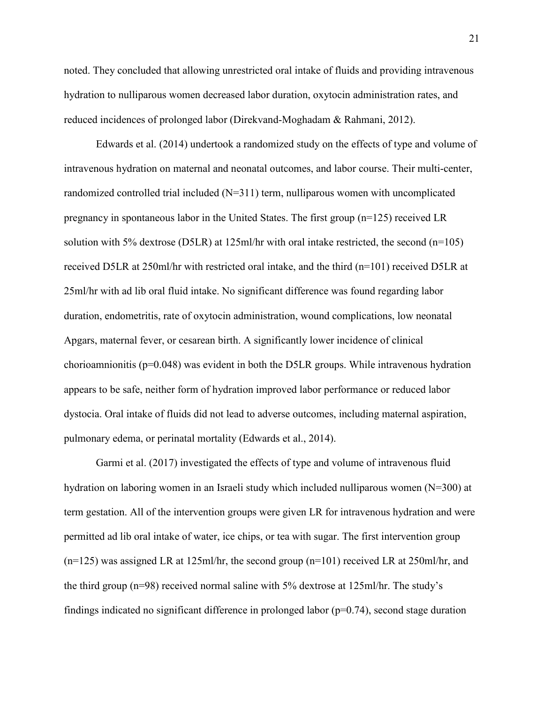noted. They concluded that allowing unrestricted oral intake of fluids and providing intravenous hydration to nulliparous women decreased labor duration, oxytocin administration rates, and reduced incidences of prolonged labor (Direkvand-Moghadam & Rahmani, 2012).

 Edwards et al. (2014) undertook a randomized study on the effects of type and volume of intravenous hydration on maternal and neonatal outcomes, and labor course. Their multi-center, randomized controlled trial included  $(N=311)$  term, nulliparous women with uncomplicated pregnancy in spontaneous labor in the United States. The first group (n=125) received LR solution with 5% dextrose (D5LR) at 125ml/hr with oral intake restricted, the second (n=105) received D5LR at 250ml/hr with restricted oral intake, and the third (n=101) received D5LR at 25ml/hr with ad lib oral fluid intake. No significant difference was found regarding labor duration, endometritis, rate of oxytocin administration, wound complications, low neonatal Apgars, maternal fever, or cesarean birth. A significantly lower incidence of clinical chorioamnionitis ( $p=0.048$ ) was evident in both the D5LR groups. While intravenous hydration appears to be safe, neither form of hydration improved labor performance or reduced labor dystocia. Oral intake of fluids did not lead to adverse outcomes, including maternal aspiration, pulmonary edema, or perinatal mortality (Edwards et al., 2014).

Garmi et al. (2017) investigated the effects of type and volume of intravenous fluid hydration on laboring women in an Israeli study which included nulliparous women (N=300) at term gestation. All of the intervention groups were given LR for intravenous hydration and were permitted ad lib oral intake of water, ice chips, or tea with sugar. The first intervention group  $(n=125)$  was assigned LR at 125ml/hr, the second group  $(n=101)$  received LR at 250ml/hr, and the third group (n=98) received normal saline with 5% dextrose at 125ml/hr. The study's findings indicated no significant difference in prolonged labor  $(p=0.74)$ , second stage duration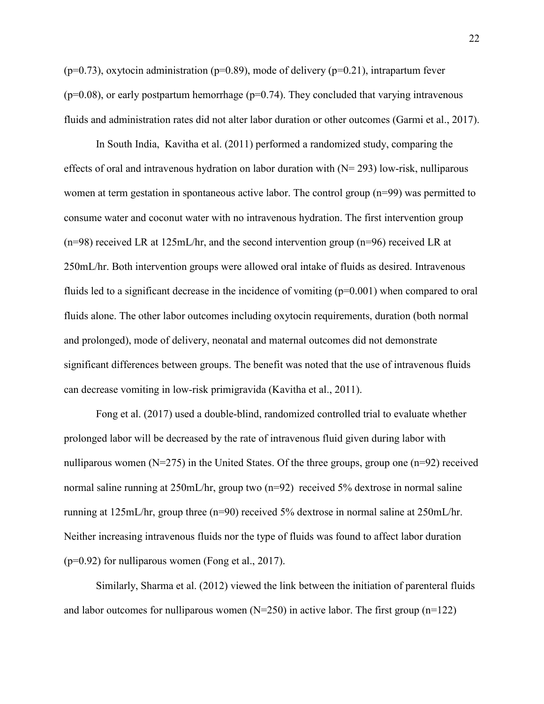$(p=0.73)$ , oxytocin administration ( $p=0.89$ ), mode of delivery ( $p=0.21$ ), intrapartum fever  $(p=0.08)$ , or early postpartum hemorrhage  $(p=0.74)$ . They concluded that varying intravenous fluids and administration rates did not alter labor duration or other outcomes (Garmi et al., 2017).

In South India, Kavitha et al. (2011) performed a randomized study, comparing the effects of oral and intravenous hydration on labor duration with  $(N= 293)$  low-risk, nulliparous women at term gestation in spontaneous active labor. The control group  $(n=99)$  was permitted to consume water and coconut water with no intravenous hydration. The first intervention group (n=98) received LR at 125mL/hr, and the second intervention group (n=96) received LR at 250mL/hr. Both intervention groups were allowed oral intake of fluids as desired. Intravenous fluids led to a significant decrease in the incidence of vomiting  $(p=0.001)$  when compared to oral fluids alone. The other labor outcomes including oxytocin requirements, duration (both normal and prolonged), mode of delivery, neonatal and maternal outcomes did not demonstrate significant differences between groups. The benefit was noted that the use of intravenous fluids can decrease vomiting in low-risk primigravida (Kavitha et al., 2011).

Fong et al. (2017) used a double-blind, randomized controlled trial to evaluate whether prolonged labor will be decreased by the rate of intravenous fluid given during labor with nulliparous women (N=275) in the United States. Of the three groups, group one (n=92) received normal saline running at 250mL/hr, group two (n=92) received 5% dextrose in normal saline running at 125mL/hr, group three (n=90) received 5% dextrose in normal saline at 250mL/hr. Neither increasing intravenous fluids nor the type of fluids was found to affect labor duration  $(p=0.92)$  for nulliparous women (Fong et al., 2017).

Similarly, Sharma et al. (2012) viewed the link between the initiation of parenteral fluids and labor outcomes for nulliparous women  $(N=250)$  in active labor. The first group (n=122)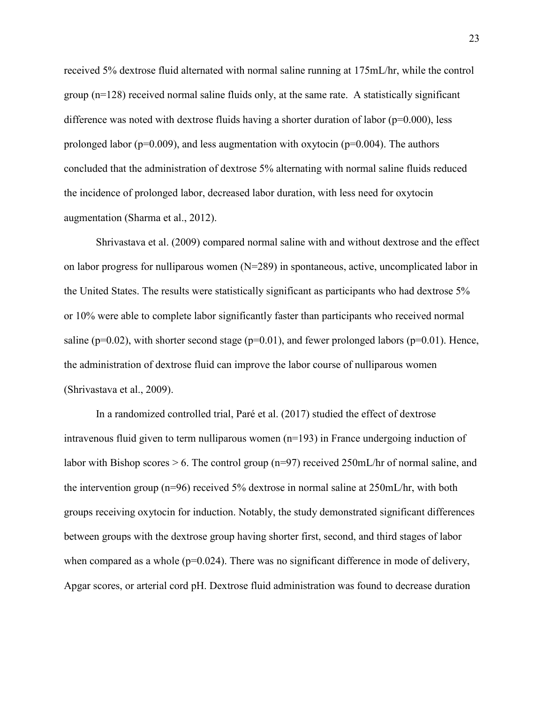received 5% dextrose fluid alternated with normal saline running at 175mL/hr, while the control group  $(n=128)$  received normal saline fluids only, at the same rate. A statistically significant difference was noted with dextrose fluids having a shorter duration of labor ( $p=0.000$ ), less prolonged labor ( $p=0.009$ ), and less augmentation with oxytocin ( $p=0.004$ ). The authors concluded that the administration of dextrose 5% alternating with normal saline fluids reduced the incidence of prolonged labor, decreased labor duration, with less need for oxytocin augmentation (Sharma et al., 2012).

Shrivastava et al. (2009) compared normal saline with and without dextrose and the effect on labor progress for nulliparous women (N=289) in spontaneous, active, uncomplicated labor in the United States. The results were statistically significant as participants who had dextrose 5% or 10% were able to complete labor significantly faster than participants who received normal saline ( $p=0.02$ ), with shorter second stage ( $p=0.01$ ), and fewer prolonged labors ( $p=0.01$ ). Hence, the administration of dextrose fluid can improve the labor course of nulliparous women (Shrivastava et al., 2009).

In a randomized controlled trial, Paré et al. (2017) studied the effect of dextrose intravenous fluid given to term nulliparous women  $(n=193)$  in France undergoing induction of labor with Bishop scores  $> 6$ . The control group (n=97) received 250mL/hr of normal saline, and the intervention group (n=96) received 5% dextrose in normal saline at 250mL/hr, with both groups receiving oxytocin for induction. Notably, the study demonstrated significant differences between groups with the dextrose group having shorter first, second, and third stages of labor when compared as a whole  $(p=0.024)$ . There was no significant difference in mode of delivery, Apgar scores, or arterial cord pH. Dextrose fluid administration was found to decrease duration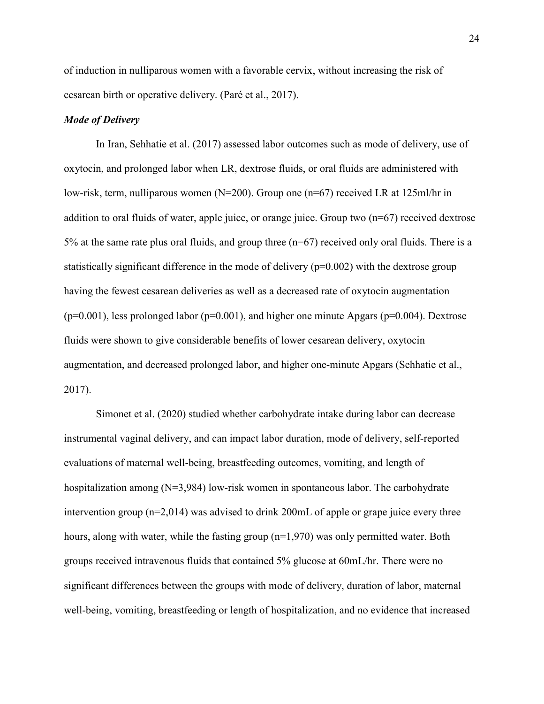of induction in nulliparous women with a favorable cervix, without increasing the risk of cesarean birth or operative delivery. (Paré et al., 2017).

#### *Mode of Delivery*

In Iran, Sehhatie et al. (2017) assessed labor outcomes such as mode of delivery, use of oxytocin, and prolonged labor when LR, dextrose fluids, or oral fluids are administered with low-risk, term, nulliparous women (N=200). Group one (n=67) received LR at 125ml/hr in addition to oral fluids of water, apple juice, or orange juice. Group two (n=67) received dextrose 5% at the same rate plus oral fluids, and group three (n=67) received only oral fluids. There is a statistically significant difference in the mode of delivery  $(p=0.002)$  with the dextrose group having the fewest cesarean deliveries as well as a decreased rate of oxytocin augmentation  $(p=0.001)$ , less prolonged labor ( $p=0.001$ ), and higher one minute Apgars ( $p=0.004$ ). Dextrose fluids were shown to give considerable benefits of lower cesarean delivery, oxytocin augmentation, and decreased prolonged labor, and higher one-minute Apgars (Sehhatie et al., 2017).

Simonet et al. (2020) studied whether carbohydrate intake during labor can decrease instrumental vaginal delivery, and can impact labor duration, mode of delivery, self-reported evaluations of maternal well-being, breastfeeding outcomes, vomiting, and length of hospitalization among (N=3,984) low-risk women in spontaneous labor. The carbohydrate intervention group  $(n=2,014)$  was advised to drink 200mL of apple or grape juice every three hours, along with water, while the fasting group (n=1,970) was only permitted water. Both groups received intravenous fluids that contained 5% glucose at 60mL/hr. There were no significant differences between the groups with mode of delivery, duration of labor, maternal well-being, vomiting, breastfeeding or length of hospitalization, and no evidence that increased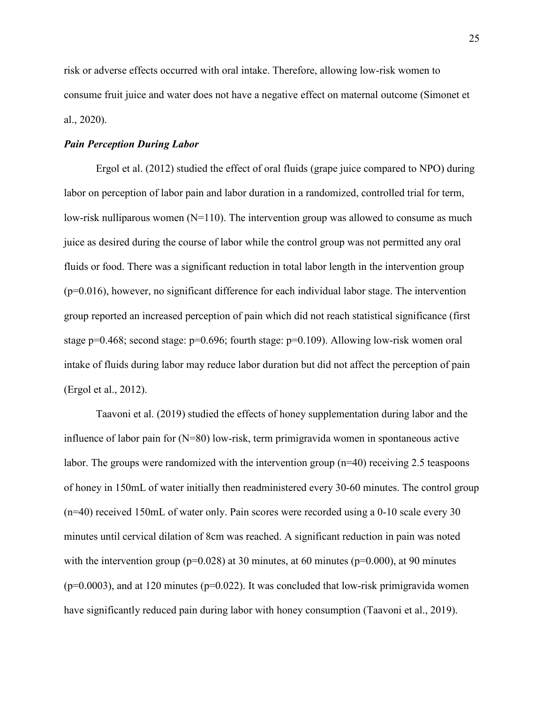risk or adverse effects occurred with oral intake. Therefore, allowing low-risk women to consume fruit juice and water does not have a negative effect on maternal outcome (Simonet et al., 2020).

#### *Pain Perception During Labor*

 Ergol et al. (2012) studied the effect of oral fluids (grape juice compared to NPO) during labor on perception of labor pain and labor duration in a randomized, controlled trial for term, low-risk nulliparous women  $(N=110)$ . The intervention group was allowed to consume as much juice as desired during the course of labor while the control group was not permitted any oral fluids or food. There was a significant reduction in total labor length in the intervention group  $(p=0.016)$ , however, no significant difference for each individual labor stage. The intervention group reported an increased perception of pain which did not reach statistical significance (first stage  $p=0.468$ ; second stage:  $p=0.696$ ; fourth stage:  $p=0.109$ ). Allowing low-risk women oral intake of fluids during labor may reduce labor duration but did not affect the perception of pain (Ergol et al., 2012).

 Taavoni et al. (2019) studied the effects of honey supplementation during labor and the influence of labor pain for (N=80) low-risk, term primigravida women in spontaneous active labor. The groups were randomized with the intervention group  $(n=40)$  receiving 2.5 teaspoons of honey in 150mL of water initially then readministered every 30-60 minutes. The control group (n=40) received 150mL of water only. Pain scores were recorded using a 0-10 scale every 30 minutes until cervical dilation of 8cm was reached. A significant reduction in pain was noted with the intervention group ( $p=0.028$ ) at 30 minutes, at 60 minutes ( $p=0.000$ ), at 90 minutes  $(p=0.0003)$ , and at 120 minutes ( $p=0.022$ ). It was concluded that low-risk primigravida women have significantly reduced pain during labor with honey consumption (Taavoni et al., 2019).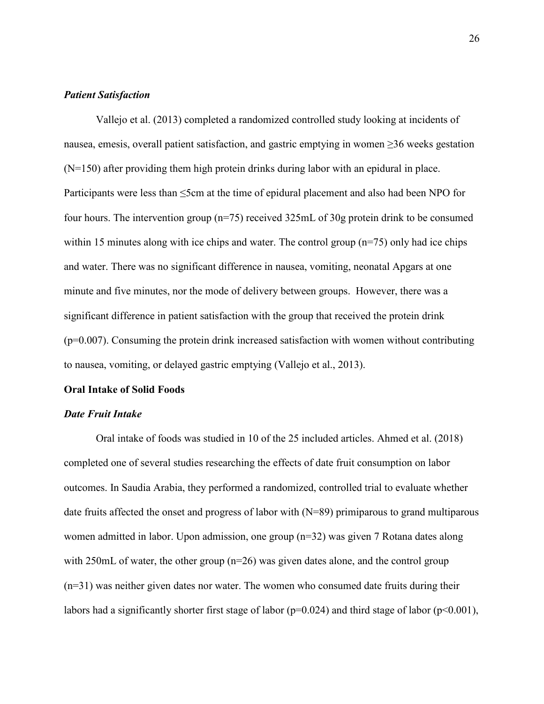#### *Patient Satisfaction*

Vallejo et al. (2013) completed a randomized controlled study looking at incidents of nausea, emesis, overall patient satisfaction, and gastric emptying in women ≥36 weeks gestation (N=150) after providing them high protein drinks during labor with an epidural in place. Participants were less than ≤5cm at the time of epidural placement and also had been NPO for four hours. The intervention group (n=75) received 325mL of 30g protein drink to be consumed within 15 minutes along with ice chips and water. The control group (n=75) only had ice chips and water. There was no significant difference in nausea, vomiting, neonatal Apgars at one minute and five minutes, nor the mode of delivery between groups. However, there was a significant difference in patient satisfaction with the group that received the protein drink  $(p=0.007)$ . Consuming the protein drink increased satisfaction with women without contributing to nausea, vomiting, or delayed gastric emptying (Vallejo et al., 2013).

#### **Oral Intake of Solid Foods**

#### *Date Fruit Intake*

Oral intake of foods was studied in 10 of the 25 included articles. Ahmed et al. (2018) completed one of several studies researching the effects of date fruit consumption on labor outcomes. In Saudia Arabia, they performed a randomized, controlled trial to evaluate whether date fruits affected the onset and progress of labor with (N=89) primiparous to grand multiparous women admitted in labor. Upon admission, one group (n=32) was given 7 Rotana dates along with 250mL of water, the other group  $(n=26)$  was given dates alone, and the control group  $(n=31)$  was neither given dates nor water. The women who consumed date fruits during their labors had a significantly shorter first stage of labor ( $p=0.024$ ) and third stage of labor ( $p<0.001$ ),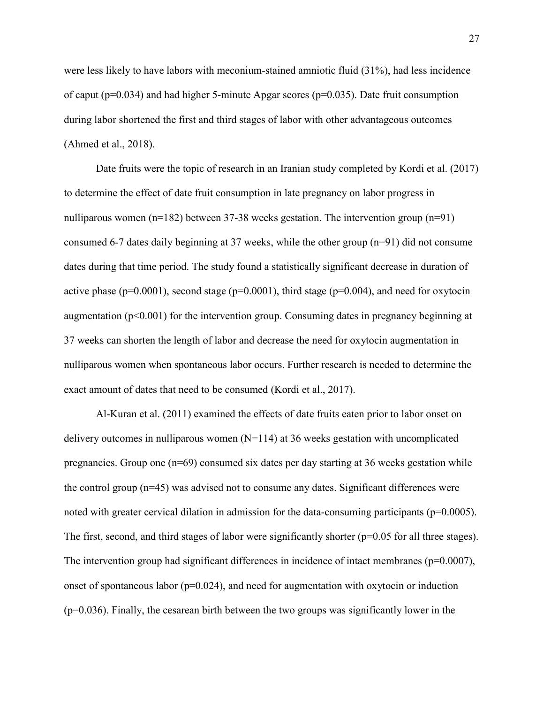were less likely to have labors with meconium-stained amniotic fluid (31%), had less incidence of caput ( $p=0.034$ ) and had higher 5-minute Apgar scores ( $p=0.035$ ). Date fruit consumption during labor shortened the first and third stages of labor with other advantageous outcomes (Ahmed et al., 2018).

 Date fruits were the topic of research in an Iranian study completed by Kordi et al. (2017) to determine the effect of date fruit consumption in late pregnancy on labor progress in nulliparous women (n=182) between 37-38 weeks gestation. The intervention group (n=91) consumed 6-7 dates daily beginning at 37 weeks, while the other group (n=91) did not consume dates during that time period. The study found a statistically significant decrease in duration of active phase ( $p=0.0001$ ), second stage ( $p=0.0001$ ), third stage ( $p=0.004$ ), and need for oxytocin augmentation ( $p<0.001$ ) for the intervention group. Consuming dates in pregnancy beginning at 37 weeks can shorten the length of labor and decrease the need for oxytocin augmentation in nulliparous women when spontaneous labor occurs. Further research is needed to determine the exact amount of dates that need to be consumed (Kordi et al., 2017).

Al-Kuran et al. (2011) examined the effects of date fruits eaten prior to labor onset on delivery outcomes in nulliparous women  $(N=114)$  at 36 weeks gestation with uncomplicated pregnancies. Group one  $(n=69)$  consumed six dates per day starting at 36 weeks gestation while the control group (n=45) was advised not to consume any dates. Significant differences were noted with greater cervical dilation in admission for the data-consuming participants (p=0.0005). The first, second, and third stages of labor were significantly shorter ( $p=0.05$  for all three stages). The intervention group had significant differences in incidence of intact membranes ( $p=0.0007$ ), onset of spontaneous labor  $(p=0.024)$ , and need for augmentation with oxytocin or induction  $(p=0.036)$ . Finally, the cesarean birth between the two groups was significantly lower in the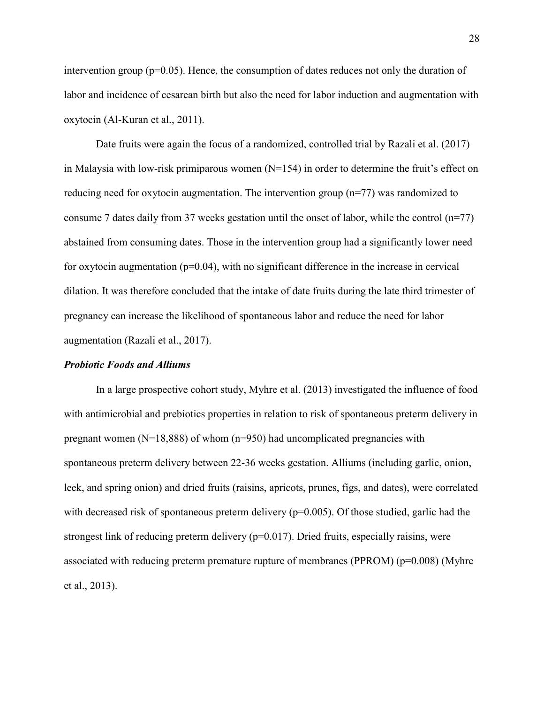intervention group ( $p=0.05$ ). Hence, the consumption of dates reduces not only the duration of labor and incidence of cesarean birth but also the need for labor induction and augmentation with oxytocin (Al-Kuran et al., 2011).

Date fruits were again the focus of a randomized, controlled trial by Razali et al. (2017) in Malaysia with low-risk primiparous women  $(N=154)$  in order to determine the fruit's effect on reducing need for oxytocin augmentation. The intervention group (n=77) was randomized to consume 7 dates daily from 37 weeks gestation until the onset of labor, while the control  $(n=77)$ abstained from consuming dates. Those in the intervention group had a significantly lower need for oxytocin augmentation  $(p=0.04)$ , with no significant difference in the increase in cervical dilation. It was therefore concluded that the intake of date fruits during the late third trimester of pregnancy can increase the likelihood of spontaneous labor and reduce the need for labor augmentation (Razali et al., 2017).

#### *Probiotic Foods and Alliums*

In a large prospective cohort study, Myhre et al. (2013) investigated the influence of food with antimicrobial and prebiotics properties in relation to risk of spontaneous preterm delivery in pregnant women  $(N=18,888)$  of whom  $(n=950)$  had uncomplicated pregnancies with spontaneous preterm delivery between 22-36 weeks gestation. Alliums (including garlic, onion, leek, and spring onion) and dried fruits (raisins, apricots, prunes, figs, and dates), were correlated with decreased risk of spontaneous preterm delivery  $(p=0.005)$ . Of those studied, garlic had the strongest link of reducing preterm delivery  $(p=0.017)$ . Dried fruits, especially raisins, were associated with reducing preterm premature rupture of membranes (PPROM) ( $p=0.008$ ) (Myhre et al., 2013).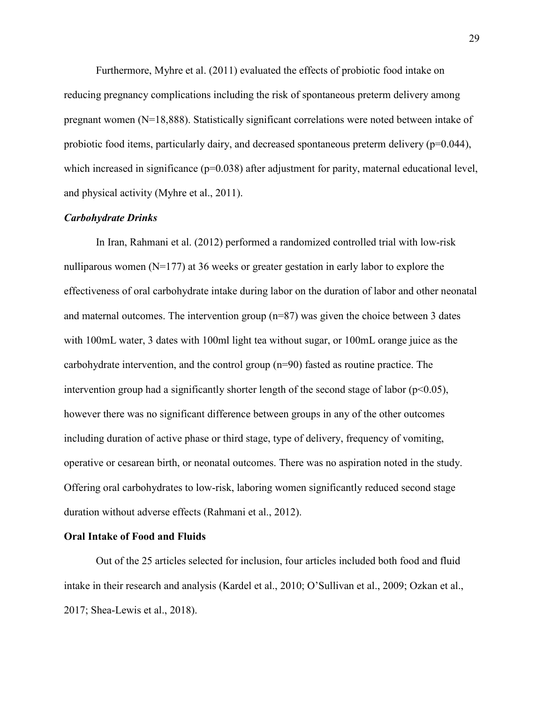Furthermore, Myhre et al. (2011) evaluated the effects of probiotic food intake on reducing pregnancy complications including the risk of spontaneous preterm delivery among pregnant women (N=18,888). Statistically significant correlations were noted between intake of probiotic food items, particularly dairy, and decreased spontaneous preterm delivery (p=0.044), which increased in significance ( $p=0.038$ ) after adjustment for parity, maternal educational level, and physical activity (Myhre et al., 2011).

#### *Carbohydrate Drinks*

 In Iran, Rahmani et al. (2012) performed a randomized controlled trial with low-risk nulliparous women (N=177) at 36 weeks or greater gestation in early labor to explore the effectiveness of oral carbohydrate intake during labor on the duration of labor and other neonatal and maternal outcomes. The intervention group  $(n=87)$  was given the choice between 3 dates with 100mL water, 3 dates with 100ml light tea without sugar, or 100mL orange juice as the carbohydrate intervention, and the control group (n=90) fasted as routine practice. The intervention group had a significantly shorter length of the second stage of labor ( $p<0.05$ ), however there was no significant difference between groups in any of the other outcomes including duration of active phase or third stage, type of delivery, frequency of vomiting, operative or cesarean birth, or neonatal outcomes. There was no aspiration noted in the study. Offering oral carbohydrates to low-risk, laboring women significantly reduced second stage duration without adverse effects (Rahmani et al., 2012).

#### **Oral Intake of Food and Fluids**

 Out of the 25 articles selected for inclusion, four articles included both food and fluid intake in their research and analysis (Kardel et al., 2010; O'Sullivan et al., 2009; Ozkan et al., 2017; Shea-Lewis et al., 2018).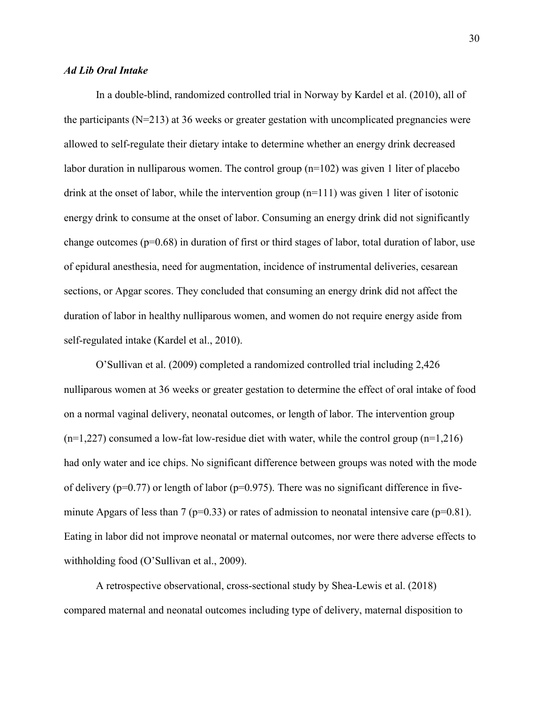#### *Ad Lib Oral Intake*

In a double-blind, randomized controlled trial in Norway by Kardel et al. (2010), all of the participants  $(N=213)$  at 36 weeks or greater gestation with uncomplicated pregnancies were allowed to self-regulate their dietary intake to determine whether an energy drink decreased labor duration in nulliparous women. The control group (n=102) was given 1 liter of placebo drink at the onset of labor, while the intervention group  $(n=111)$  was given 1 liter of isotonic energy drink to consume at the onset of labor. Consuming an energy drink did not significantly change outcomes ( $p=0.68$ ) in duration of first or third stages of labor, total duration of labor, use of epidural anesthesia, need for augmentation, incidence of instrumental deliveries, cesarean sections, or Apgar scores. They concluded that consuming an energy drink did not affect the duration of labor in healthy nulliparous women, and women do not require energy aside from self-regulated intake (Kardel et al., 2010).

 O'Sullivan et al. (2009) completed a randomized controlled trial including 2,426 nulliparous women at 36 weeks or greater gestation to determine the effect of oral intake of food on a normal vaginal delivery, neonatal outcomes, or length of labor. The intervention group  $(n=1,227)$  consumed a low-fat low-residue diet with water, while the control group  $(n=1,216)$ had only water and ice chips. No significant difference between groups was noted with the mode of delivery ( $p=0.77$ ) or length of labor ( $p=0.975$ ). There was no significant difference in fiveminute Apgars of less than 7 ( $p=0.33$ ) or rates of admission to neonatal intensive care ( $p=0.81$ ). Eating in labor did not improve neonatal or maternal outcomes, nor were there adverse effects to withholding food (O'Sullivan et al., 2009).

 A retrospective observational, cross-sectional study by Shea-Lewis et al. (2018) compared maternal and neonatal outcomes including type of delivery, maternal disposition to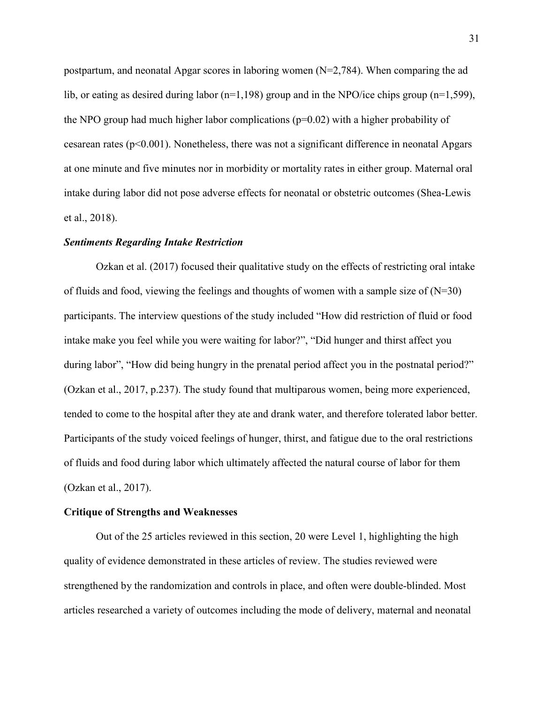postpartum, and neonatal Apgar scores in laboring women  $(N=2,784)$ . When comparing the ad lib, or eating as desired during labor ( $n=1,198$ ) group and in the NPO/ice chips group ( $n=1,599$ ), the NPO group had much higher labor complications  $(p=0.02)$  with a higher probability of cesarean rates ( $p<0.001$ ). Nonetheless, there was not a significant difference in neonatal Apgars at one minute and five minutes nor in morbidity or mortality rates in either group. Maternal oral intake during labor did not pose adverse effects for neonatal or obstetric outcomes (Shea-Lewis et al., 2018).

#### *Sentiments Regarding Intake Restriction*

Ozkan et al. (2017) focused their qualitative study on the effects of restricting oral intake of fluids and food, viewing the feelings and thoughts of women with a sample size of  $(N=30)$ participants. The interview questions of the study included "How did restriction of fluid or food intake make you feel while you were waiting for labor?", "Did hunger and thirst affect you during labor", "How did being hungry in the prenatal period affect you in the postnatal period?" (Ozkan et al., 2017, p.237). The study found that multiparous women, being more experienced, tended to come to the hospital after they ate and drank water, and therefore tolerated labor better. Participants of the study voiced feelings of hunger, thirst, and fatigue due to the oral restrictions of fluids and food during labor which ultimately affected the natural course of labor for them (Ozkan et al., 2017).

#### **Critique of Strengths and Weaknesses**

Out of the 25 articles reviewed in this section, 20 were Level 1, highlighting the high quality of evidence demonstrated in these articles of review. The studies reviewed were strengthened by the randomization and controls in place, and often were double-blinded. Most articles researched a variety of outcomes including the mode of delivery, maternal and neonatal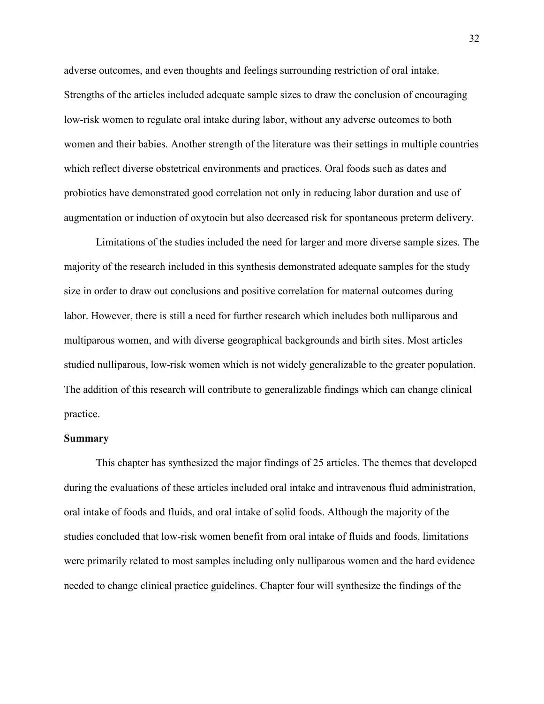adverse outcomes, and even thoughts and feelings surrounding restriction of oral intake. Strengths of the articles included adequate sample sizes to draw the conclusion of encouraging low-risk women to regulate oral intake during labor, without any adverse outcomes to both women and their babies. Another strength of the literature was their settings in multiple countries which reflect diverse obstetrical environments and practices. Oral foods such as dates and probiotics have demonstrated good correlation not only in reducing labor duration and use of augmentation or induction of oxytocin but also decreased risk for spontaneous preterm delivery.

 Limitations of the studies included the need for larger and more diverse sample sizes. The majority of the research included in this synthesis demonstrated adequate samples for the study size in order to draw out conclusions and positive correlation for maternal outcomes during labor. However, there is still a need for further research which includes both nulliparous and multiparous women, and with diverse geographical backgrounds and birth sites. Most articles studied nulliparous, low-risk women which is not widely generalizable to the greater population. The addition of this research will contribute to generalizable findings which can change clinical practice.

#### **Summary**

 This chapter has synthesized the major findings of 25 articles. The themes that developed during the evaluations of these articles included oral intake and intravenous fluid administration, oral intake of foods and fluids, and oral intake of solid foods. Although the majority of the studies concluded that low-risk women benefit from oral intake of fluids and foods, limitations were primarily related to most samples including only nulliparous women and the hard evidence needed to change clinical practice guidelines. Chapter four will synthesize the findings of the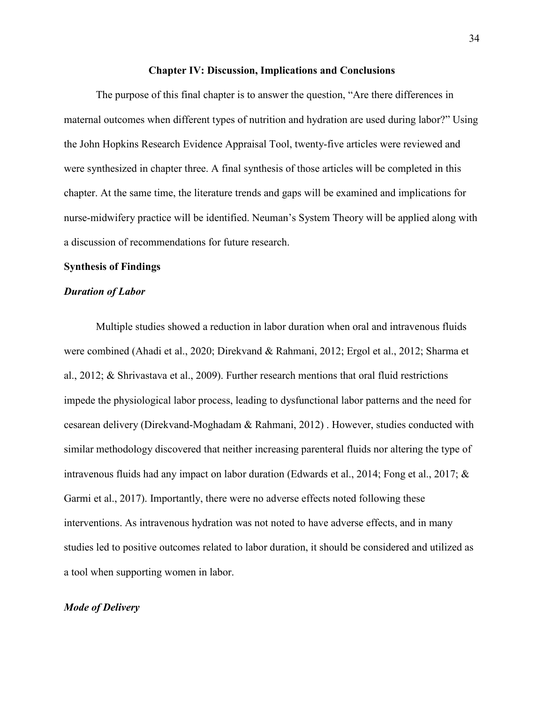#### **Chapter IV: Discussion, Implications and Conclusions**

 The purpose of this final chapter is to answer the question, "Are there differences in maternal outcomes when different types of nutrition and hydration are used during labor?" Using the John Hopkins Research Evidence Appraisal Tool, twenty-five articles were reviewed and were synthesized in chapter three. A final synthesis of those articles will be completed in this chapter. At the same time, the literature trends and gaps will be examined and implications for nurse-midwifery practice will be identified. Neuman's System Theory will be applied along with a discussion of recommendations for future research.

#### **Synthesis of Findings**

#### *Duration of Labor*

Multiple studies showed a reduction in labor duration when oral and intravenous fluids were combined (Ahadi et al., 2020; Direkvand & Rahmani, 2012; Ergol et al., 2012; Sharma et al., 2012; & Shrivastava et al., 2009). Further research mentions that oral fluid restrictions impede the physiological labor process, leading to dysfunctional labor patterns and the need for cesarean delivery (Direkvand-Moghadam & Rahmani, 2012) . However, studies conducted with similar methodology discovered that neither increasing parenteral fluids nor altering the type of intravenous fluids had any impact on labor duration (Edwards et al., 2014; Fong et al., 2017; & Garmi et al., 2017). Importantly, there were no adverse effects noted following these interventions. As intravenous hydration was not noted to have adverse effects, and in many studies led to positive outcomes related to labor duration, it should be considered and utilized as a tool when supporting women in labor.

#### *Mode of Delivery*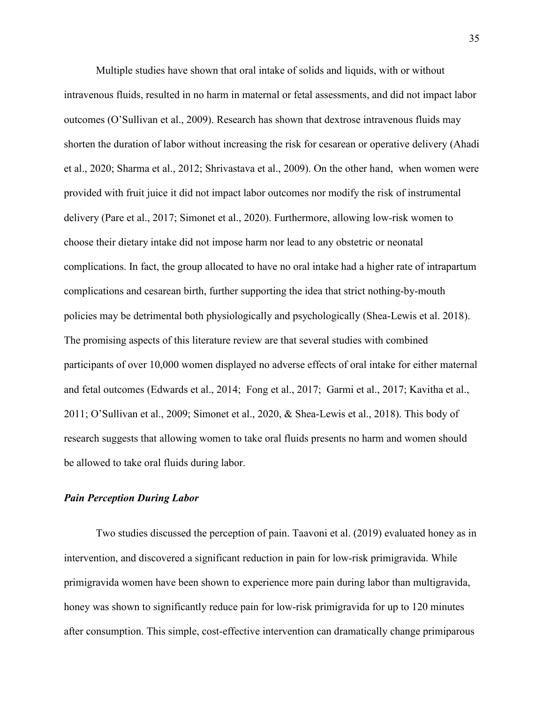Multiple studies have shown that oral intake of solids and liquids, with or without intravenous fluids, resulted in no harm in maternal or fetal assessments, and did not impact labor outcomes (O'Sullivan et al., 2009). Research has shown that dextrose intravenous fluids may shorten the duration of labor without increasing the risk for cesarean or operative delivery (Ahadi et al., 2020; Sharma et al., 2012; Shrivastava et al., 2009). On the other hand, when women were provided with fruit juice it did not impact labor outcomes nor modify the risk of instrumental delivery (Pare et al., 2017; Simonet et al., 2020). Furthermore, allowing low-risk women to choose their dietary intake did not impose harm nor lead to any obstetric or neonatal complications. In fact, the group allocated to have no oral intake had a higher rate of intrapartum complications and cesarean birth, further supporting the idea that strict nothing-by-mouth policies may be detrimental both physiologically and psychologically (Shea-Lewis et al. 2018). The promising aspects of this literature review are that several studies with combined participants of over 10,000 women displayed no adverse effects of oral intake for either maternal and fetal outcomes (Edwards et al., 2014; Fong et al., 2017; Garmi et al., 2017; Kavitha et al., 2011; O'Sullivan et al., 2009; Simonet et al., 2020, & Shea-Lewis et al., 2018). This body of research suggests that allowing women to take oral fluids presents no harm and women should be allowed to take oral fluids during labor.

#### *Pain Perception During Labor*

Two studies discussed the perception of pain. Taavoni et al. (2019) evaluated honey as in intervention, and discovered a significant reduction in pain for low-risk primigravida. While primigravida women have been shown to experience more pain during labor than multigravida, honey was shown to significantly reduce pain for low-risk primigravida for up to 120 minutes after consumption. This simple, cost-effective intervention can dramatically change primiparous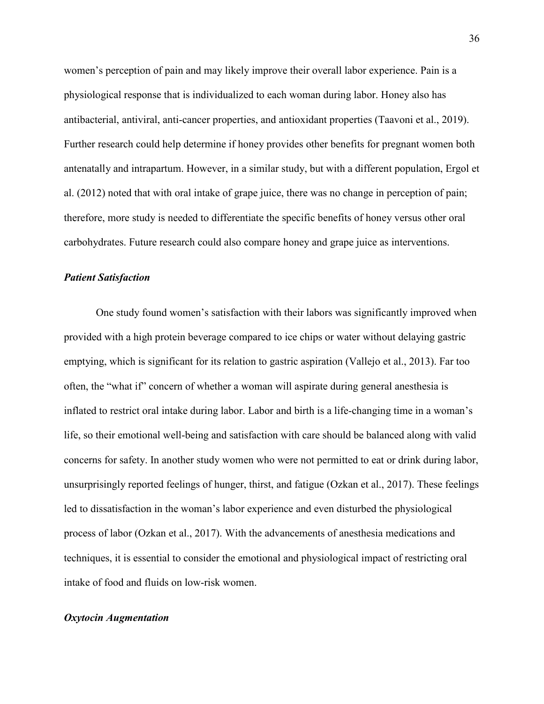women's perception of pain and may likely improve their overall labor experience. Pain is a physiological response that is individualized to each woman during labor. Honey also has antibacterial, antiviral, anti-cancer properties, and antioxidant properties (Taavoni et al., 2019). Further research could help determine if honey provides other benefits for pregnant women both antenatally and intrapartum. However, in a similar study, but with a different population, Ergol et al. (2012) noted that with oral intake of grape juice, there was no change in perception of pain; therefore, more study is needed to differentiate the specific benefits of honey versus other oral carbohydrates. Future research could also compare honey and grape juice as interventions.

## *Patient Satisfaction*

One study found women's satisfaction with their labors was significantly improved when provided with a high protein beverage compared to ice chips or water without delaying gastric emptying, which is significant for its relation to gastric aspiration (Vallejo et al., 2013). Far too often, the "what if" concern of whether a woman will aspirate during general anesthesia is inflated to restrict oral intake during labor. Labor and birth is a life-changing time in a woman's life, so their emotional well-being and satisfaction with care should be balanced along with valid concerns for safety. In another study women who were not permitted to eat or drink during labor, unsurprisingly reported feelings of hunger, thirst, and fatigue (Ozkan et al., 2017). These feelings led to dissatisfaction in the woman's labor experience and even disturbed the physiological process of labor (Ozkan et al., 2017). With the advancements of anesthesia medications and techniques, it is essential to consider the emotional and physiological impact of restricting oral intake of food and fluids on low-risk women.

# *Oxytocin Augmentation*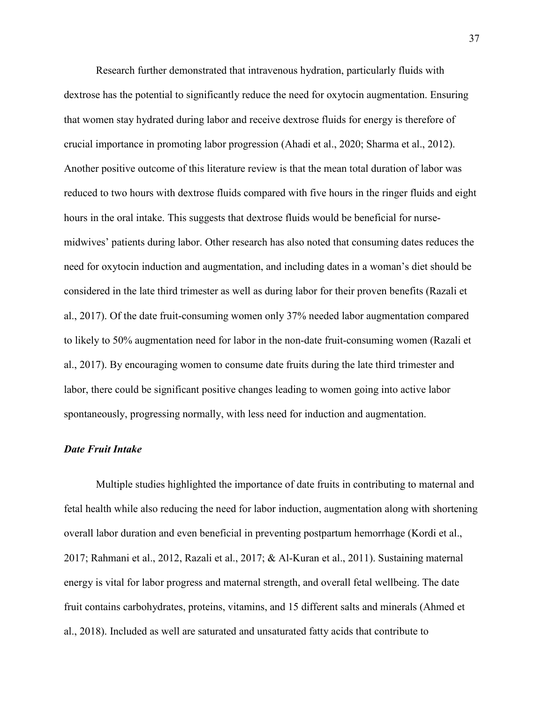Research further demonstrated that intravenous hydration, particularly fluids with dextrose has the potential to significantly reduce the need for oxytocin augmentation. Ensuring that women stay hydrated during labor and receive dextrose fluids for energy is therefore of crucial importance in promoting labor progression (Ahadi et al., 2020; Sharma et al., 2012). Another positive outcome of this literature review is that the mean total duration of labor was reduced to two hours with dextrose fluids compared with five hours in the ringer fluids and eight hours in the oral intake. This suggests that dextrose fluids would be beneficial for nursemidwives' patients during labor. Other research has also noted that consuming dates reduces the need for oxytocin induction and augmentation, and including dates in a woman's diet should be considered in the late third trimester as well as during labor for their proven benefits (Razali et al., 2017). Of the date fruit-consuming women only 37% needed labor augmentation compared to likely to 50% augmentation need for labor in the non-date fruit-consuming women (Razali et al., 2017). By encouraging women to consume date fruits during the late third trimester and labor, there could be significant positive changes leading to women going into active labor spontaneously, progressing normally, with less need for induction and augmentation.

# *Date Fruit Intake*

Multiple studies highlighted the importance of date fruits in contributing to maternal and fetal health while also reducing the need for labor induction, augmentation along with shortening overall labor duration and even beneficial in preventing postpartum hemorrhage (Kordi et al., 2017; Rahmani et al., 2012, Razali et al., 2017; & Al-Kuran et al., 2011). Sustaining maternal energy is vital for labor progress and maternal strength, and overall fetal wellbeing. The date fruit contains carbohydrates, proteins, vitamins, and 15 different salts and minerals (Ahmed et al., 2018). Included as well are saturated and unsaturated fatty acids that contribute to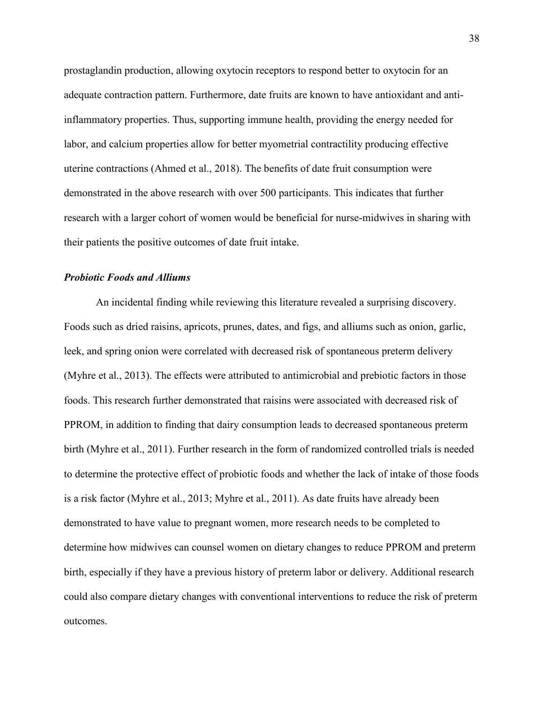prostaglandin production, allowing oxytocin receptors to respond better to oxytocin for an adequate contraction pattern. Furthermore, date fruits are known to have antioxidant and antiinflammatory properties. Thus, supporting immune health, providing the energy needed for labor, and calcium properties allow for better myometrial contractility producing effective uterine contractions (Ahmed et al., 2018). The benefits of date fruit consumption were demonstrated in the above research with over 500 participants. This indicates that further research with a larger cohort of women would be beneficial for nurse-midwives in sharing with their patients the positive outcomes of date fruit intake.

## *Probiotic Foods and Alliums*

An incidental finding while reviewing this literature revealed a surprising discovery. Foods such as dried raisins, apricots, prunes, dates, and figs, and alliums such as onion, garlic, leek, and spring onion were correlated with decreased risk of spontaneous preterm delivery (Myhre et al., 2013). The effects were attributed to antimicrobial and prebiotic factors in those foods. This research further demonstrated that raisins were associated with decreased risk of PPROM, in addition to finding that dairy consumption leads to decreased spontaneous preterm birth (Myhre et al., 2011). Further research in the form of randomized controlled trials is needed to determine the protective effect of probiotic foods and whether the lack of intake of those foods is a risk factor (Myhre et al., 2013; Myhre et al., 2011). As date fruits have already been demonstrated to have value to pregnant women, more research needs to be completed to determine how midwives can counsel women on dietary changes to reduce PPROM and preterm birth, especially if they have a previous history of preterm labor or delivery. Additional research could also compare dietary changes with conventional interventions to reduce the risk of preterm outcomes.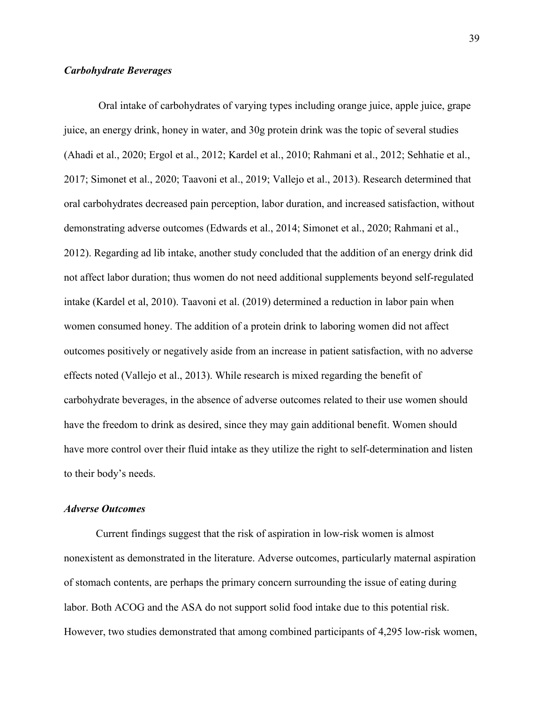# *Carbohydrate Beverages*

Oral intake of carbohydrates of varying types including orange juice, apple juice, grape juice, an energy drink, honey in water, and 30g protein drink was the topic of several studies (Ahadi et al., 2020; Ergol et al., 2012; Kardel et al., 2010; Rahmani et al., 2012; Sehhatie et al., 2017; Simonet et al., 2020; Taavoni et al., 2019; Vallejo et al., 2013). Research determined that oral carbohydrates decreased pain perception, labor duration, and increased satisfaction, without demonstrating adverse outcomes (Edwards et al., 2014; Simonet et al., 2020; Rahmani et al., 2012). Regarding ad lib intake, another study concluded that the addition of an energy drink did not affect labor duration; thus women do not need additional supplements beyond self-regulated intake (Kardel et al, 2010). Taavoni et al. (2019) determined a reduction in labor pain when women consumed honey. The addition of a protein drink to laboring women did not affect outcomes positively or negatively aside from an increase in patient satisfaction, with no adverse effects noted (Vallejo et al., 2013). While research is mixed regarding the benefit of carbohydrate beverages, in the absence of adverse outcomes related to their use women should have the freedom to drink as desired, since they may gain additional benefit. Women should have more control over their fluid intake as they utilize the right to self-determination and listen to their body's needs.

# *Adverse Outcomes*

Current findings suggest that the risk of aspiration in low-risk women is almost nonexistent as demonstrated in the literature. Adverse outcomes, particularly maternal aspiration of stomach contents, are perhaps the primary concern surrounding the issue of eating during labor. Both ACOG and the ASA do not support solid food intake due to this potential risk. However, two studies demonstrated that among combined participants of 4,295 low-risk women,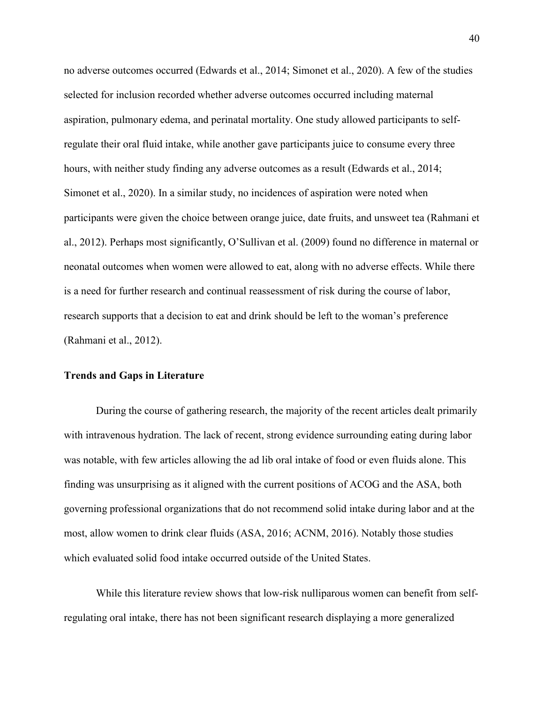no adverse outcomes occurred (Edwards et al., 2014; Simonet et al., 2020). A few of the studies selected for inclusion recorded whether adverse outcomes occurred including maternal aspiration, pulmonary edema, and perinatal mortality. One study allowed participants to selfregulate their oral fluid intake, while another gave participants juice to consume every three hours, with neither study finding any adverse outcomes as a result (Edwards et al., 2014; Simonet et al., 2020). In a similar study, no incidences of aspiration were noted when participants were given the choice between orange juice, date fruits, and unsweet tea (Rahmani et al., 2012). Perhaps most significantly, O'Sullivan et al. (2009) found no difference in maternal or neonatal outcomes when women were allowed to eat, along with no adverse effects. While there is a need for further research and continual reassessment of risk during the course of labor, research supports that a decision to eat and drink should be left to the woman's preference (Rahmani et al., 2012).

#### **Trends and Gaps in Literature**

During the course of gathering research, the majority of the recent articles dealt primarily with intravenous hydration. The lack of recent, strong evidence surrounding eating during labor was notable, with few articles allowing the ad lib oral intake of food or even fluids alone. This finding was unsurprising as it aligned with the current positions of ACOG and the ASA, both governing professional organizations that do not recommend solid intake during labor and at the most, allow women to drink clear fluids (ASA, 2016; ACNM, 2016). Notably those studies which evaluated solid food intake occurred outside of the United States.

While this literature review shows that low-risk nulliparous women can benefit from selfregulating oral intake, there has not been significant research displaying a more generalized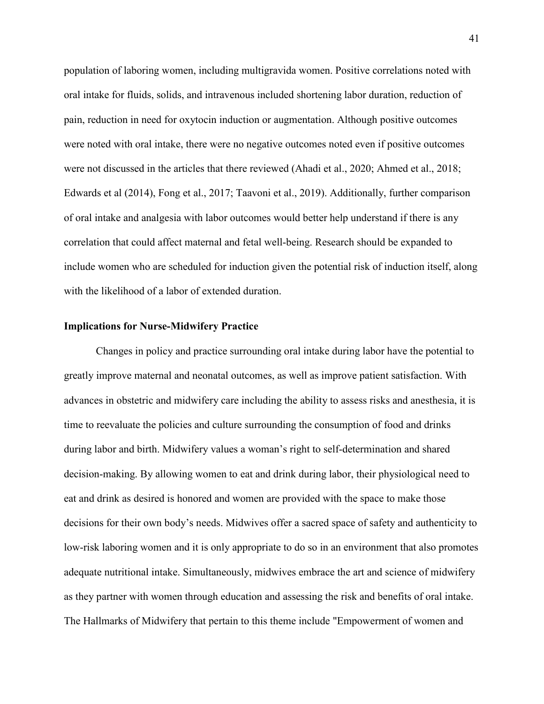population of laboring women, including multigravida women. Positive correlations noted with oral intake for fluids, solids, and intravenous included shortening labor duration, reduction of pain, reduction in need for oxytocin induction or augmentation. Although positive outcomes were noted with oral intake, there were no negative outcomes noted even if positive outcomes were not discussed in the articles that there reviewed (Ahadi et al., 2020; Ahmed et al., 2018; Edwards et al (2014), Fong et al., 2017; Taavoni et al., 2019). Additionally, further comparison of oral intake and analgesia with labor outcomes would better help understand if there is any correlation that could affect maternal and fetal well-being. Research should be expanded to include women who are scheduled for induction given the potential risk of induction itself, along with the likelihood of a labor of extended duration.

#### **Implications for Nurse-Midwifery Practice**

 Changes in policy and practice surrounding oral intake during labor have the potential to greatly improve maternal and neonatal outcomes, as well as improve patient satisfaction. With advances in obstetric and midwifery care including the ability to assess risks and anesthesia, it is time to reevaluate the policies and culture surrounding the consumption of food and drinks during labor and birth. Midwifery values a woman's right to self-determination and shared decision-making. By allowing women to eat and drink during labor, their physiological need to eat and drink as desired is honored and women are provided with the space to make those decisions for their own body's needs. Midwives offer a sacred space of safety and authenticity to low-risk laboring women and it is only appropriate to do so in an environment that also promotes adequate nutritional intake. Simultaneously, midwives embrace the art and science of midwifery as they partner with women through education and assessing the risk and benefits of oral intake. The Hallmarks of Midwifery that pertain to this theme include "Empowerment of women and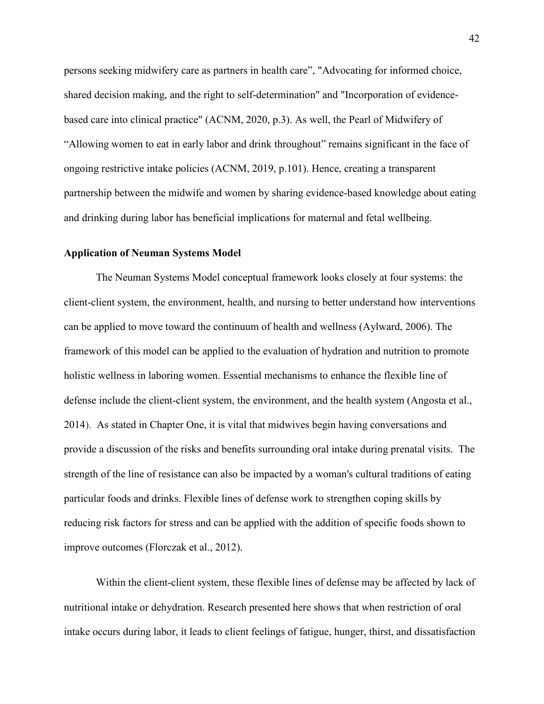persons seeking midwifery care as partners in health care", "Advocating for informed choice, shared decision making, and the right to self-determination" and "Incorporation of evidencebased care into clinical practice" (ACNM, 2020, p.3). As well, the Pearl of Midwifery of "Allowing women to eat in early labor and drink throughout" remains significant in the face of ongoing restrictive intake policies (ACNM, 2019, p.101). Hence, creating a transparent partnership between the midwife and women by sharing evidence-based knowledge about eating and drinking during labor has beneficial implications for maternal and fetal wellbeing.

#### **Application of Neuman Systems Model**

The Neuman Systems Model conceptual framework looks closely at four systems: the client-client system, the environment, health, and nursing to better understand how interventions can be applied to move toward the continuum of health and wellness (Aylward, 2006). The framework of this model can be applied to the evaluation of hydration and nutrition to promote holistic wellness in laboring women. Essential mechanisms to enhance the flexible line of defense include the client-client system, the environment, and the health system (Angosta et al., 2014). As stated in Chapter One, it is vital that midwives begin having conversations and provide a discussion of the risks and benefits surrounding oral intake during prenatal visits. The strength of the line of resistance can also be impacted by a woman's cultural traditions of eating particular foods and drinks. Flexible lines of defense work to strengthen coping skills by reducing risk factors for stress and can be applied with the addition of specific foods shown to improve outcomes (Florczak et al., 2012).

Within the client-client system, these flexible lines of defense may be affected by lack of nutritional intake or dehydration. Research presented here shows that when restriction of oral intake occurs during labor, it leads to client feelings of fatigue, hunger, thirst, and dissatisfaction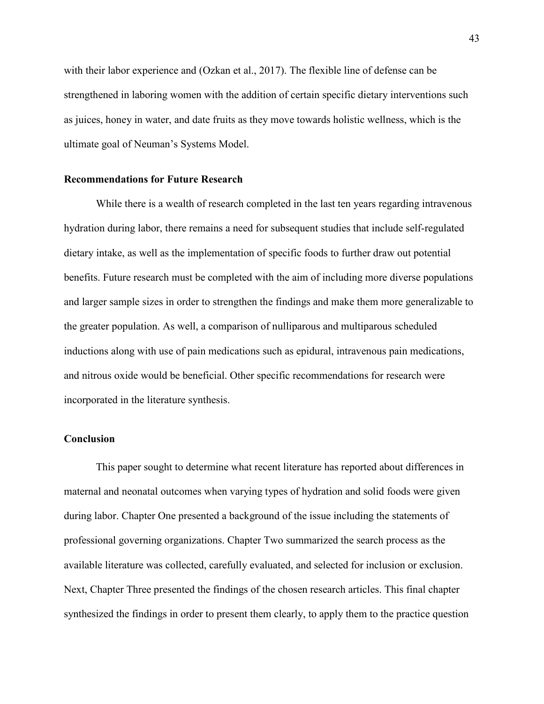with their labor experience and (Ozkan et al., 2017). The flexible line of defense can be strengthened in laboring women with the addition of certain specific dietary interventions such as juices, honey in water, and date fruits as they move towards holistic wellness, which is the ultimate goal of Neuman's Systems Model.

## **Recommendations for Future Research**

While there is a wealth of research completed in the last ten years regarding intravenous hydration during labor, there remains a need for subsequent studies that include self-regulated dietary intake, as well as the implementation of specific foods to further draw out potential benefits. Future research must be completed with the aim of including more diverse populations and larger sample sizes in order to strengthen the findings and make them more generalizable to the greater population. As well, a comparison of nulliparous and multiparous scheduled inductions along with use of pain medications such as epidural, intravenous pain medications, and nitrous oxide would be beneficial. Other specific recommendations for research were incorporated in the literature synthesis.

## **Conclusion**

This paper sought to determine what recent literature has reported about differences in maternal and neonatal outcomes when varying types of hydration and solid foods were given during labor. Chapter One presented a background of the issue including the statements of professional governing organizations. Chapter Two summarized the search process as the available literature was collected, carefully evaluated, and selected for inclusion or exclusion. Next, Chapter Three presented the findings of the chosen research articles. This final chapter synthesized the findings in order to present them clearly, to apply them to the practice question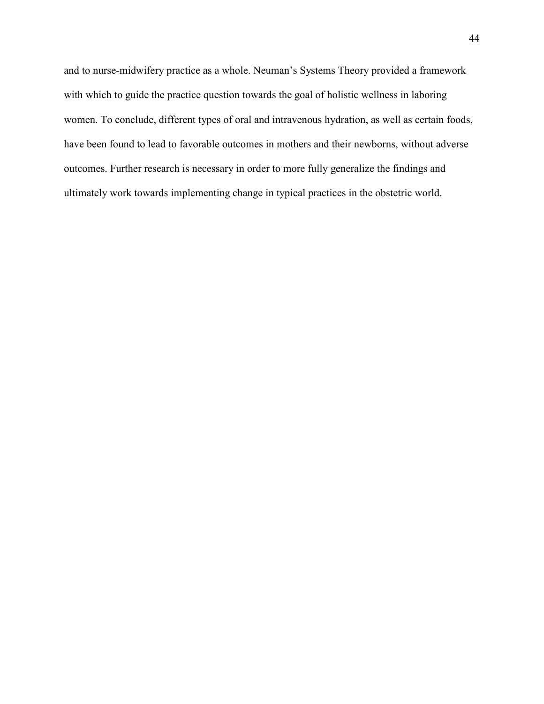and to nurse-midwifery practice as a whole. Neuman's Systems Theory provided a framework with which to guide the practice question towards the goal of holistic wellness in laboring women. To conclude, different types of oral and intravenous hydration, as well as certain foods, have been found to lead to favorable outcomes in mothers and their newborns, without adverse outcomes. Further research is necessary in order to more fully generalize the findings and ultimately work towards implementing change in typical practices in the obstetric world.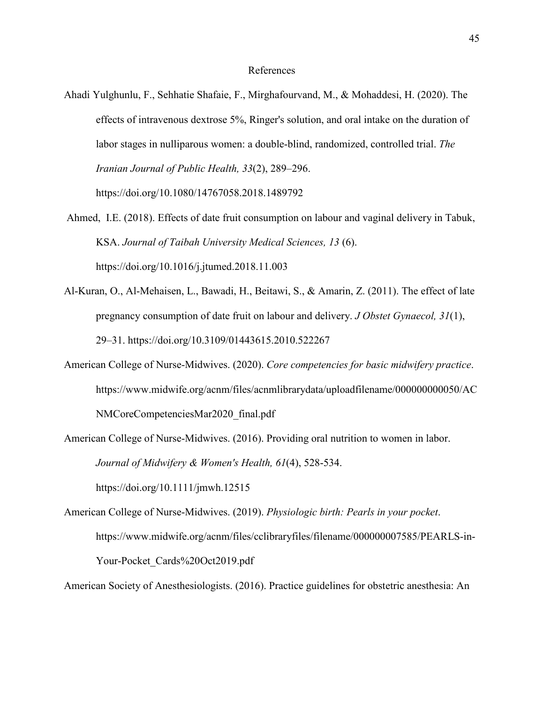### References

- Ahadi Yulghunlu, F., Sehhatie Shafaie, F., Mirghafourvand, M., & Mohaddesi, H. (2020). The effects of intravenous dextrose 5%, Ringer's solution, and oral intake on the duration of labor stages in nulliparous women: a double-blind, randomized, controlled trial. *The Iranian Journal of Public Health, 33*(2), 289–296. https://doi.org/10.1080/14767058.2018.1489792
- Ahmed, I.E. (2018). Effects of date fruit consumption on labour and vaginal delivery in Tabuk, KSA. *Journal of Taibah University Medical Sciences, 13* (6). https://doi.org/10.1016/j.jtumed.2018.11.003
- Al-Kuran, O., Al-Mehaisen, L., Bawadi, H., Beitawi, S., & Amarin, Z. (2011). The effect of late pregnancy consumption of date fruit on labour and delivery. *J Obstet Gynaecol, 31*(1), 29–31. https://doi.org/10.3109/01443615.2010.522267
- American College of Nurse-Midwives. (2020). *Core competencies for basic midwifery practice*. https://www.midwife.org/acnm/files/acnmlibrarydata/uploadfilename/000000000050/AC NMCoreCompetenciesMar2020\_final.pdf
- American College of Nurse-Midwives. (2016). Providing oral nutrition to women in labor. *Journal of Midwifery & Women's Health, 61*(4), 528-534. <https://doi.org/10.1111/jmwh.12515>
- American College of Nurse-Midwives. (2019). *Physiologic birth: Pearls in your pocket*. <https://www.midwife.org/acnm/files/cclibraryfiles/filename/000000007585/PEARLS-in->Your-Pocket Cards%20Oct2019.pdf

American Society of Anesthesiologists. (2016). Practice guidelines for obstetric anesthesia: An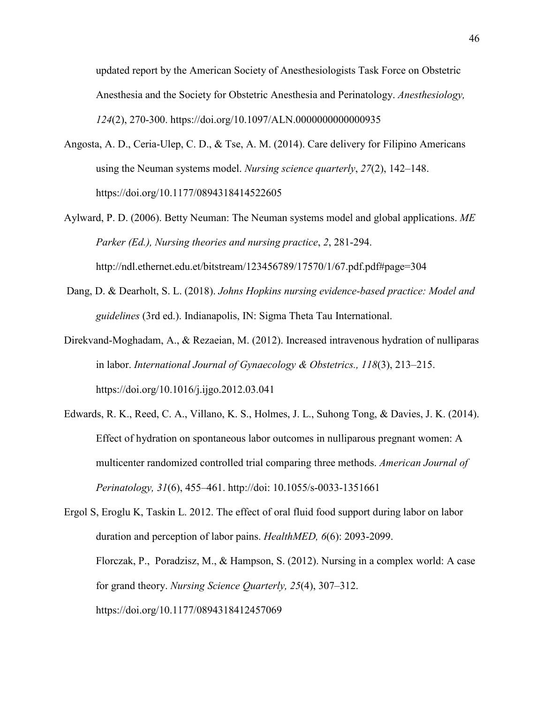updated report by the American Society of Anesthesiologists Task Force on Obstetric Anesthesia and the Society for Obstetric Anesthesia and Perinatology. *Anesthesiology, 124*(2), 270‐300. https://doi.org/10.1097/ALN.0000000000000935

- Angosta, A. D., Ceria-Ulep, C. D., & Tse, A. M. (2014). Care delivery for Filipino Americans using the Neuman systems model. *Nursing science quarterly*, *27*(2), 142–148. https://doi.org/10.1177/0894318414522605
- Aylward, P. D. (2006). Betty Neuman: The Neuman systems model and global applications. *ME Parker (Ed.), Nursing theories and nursing practice*, *2*, 281-294. http://ndl.ethernet.edu.et/bitstream/123456789/17570/1/67.pdf.pdf#page=304
- Dang, D. & Dearholt, S. L. (2018). *Johns Hopkins nursing evidence-based practice: Model and guidelines* (3rd ed.). Indianapolis, IN: Sigma Theta Tau International.
- Direkvand-Moghadam, A., & Rezaeian, M. (2012). Increased intravenous hydration of nulliparas in labor. *International Journal of Gynaecology & Obstetrics., 118*(3), 213–215. https://doi.org/10.1016/j.ijgo.2012.03.041
- Edwards, R. K., Reed, C. A., Villano, K. S., Holmes, J. L., Suhong Tong, & Davies, J. K. (2014). Effect of hydration on spontaneous labor outcomes in nulliparous pregnant women: A multicenter randomized controlled trial comparing three methods. *American Journal of Perinatology, 31*(6), 455–461. http://doi: 10.1055/s-0033-1351661

Ergol S, Eroglu K, Taskin L. 2012. The effect of oral fluid food support during labor on labor duration and perception of labor pains. *HealthMED, 6*(6): 2093-2099. Florczak, P., Poradzisz, M., & Hampson, S. (2012). Nursing in a complex world: A case for grand theory. *Nursing Science Quarterly, 25*(4), 307–312. <https://doi.org/10.1177/0894318412457069>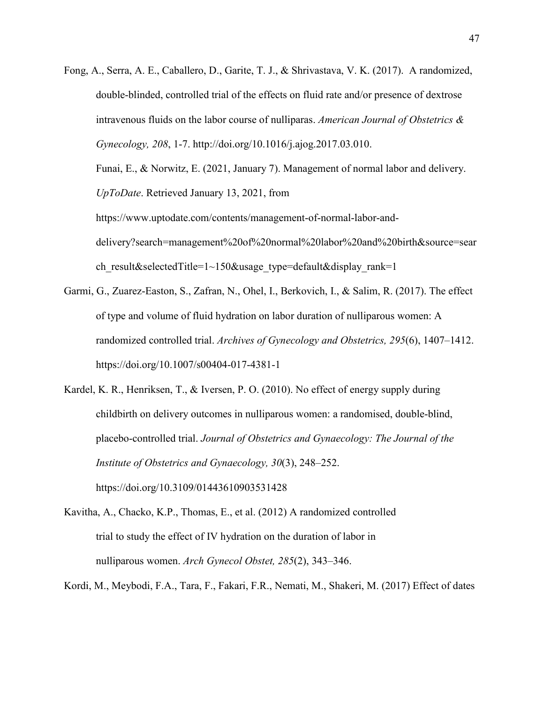Fong, A., Serra, A. E., Caballero, D., Garite, T. J., & Shrivastava, V. K. (2017). A randomized, double-blinded, controlled trial of the effects on fluid rate and/or presence of dextrose intravenous fluids on the labor course of nulliparas. *American Journal of Obstetrics & Gynecology, 208*, 1-7. http://doi.org/10.1016/j.ajog.2017.03.010. Funai, E., & Norwitz, E. (2021, January 7). Management of normal labor and delivery. *UpToDate*. Retrieved January 13, 2021, from [https://www.uptodate.com/contents/management-of-normal-labor-and](https://www.uptodate.com/contents/management-of-normal-labor-and-delivery?search=management%20of%20normal%20labor%20and%20birth&source=search_result&selectedTitle=1%7E150&usage_type=default&display_rank=1)[delivery?search=management%20of%20normal%20labor%20and%20birth&source=sear](https://www.uptodate.com/contents/management-of-normal-labor-and-delivery?search=management%20of%20normal%20labor%20and%20birth&source=search_result&selectedTitle=1%7E150&usage_type=default&display_rank=1)

ch result&selectedTitle=1~150&usage type=default&display rank=1

- Garmi, G., Zuarez-Easton, S., Zafran, N., Ohel, I., Berkovich, I., & Salim, R. (2017). The effect of type and volume of fluid hydration on labor duration of nulliparous women: A randomized controlled trial. *Archives of Gynecology and Obstetrics, 295*(6), 1407–1412. https://doi.org/10.1007/s00404-017-4381-1
- Kardel, K. R., Henriksen, T., & Iversen, P. O. (2010). No effect of energy supply during childbirth on delivery outcomes in nulliparous women: a randomised, double-blind, placebo-controlled trial. *Journal of Obstetrics and Gynaecology: The Journal of the Institute of Obstetrics and Gynaecology, 30*(3), 248–252. https://doi.org/10.3109/01443610903531428
- Kavitha, A., Chacko, K.P., Thomas, E., et al. (2012) A randomized controlled trial to study the effect of IV hydration on the duration of labor in nulliparous women. *Arch Gynecol Obstet, 285*(2), 343–346.

Kordi, M., Meybodi, F.A., Tara, F., Fakari, F.R., Nemati, M., Shakeri, M. (2017) Effect of dates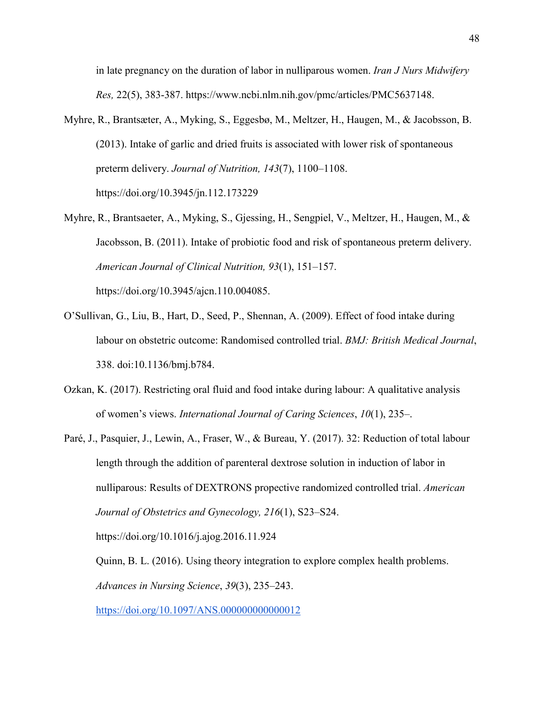in late pregnancy on the duration of labor in nulliparous women. *Iran J Nurs Midwifery Res,* 22(5), 383-387. https://www.ncbi.nlm.nih.gov/pmc/articles/PMC5637148.

- Myhre, R., Brantsæter, A., Myking, S., Eggesbø, M., Meltzer, H., Haugen, M., & Jacobsson, B. (2013). Intake of garlic and dried fruits is associated with lower risk of spontaneous preterm delivery. *Journal of Nutrition, 143*(7), 1100–1108. https://doi.org/10.3945/jn.112.173229
- Myhre, R., Brantsaeter, A., Myking, S., Gjessing, H., Sengpiel, V., Meltzer, H., Haugen, M., & Jacobsson, B. (2011). Intake of probiotic food and risk of spontaneous preterm delivery. *American Journal of Clinical Nutrition, 93*(1), 151–157.

https://doi.org/10.3945/ajcn.110.004085.

- O'Sullivan, G., Liu, B., Hart, D., Seed, P., Shennan, A. (2009). Effect of food intake during labour on obstetric outcome: Randomised controlled trial. *BMJ: British Medical Journal*, 338. doi:10.1136/bmj.b784.
- Ozkan, K. (2017). Restricting oral fluid and food intake during labour: A qualitative analysis of women's views. *International Journal of Caring Sciences*, *10*(1), 235–.
- Paré, J., Pasquier, J., Lewin, A., Fraser, W., & Bureau, Y. (2017). 32: Reduction of total labour length through the addition of parenteral dextrose solution in induction of labor in nulliparous: Results of DEXTRONS propective randomized controlled trial. *American Journal of Obstetrics and Gynecology, 216*(1), S23–S24. https://doi.org/10.1016/j.ajog.2016.11.924 Quinn, B. L. (2016). Using theory integration to explore complex health problems.

*Advances in Nursing Science*, *39*(3), 235–243.

<https://doi.org/10.1097/ANS.000000000000012>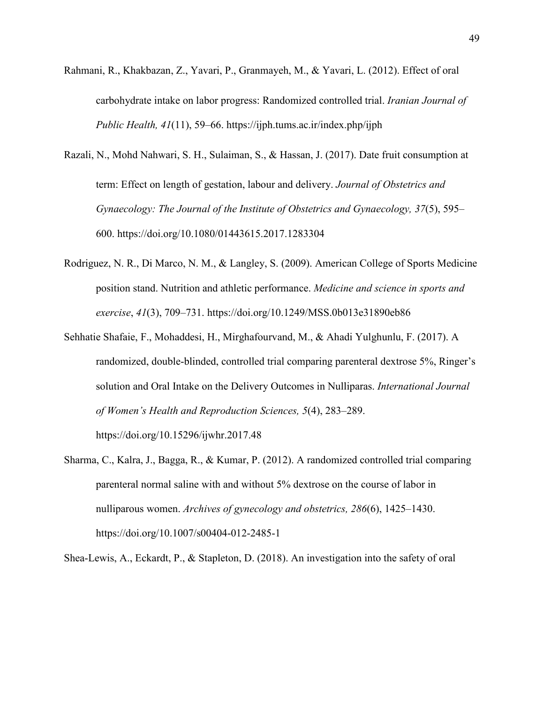- Rahmani, R., Khakbazan, Z., Yavari, P., Granmayeh, M., & Yavari, L. (2012). Effect of oral carbohydrate intake on labor progress: Randomized controlled trial. *Iranian Journal of Public Health, 41*(11), 59–66. https://ijph.tums.ac.ir/index.php/ijph
- Razali, N., Mohd Nahwari, S. H., Sulaiman, S., & Hassan, J. (2017). Date fruit consumption at term: Effect on length of gestation, labour and delivery. *Journal of Obstetrics and Gynaecology: The Journal of the Institute of Obstetrics and Gynaecology, 37*(5), 595– 600[. https://doi.org/10.1080/01443615.2017.1283304](https://doi.org/10.1080/01443615.2017.1283304)
- Rodriguez, N. R., Di Marco, N. M., & Langley, S. (2009). American College of Sports Medicine position stand. Nutrition and athletic performance. *Medicine and science in sports and exercise*, *41*(3), 709–731. https://doi.org/10.1249/MSS.0b013e31890eb86
- Sehhatie Shafaie, F., Mohaddesi, H., Mirghafourvand, M., & Ahadi Yulghunlu, F. (2017). A randomized, double-blinded, controlled trial comparing parenteral dextrose 5%, Ringer's solution and Oral Intake on the Delivery Outcomes in Nulliparas. *International Journal of Women's Health and Reproduction Sciences, 5*(4), 283–289.

https://doi.org/10.15296/ijwhr.2017.48

Sharma, C., Kalra, J., Bagga, R., & Kumar, P. (2012). A randomized controlled trial comparing parenteral normal saline with and without 5% dextrose on the course of labor in nulliparous women. *Archives of gynecology and obstetrics, 286*(6), 1425–1430. https://doi.org/10.1007/s00404-012-2485-1

Shea-Lewis, A., Eckardt, P., & Stapleton, D. (2018). An investigation into the safety of oral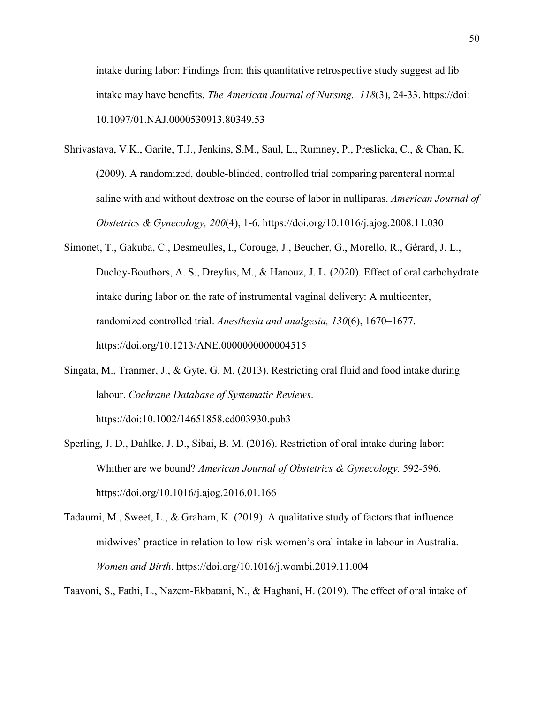intake during labor: Findings from this quantitative retrospective study suggest ad lib intake may have benefits. *The American Journal of Nursing., 118*(3), 24-33. https://doi: 10.1097/01.NAJ.0000530913.80349.53

- Shrivastava, V.K., Garite, T.J., Jenkins, S.M., Saul, L., Rumney, P., Preslicka, C., & Chan, K. (2009). A randomized, double-blinded, controlled trial comparing parenteral normal saline with and without dextrose on the course of labor in nulliparas. *American Journal of Obstetrics & Gynecology, 200*(4), 1-6. https://doi.org/10.1016/j.ajog.2008.11.030
- Simonet, T., Gakuba, C., Desmeulles, I., Corouge, J., Beucher, G., Morello, R., Gérard, J. L., Ducloy-Bouthors, A. S., Dreyfus, M., & Hanouz, J. L. (2020). Effect of oral carbohydrate intake during labor on the rate of instrumental vaginal delivery: A multicenter, randomized controlled trial. *Anesthesia and analgesia, 130*(6), 1670–1677. https://doi.org/10.1213/ANE.0000000000004515
- Singata, M., Tranmer, J., & Gyte, G. M. (2013). Restricting oral fluid and food intake during labour. *Cochrane Database of Systematic Reviews*. https://doi:10.1002/14651858.cd003930.pub3
- Sperling, J. D., Dahlke, J. D., Sibai, B. M. (2016). Restriction of oral intake during labor: Whither are we bound? *American Journal of Obstetrics & Gynecology.* 592-596. [https://doi.org/10.1016/j.ajog.2016.01.166](http://dx.doi.org/10.1016/j.ajog.2016.01.166)
- Tadaumi, M., Sweet, L., & Graham, K. (2019). A qualitative study of factors that influence midwives' practice in relation to low-risk women's oral intake in labour in Australia. *Women and Birth*. https://doi.org/10.1016/j.wombi.2019.11.004

Taavoni, S., Fathi, L., Nazem-Ekbatani, N., & Haghani, H. (2019). The effect of oral intake of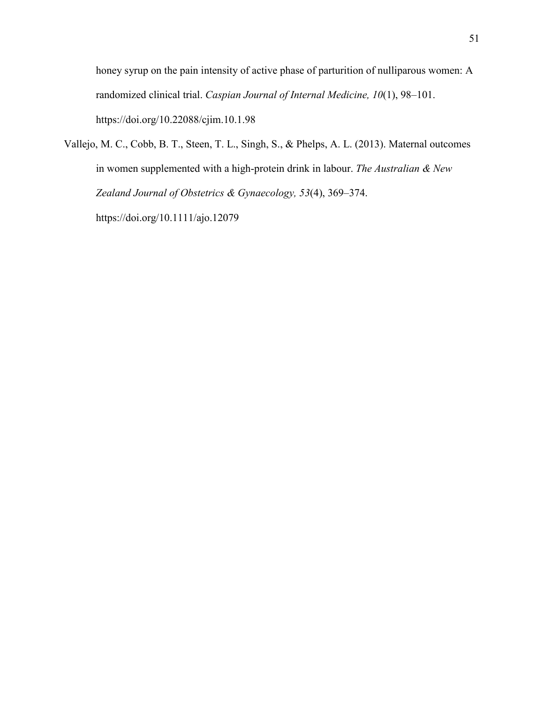honey syrup on the pain intensity of active phase of parturition of nulliparous women: A randomized clinical trial. *Caspian Journal of Internal Medicine, 10*(1), 98–101. https://doi.org/10.22088/cjim.10.1.98

Vallejo, M. C., Cobb, B. T., Steen, T. L., Singh, S., & Phelps, A. L. (2013). Maternal outcomes in women supplemented with a high-protein drink in labour. *The Australian & New Zealand Journal of Obstetrics & Gynaecology, 53*(4), 369–374. https://doi.org/10.1111/ajo.12079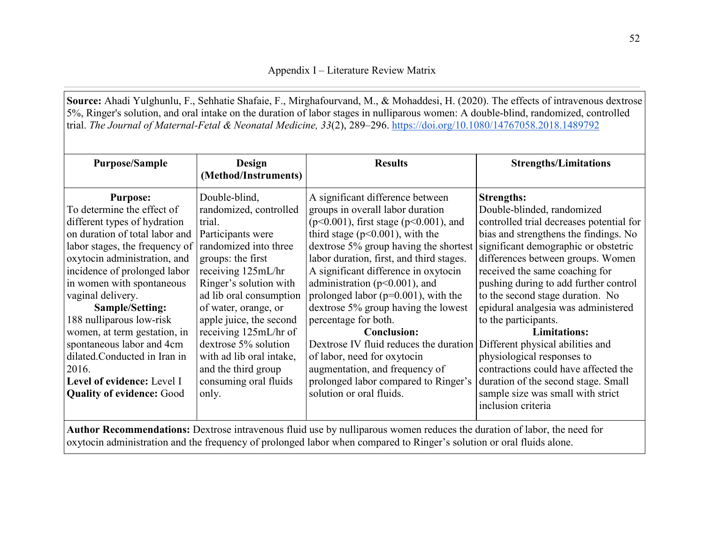**Source:** Ahadi Yulghunlu, F., Sehhatie Shafaie, F., Mirghafourvand, M., & Mohaddesi, H. (2020). The effects of intravenous dextrose 5%, Ringer's solution, and oral intake on the duration of labor stages in nulliparous women: A double-blind, randomized, controlled trial. *The Journal of Maternal-Fetal & Neonatal Medicine, 33*(2), 289–296.<https://doi.org/10.1080/14767058.2018.1489792>

| <b>Purpose/Sample</b>                                                                                                                                                                                                                                                                                                                                                                                                                                  | Design<br>(Method/Instruments)                                                                                                                                                                                                                                                                                                                                                  | <b>Results</b>                                                                                                                                                                                                                                                                                                                                                                                                                                                                                                                                                                                                   | <b>Strengths/Limitations</b>                                                                                                                                                                                                                                                                                                                                                                                                                                                                                                                                            |  |
|--------------------------------------------------------------------------------------------------------------------------------------------------------------------------------------------------------------------------------------------------------------------------------------------------------------------------------------------------------------------------------------------------------------------------------------------------------|---------------------------------------------------------------------------------------------------------------------------------------------------------------------------------------------------------------------------------------------------------------------------------------------------------------------------------------------------------------------------------|------------------------------------------------------------------------------------------------------------------------------------------------------------------------------------------------------------------------------------------------------------------------------------------------------------------------------------------------------------------------------------------------------------------------------------------------------------------------------------------------------------------------------------------------------------------------------------------------------------------|-------------------------------------------------------------------------------------------------------------------------------------------------------------------------------------------------------------------------------------------------------------------------------------------------------------------------------------------------------------------------------------------------------------------------------------------------------------------------------------------------------------------------------------------------------------------------|--|
| <b>Purpose:</b><br>To determine the effect of<br>different types of hydration<br>on duration of total labor and<br>labor stages, the frequency of<br>oxytocin administration, and<br>incidence of prolonged labor<br>in women with spontaneous<br>vaginal delivery.<br>Sample/Setting:<br>188 nulliparous low-risk<br>women, at term gestation, in<br>spontaneous labor and 4cm<br>dilated.Conducted in Iran in<br>2016.<br>Level of evidence: Level I | Double-blind,<br>randomized, controlled<br>trial.<br>Participants were<br>randomized into three<br>groups: the first<br>receiving 125mL/hr<br>Ringer's solution with<br>ad lib oral consumption<br>of water, orange, or<br>apple juice, the second<br>receiving 125mL/hr of<br>dextrose 5% solution<br>with ad lib oral intake,<br>and the third group<br>consuming oral fluids | A significant difference between<br>groups in overall labor duration<br>$(p<0.001)$ , first stage ( $p<0.001$ ), and<br>third stage ( $p<0.001$ ), with the<br>dextrose 5% group having the shortest<br>labor duration, first, and third stages.<br>A significant difference in oxytocin<br>administration ( $p<0.001$ ), and<br>prolonged labor ( $p=0.001$ ), with the<br>dextrose 5% group having the lowest<br>percentage for both.<br><b>Conclusion:</b><br>Dextrose IV fluid reduces the duration<br>of labor, need for oxytocin<br>augmentation, and frequency of<br>prolonged labor compared to Ringer's | <b>Strengths:</b><br>Double-blinded, randomized<br>controlled trial decreases potential for<br>bias and strengthens the findings. No<br>significant demographic or obstetric<br>differences between groups. Women<br>received the same coaching for<br>pushing during to add further control<br>to the second stage duration. No<br>epidural analgesia was administered<br>to the participants.<br><b>Limitations:</b><br>Different physical abilities and<br>physiological responses to<br>contractions could have affected the<br>duration of the second stage. Small |  |
| <b>Quality of evidence: Good</b>                                                                                                                                                                                                                                                                                                                                                                                                                       | only.                                                                                                                                                                                                                                                                                                                                                                           | solution or oral fluids.                                                                                                                                                                                                                                                                                                                                                                                                                                                                                                                                                                                         | sample size was small with strict<br>inclusion criteria                                                                                                                                                                                                                                                                                                                                                                                                                                                                                                                 |  |
| Author Recommendations: Dextrose intravenous fluid use by nulliparous women reduces the duration of labor, the need for<br>oxytocin administration and the frequency of prolonged labor when compared to Ringer's solution or oral fluids alone.                                                                                                                                                                                                       |                                                                                                                                                                                                                                                                                                                                                                                 |                                                                                                                                                                                                                                                                                                                                                                                                                                                                                                                                                                                                                  |                                                                                                                                                                                                                                                                                                                                                                                                                                                                                                                                                                         |  |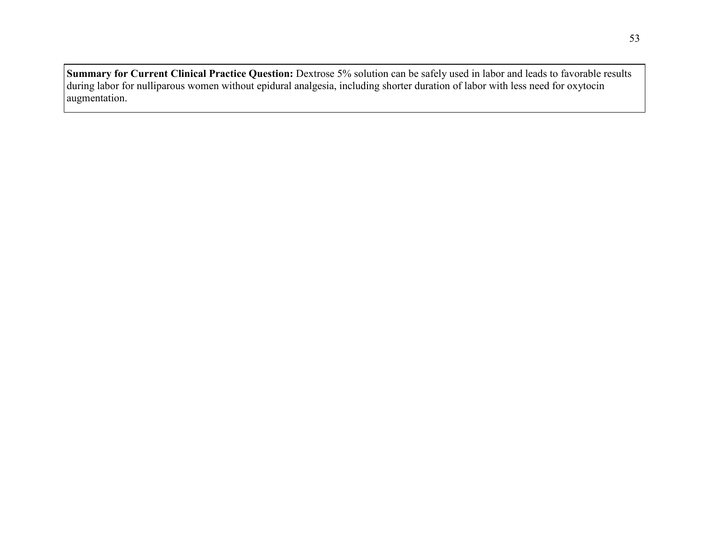**Summary for Current Clinical Practice Question:** Dextrose 5% solution can be safely used in labor and leads to favorable results during labor for nulliparous women without epidural analgesia, including shorter duration of labor with less need for oxytocin augmentation.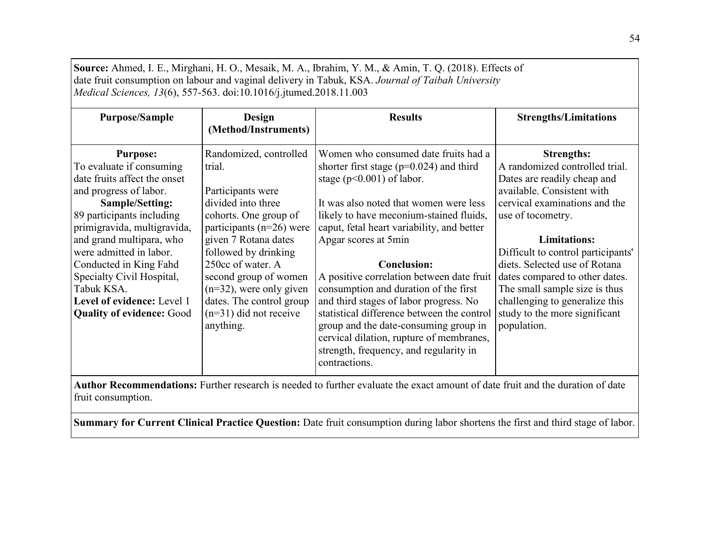| Source: Ahmed, I. E., Mirghani, H. O., Mesaik, M. A., Ibrahim, Y. M., & Amin, T. Q. (2018). Effects of<br>date fruit consumption on labour and vaginal delivery in Tabuk, KSA. Journal of Taibah University<br><i>Medical Sciences, 13(6), 557-563. doi:10.1016/j.jtumed.2018.11.003</i>                                                                                           |                                                                                                                                                                                                                                                                                                                                       |                                                                                                                                                                                                                                                                                                                                                                                                                                                                                                                                                                                                                                     |                                                                                                                                                                                                                                                                                                                                                                                                                           |
|------------------------------------------------------------------------------------------------------------------------------------------------------------------------------------------------------------------------------------------------------------------------------------------------------------------------------------------------------------------------------------|---------------------------------------------------------------------------------------------------------------------------------------------------------------------------------------------------------------------------------------------------------------------------------------------------------------------------------------|-------------------------------------------------------------------------------------------------------------------------------------------------------------------------------------------------------------------------------------------------------------------------------------------------------------------------------------------------------------------------------------------------------------------------------------------------------------------------------------------------------------------------------------------------------------------------------------------------------------------------------------|---------------------------------------------------------------------------------------------------------------------------------------------------------------------------------------------------------------------------------------------------------------------------------------------------------------------------------------------------------------------------------------------------------------------------|
| <b>Purpose/Sample</b>                                                                                                                                                                                                                                                                                                                                                              | Design<br>(Method/Instruments)                                                                                                                                                                                                                                                                                                        | <b>Results</b>                                                                                                                                                                                                                                                                                                                                                                                                                                                                                                                                                                                                                      | <b>Strengths/Limitations</b>                                                                                                                                                                                                                                                                                                                                                                                              |
| <b>Purpose:</b><br>To evaluate if consuming<br>date fruits affect the onset<br>and progress of labor.<br>Sample/Setting:<br>89 participants including<br>primigravida, multigravida,<br>and grand multipara, who<br>were admitted in labor.<br>Conducted in King Fahd<br>Specialty Civil Hospital,<br>Tabuk KSA.<br>Level of evidence: Level 1<br><b>Quality of evidence: Good</b> | Randomized, controlled<br>trial.<br>Participants were<br>divided into three<br>cohorts. One group of<br>participants ( $n=26$ ) were<br>given 7 Rotana dates<br>followed by drinking<br>250cc of water. A<br>second group of women<br>$(n=32)$ , were only given<br>dates. The control group<br>$(n=31)$ did not receive<br>anything. | Women who consumed date fruits had a<br>shorter first stage ( $p=0.024$ ) and third<br>stage ( $p<0.001$ ) of labor.<br>It was also noted that women were less<br>likely to have meconium-stained fluids,<br>caput, fetal heart variability, and better<br>Apgar scores at 5min<br><b>Conclusion:</b><br>A positive correlation between date fruit<br>consumption and duration of the first<br>and third stages of labor progress. No<br>statistical difference between the control<br>group and the date-consuming group in<br>cervical dilation, rupture of membranes,<br>strength, frequency, and regularity in<br>contractions. | <b>Strengths:</b><br>A randomized controlled trial.<br>Dates are readily cheap and<br>available. Consistent with<br>cervical examinations and the<br>use of tocometry.<br><b>Limitations:</b><br>Difficult to control participants'<br>diets. Selected use of Rotana<br>dates compared to other dates.<br>The small sample size is thus<br>challenging to generalize this<br>study to the more significant<br>population. |

**Author Recommendations:** Further research is needed to further evaluate the exact amount of date fruit and the duration of date fruit consumption.

**Summary for Current Clinical Practice Question:** Date fruit consumption during labor shortens the first and third stage of labor.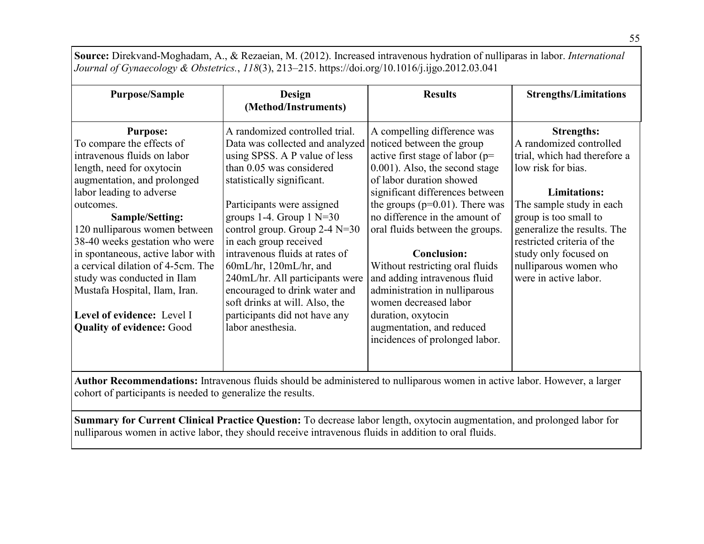**Source:** Direkvand-Moghadam, A., & Rezaeian, M. (2012). Increased intravenous hydration of nulliparas in labor. *International Journal of Gynaecology & Obstetrics.*, *118*(3), 213–215. https://doi.org/10.1016/j.ijgo.2012.03.041

| <b>Purpose/Sample</b>                                                                                                                                                                                                                                                                                 | Design<br>(Method/Instruments)                                                                                                                                                                                                                                                                                     | <b>Results</b>                                                                                                                                                                                                                                                                                            | <b>Strengths/Limitations</b>                                                                                                                                  |
|-------------------------------------------------------------------------------------------------------------------------------------------------------------------------------------------------------------------------------------------------------------------------------------------------------|--------------------------------------------------------------------------------------------------------------------------------------------------------------------------------------------------------------------------------------------------------------------------------------------------------------------|-----------------------------------------------------------------------------------------------------------------------------------------------------------------------------------------------------------------------------------------------------------------------------------------------------------|---------------------------------------------------------------------------------------------------------------------------------------------------------------|
| <b>Purpose:</b><br>To compare the effects of<br>intravenous fluids on labor<br>length, need for oxytocin<br>augmentation, and prolonged<br>labor leading to adverse<br>outcomes.                                                                                                                      | A randomized controlled trial.<br>Data was collected and analyzed<br>using SPSS. A P value of less<br>than 0.05 was considered<br>statistically significant.<br>Participants were assigned                                                                                                                         | A compelling difference was<br>noticed between the group<br>active first stage of labor ( $p=$<br>$0.001$ ). Also, the second stage<br>of labor duration showed<br>significant differences between<br>the groups ( $p=0.01$ ). There was                                                                  | <b>Strengths:</b><br>A randomized controlled<br>trial, which had therefore a<br>low risk for bias.<br><b>Limitations:</b><br>The sample study in each         |
| <b>Sample/Setting:</b><br>120 nulliparous women between<br>38-40 weeks gestation who were<br>in spontaneous, active labor with<br>a cervical dilation of 4-5cm. The<br>study was conducted in Ilam<br>Mustafa Hospital, Ilam, Iran.<br>Level of evidence: Level I<br><b>Quality of evidence: Good</b> | groups 1-4. Group $1 N=30$<br>control group. Group $2-4$ N=30<br>in each group received<br>intravenous fluids at rates of<br>$60mL/hr$ , 120mL/hr, and<br>240mL/hr. All participants were<br>encouraged to drink water and<br>soft drinks at will. Also, the<br>participants did not have any<br>labor anesthesia. | no difference in the amount of<br>oral fluids between the groups.<br><b>Conclusion:</b><br>Without restricting oral fluids<br>and adding intravenous fluid<br>administration in nulliparous<br>women decreased labor<br>duration, oxytocin<br>augmentation, and reduced<br>incidences of prolonged labor. | group is too small to<br>generalize the results. The<br>restricted criteria of the<br>study only focused on<br>nulliparous women who<br>were in active labor. |

**Author Recommendations:** Intravenous fluids should be administered to nulliparous women in active labor. However, a larger cohort of participants is needed to generalize the results.

**Summary for Current Clinical Practice Question:** To decrease labor length, oxytocin augmentation, and prolonged labor for nulliparous women in active labor, they should receive intravenous fluids in addition to oral fluids.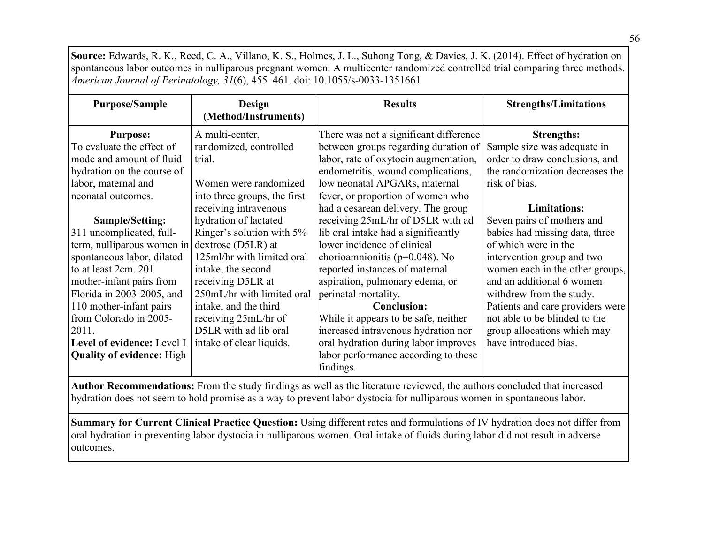**Source:** Edwards, R. K., Reed, C. A., Villano, K. S., Holmes, J. L., Suhong Tong, & Davies, J. K. (2014). Effect of hydration on spontaneous labor outcomes in nulliparous pregnant women: A multicenter randomized controlled trial comparing three methods. *American Journal of Perinatology, 31*(6), 455–461. doi: 10.1055/s-0033-1351661

| <b>Purpose/Sample</b>            | <b>Design</b><br>(Method/Instruments) | <b>Results</b>                         | <b>Strengths/Limitations</b>     |
|----------------------------------|---------------------------------------|----------------------------------------|----------------------------------|
| <b>Purpose:</b>                  | A multi-center,                       | There was not a significant difference | <b>Strengths:</b>                |
| To evaluate the effect of        | randomized, controlled                | between groups regarding duration of   | Sample size was adequate in      |
| mode and amount of fluid         | trial.                                | labor, rate of oxytocin augmentation,  | order to draw conclusions, and   |
| hydration on the course of       |                                       | endometritis, wound complications,     | the randomization decreases the  |
| labor, maternal and              | Women were randomized                 | low neonatal APGARs, maternal          | risk of bias.                    |
| neonatal outcomes.               | into three groups, the first          | fever, or proportion of women who      |                                  |
|                                  | receiving intravenous                 | had a cesarean delivery. The group     | <b>Limitations:</b>              |
| Sample/Setting:                  | hydration of lactated                 | receiving 25mL/hr of D5LR with ad      | Seven pairs of mothers and       |
| 311 uncomplicated, full-         | Ringer's solution with 5%             | lib oral intake had a significantly    | babies had missing data, three   |
| term, nulliparous women in       | dextrose (D5LR) at                    | lower incidence of clinical            | of which were in the             |
| spontaneous labor, dilated       | 125ml/hr with limited oral            | chorioamnionitis ( $p=0.048$ ). No     | intervention group and two       |
| to at least 2cm. 201             | intake, the second                    | reported instances of maternal         | women each in the other groups,  |
| mother-infant pairs from         | receiving D5LR at                     | aspiration, pulmonary edema, or        | and an additional 6 women        |
| Florida in 2003-2005, and        | 250mL/hr with limited oral            | perinatal mortality.                   | withdrew from the study.         |
| 110 mother-infant pairs          | intake, and the third                 | <b>Conclusion:</b>                     | Patients and care providers were |
| from Colorado in 2005-           | receiving 25mL/hr of                  | While it appears to be safe, neither   | not able to be blinded to the    |
| 2011.                            | D5LR with ad lib oral                 | increased intravenous hydration nor    | group allocations which may      |
| Level of evidence: Level I       | intake of clear liquids.              | oral hydration during labor improves   | have introduced bias.            |
| <b>Quality of evidence:</b> High |                                       | labor performance according to these   |                                  |
|                                  |                                       | findings.                              |                                  |

**Author Recommendations:** From the study findings as well as the literature reviewed, the authors concluded that increased hydration does not seem to hold promise as a way to prevent labor dystocia for nulliparous women in spontaneous labor.

**Summary for Current Clinical Practice Question:** Using different rates and formulations of IV hydration does not differ from oral hydration in preventing labor dystocia in nulliparous women. Oral intake of fluids during labor did not result in adverse outcomes.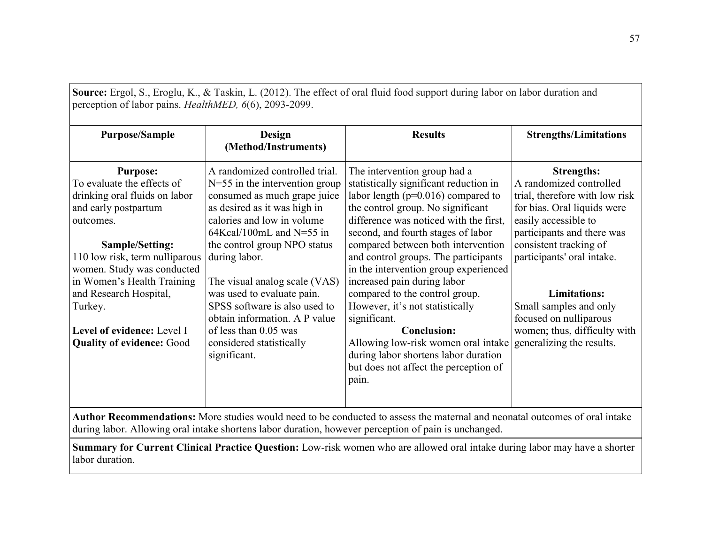| <b>Purpose/Sample</b>                                                                                                                                                                                                                                                                                                                       | Design<br>(Method/Instruments)                                                                                                                                                                                                                                                                                                                                                                                                                        | <b>Results</b>                                                                                                                                                                                                                                                                                                                                                                                                                                                                                                                                                                                                                          | <b>Strengths/Limitations</b>                                                                                                                                                                                                                                                                                                                                        |
|---------------------------------------------------------------------------------------------------------------------------------------------------------------------------------------------------------------------------------------------------------------------------------------------------------------------------------------------|-------------------------------------------------------------------------------------------------------------------------------------------------------------------------------------------------------------------------------------------------------------------------------------------------------------------------------------------------------------------------------------------------------------------------------------------------------|-----------------------------------------------------------------------------------------------------------------------------------------------------------------------------------------------------------------------------------------------------------------------------------------------------------------------------------------------------------------------------------------------------------------------------------------------------------------------------------------------------------------------------------------------------------------------------------------------------------------------------------------|---------------------------------------------------------------------------------------------------------------------------------------------------------------------------------------------------------------------------------------------------------------------------------------------------------------------------------------------------------------------|
| <b>Purpose:</b><br>To evaluate the effects of<br>drinking oral fluids on labor<br>and early postpartum<br>outcomes.<br>Sample/Setting:<br>110 low risk, term nulliparous<br>women. Study was conducted<br>in Women's Health Training<br>and Research Hospital,<br>Turkey.<br>Level of evidence: Level I<br><b>Quality of evidence: Good</b> | A randomized controlled trial.<br>$N=55$ in the intervention group<br>consumed as much grape juice<br>as desired as it was high in<br>calories and low in volume<br>$64Kcal/100mL$ and N=55 in<br>the control group NPO status<br>during labor.<br>The visual analog scale (VAS)<br>was used to evaluate pain.<br>SPSS software is also used to<br>obtain information. A P value<br>of less than 0.05 was<br>considered statistically<br>significant. | The intervention group had a<br>statistically significant reduction in<br>labor length ( $p=0.016$ ) compared to<br>the control group. No significant<br>difference was noticed with the first,<br>second, and fourth stages of labor<br>compared between both intervention<br>and control groups. The participants<br>in the intervention group experienced<br>increased pain during labor<br>compared to the control group.<br>However, it's not statistically<br>significant.<br><b>Conclusion:</b><br>Allowing low-risk women oral intake<br>during labor shortens labor duration<br>but does not affect the perception of<br>pain. | <b>Strengths:</b><br>A randomized controlled<br>trial, therefore with low risk<br>for bias. Oral liquids were<br>easily accessible to<br>participants and there was<br>consistent tracking of<br>participants' oral intake.<br><b>Limitations:</b><br>Small samples and only<br>focused on nulliparous<br>women; thus, difficulty with<br>generalizing the results. |

**Summary for Current Clinical Practice Question:** Low-risk women who are allowed oral intake during labor may have a shorter labor duration.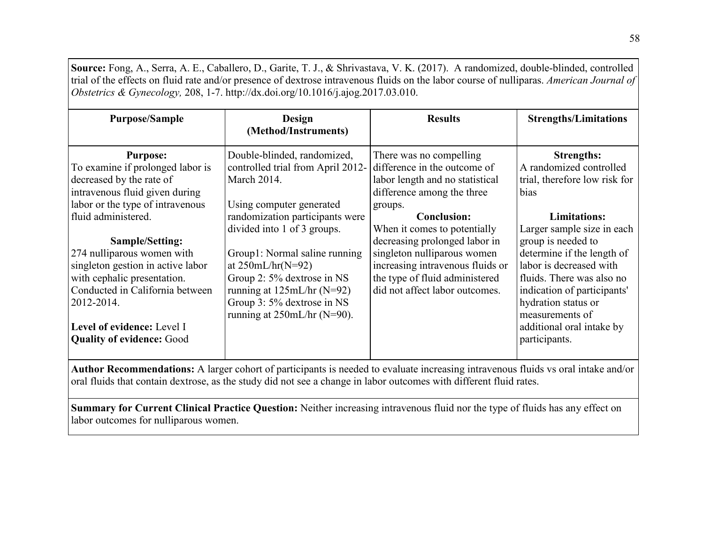**Source:** Fong, A., Serra, A. E., Caballero, D., Garite, T. J., & Shrivastava, V. K. (2017). A randomized, double-blinded, controlled trial of the effects on fluid rate and/or presence of dextrose intravenous fluids on the labor course of nulliparas. *American Journal of Obstetrics & Gynecology,* 208, 1-7. [http://dx.doi.org/10.1016/j.ajog.2017.03.010.](http://dx.doi.org/10.1016/j.ajog.2017.03.010)

| <b>Purpose/Sample</b>                                                                                                                                                                                                                | <b>Design</b><br>(Method/Instruments)                                                                                                                                                                                    | <b>Results</b>                                                                                                                                                                                       | <b>Strengths/Limitations</b>                                                                                                                                                                                                                                  |
|--------------------------------------------------------------------------------------------------------------------------------------------------------------------------------------------------------------------------------------|--------------------------------------------------------------------------------------------------------------------------------------------------------------------------------------------------------------------------|------------------------------------------------------------------------------------------------------------------------------------------------------------------------------------------------------|---------------------------------------------------------------------------------------------------------------------------------------------------------------------------------------------------------------------------------------------------------------|
| <b>Purpose:</b><br>To examine if prolonged labor is<br>decreased by the rate of<br>intravenous fluid given during<br>labor or the type of intravenous                                                                                | Double-blinded, randomized,<br>controlled trial from April 2012-<br>March 2014.<br>Using computer generated                                                                                                              | There was no compelling<br>difference in the outcome of<br>labor length and no statistical<br>difference among the three<br>groups.                                                                  | <b>Strengths:</b><br>A randomized controlled<br>trial, therefore low risk for<br>bias                                                                                                                                                                         |
| fluid administered.                                                                                                                                                                                                                  | randomization participants were                                                                                                                                                                                          | <b>Conclusion:</b>                                                                                                                                                                                   | <b>Limitations:</b>                                                                                                                                                                                                                                           |
| Sample/Setting:<br>274 nulliparous women with<br>singleton gestion in active labor<br>with cephalic presentation.<br>Conducted in California between<br>2012-2014.<br>Level of evidence: Level I<br><b>Quality of evidence: Good</b> | divided into 1 of 3 groups.<br>Group1: Normal saline running<br>at $250mL/hr(N=92)$<br>Group 2: 5% dextrose in NS<br>running at $125mL/hr$ (N=92)<br>Group 3: 5% dextrose in NS<br>running at $250 \text{mL/hr}$ (N=90). | When it comes to potentially<br>decreasing prolonged labor in<br>singleton nulliparous women<br>increasing intravenous fluids or<br>the type of fluid administered<br>did not affect labor outcomes. | Larger sample size in each<br>group is needed to<br>determine if the length of<br>labor is decreased with<br>fluids. There was also no<br>indication of participants'<br>hydration status or<br>measurements of<br>additional oral intake by<br>participants. |

**Author Recommendations:** A larger cohort of participants is needed to evaluate increasing intravenous fluids vs oral intake and/or oral fluids that contain dextrose, as the study did not see a change in labor outcomes with different fluid rates.

**Summary for Current Clinical Practice Question:** Neither increasing intravenous fluid nor the type of fluids has any effect on labor outcomes for nulliparous women.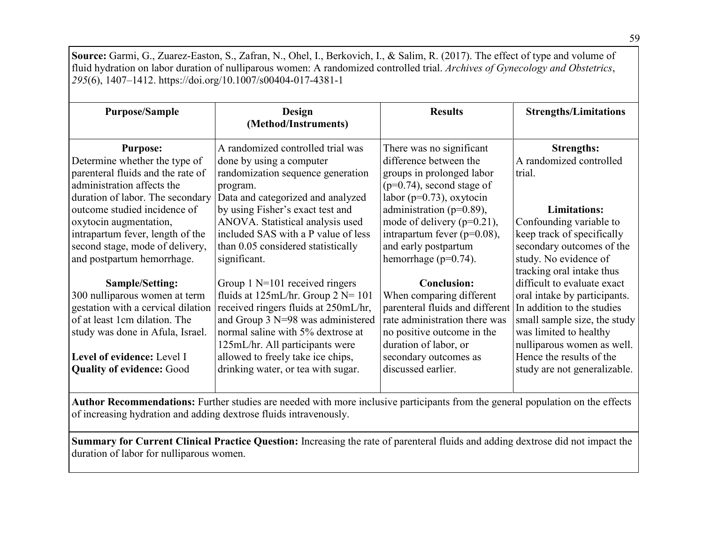**Source:** Garmi, G., Zuarez-Easton, S., Zafran, N., Ohel, I., Berkovich, I., & Salim, R. (2017). The effect of type and volume of fluid hydration on labor duration of nulliparous women: A randomized controlled trial. *Archives of Gynecology and Obstetrics*, *295*(6), 1407–1412. https://doi.org/10.1007/s00404-017-4381-1

| <b>Purpose/Sample</b>                                            | <b>Design</b><br>(Method/Instruments)                                   | <b>Results</b>                                                   | <b>Strengths/Limitations</b>                             |
|------------------------------------------------------------------|-------------------------------------------------------------------------|------------------------------------------------------------------|----------------------------------------------------------|
| <b>Purpose:</b><br>Determine whether the type of                 | A randomized controlled trial was<br>done by using a computer           | There was no significant<br>difference between the               | <b>Strengths:</b><br>A randomized controlled             |
| parenteral fluids and the rate of<br>administration affects the  | randomization sequence generation<br>program.                           | groups in prolonged labor<br>$(p=0.74)$ , second stage of        | trial.                                                   |
| duration of labor. The secondary<br>outcome studied incidence of | Data and categorized and analyzed<br>by using Fisher's exact test and   | labor ( $p=0.73$ ), oxytocin<br>administration ( $p=0.89$ ),     | <b>Limitations:</b>                                      |
| oxytocin augmentation,<br>intrapartum fever, length of the       | ANOVA. Statistical analysis used<br>included SAS with a P value of less | mode of delivery $(p=0.21)$ ,<br>intrapartum fever ( $p=0.08$ ), | Confounding variable to<br>keep track of specifically    |
| second stage, mode of delivery,<br>and postpartum hemorrhage.    | than 0.05 considered statistically<br>significant.                      | and early postpartum<br>hemorrhage ( $p=0.74$ ).                 | secondary outcomes of the<br>study. No evidence of       |
| <b>Sample/Setting:</b>                                           | Group $1$ N=101 received ringers                                        | <b>Conclusion:</b>                                               | tracking oral intake thus<br>difficult to evaluate exact |
| 300 nulliparous women at term                                    | fluids at $125 \text{mL/hr}$ . Group $2 \text{N} = 101$                 | When comparing different                                         | oral intake by participants.                             |
| gestation with a cervical dilation                               | received ringers fluids at 250mL/hr,                                    | parenteral fluids and different                                  | In addition to the studies                               |
| of at least 1cm dilation. The                                    | and Group $3$ N=98 was administered                                     | rate administration there was                                    | small sample size, the study                             |
| study was done in Afula, Israel.                                 | normal saline with 5% dextrose at                                       | no positive outcome in the                                       | was limited to healthy                                   |
|                                                                  | 125mL/hr. All participants were                                         | duration of labor, or                                            | nulliparous women as well.                               |
| Level of evidence: Level I<br><b>Quality of evidence: Good</b>   | allowed to freely take ice chips,<br>drinking water, or tea with sugar. | secondary outcomes as<br>discussed earlier.                      | Hence the results of the<br>study are not generalizable. |

**Author Recommendations:** Further studies are needed with more inclusive participants from the general population on the effects of increasing hydration and adding dextrose fluids intravenously.

**Summary for Current Clinical Practice Question:** Increasing the rate of parenteral fluids and adding dextrose did not impact the duration of labor for nulliparous women.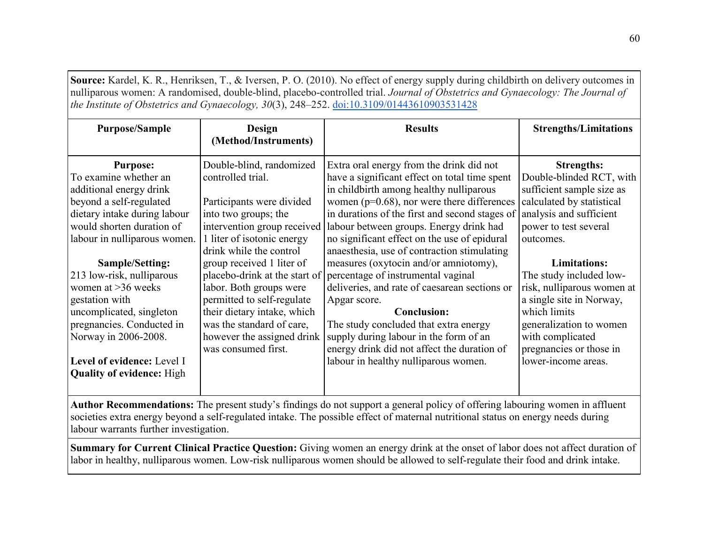**Source:** Kardel, K. R., Henriksen, T., & Iversen, P. O. (2010). No effect of energy supply during childbirth on delivery outcomes in nulliparous women: A randomised, double-blind, placebo-controlled trial. *Journal of Obstetrics and Gynaecology: The Journal of the Institute of Obstetrics and Gynaecology, 30*(3), 248–252[.](https://doi.org/10.3109/01443610903531428) [doi:10.3109/01443610903531428](https://doi.org/10.3109/01443610903531428)

| <b>Purpose/Sample</b>                                                                                                            | Design                        | <b>Results</b>                                 | <b>Strengths/Limitations</b> |  |
|----------------------------------------------------------------------------------------------------------------------------------|-------------------------------|------------------------------------------------|------------------------------|--|
|                                                                                                                                  | (Method/Instruments)          |                                                |                              |  |
| <b>Purpose:</b>                                                                                                                  | Double-blind, randomized      | Extra oral energy from the drink did not       | <b>Strengths:</b>            |  |
| To examine whether an                                                                                                            | controlled trial.             | have a significant effect on total time spent  | Double-blinded RCT, with     |  |
| additional energy drink                                                                                                          |                               | in childbirth among healthy nulliparous        | sufficient sample size as    |  |
| beyond a self-regulated                                                                                                          | Participants were divided     | women ( $p=0.68$ ), nor were there differences | calculated by statistical    |  |
| dietary intake during labour                                                                                                     | into two groups; the          | in durations of the first and second stages of | analysis and sufficient      |  |
| would shorten duration of                                                                                                        | intervention group received   | labour between groups. Energy drink had        | power to test several        |  |
| labour in nulliparous women.                                                                                                     | 1 liter of isotonic energy    | no significant effect on the use of epidural   | outcomes.                    |  |
|                                                                                                                                  | drink while the control       | anaesthesia, use of contraction stimulating    |                              |  |
| Sample/Setting:                                                                                                                  | group received 1 liter of     | measures (oxytocin and/or amniotomy),          | <b>Limitations:</b>          |  |
| 213 low-risk, nulliparous                                                                                                        | placebo-drink at the start of | percentage of instrumental vaginal             | The study included low-      |  |
| women at $>36$ weeks                                                                                                             | labor. Both groups were       | deliveries, and rate of caesarean sections or  | risk, nulliparous women at   |  |
| gestation with                                                                                                                   | permitted to self-regulate    | Apgar score.                                   | a single site in Norway,     |  |
| uncomplicated, singleton                                                                                                         | their dietary intake, which   | <b>Conclusion:</b>                             | which limits                 |  |
| pregnancies. Conducted in                                                                                                        | was the standard of care,     | The study concluded that extra energy          | generalization to women      |  |
| Norway in 2006-2008.                                                                                                             | however the assigned drink    | supply during labour in the form of an         | with complicated             |  |
|                                                                                                                                  | was consumed first.           | energy drink did not affect the duration of    | pregnancies or those in      |  |
| Level of evidence: Level I                                                                                                       |                               | labour in healthy nulliparous women.           | lower-income areas.          |  |
| <b>Quality of evidence:</b> High                                                                                                 |                               |                                                |                              |  |
|                                                                                                                                  |                               |                                                |                              |  |
| Author Recommendations: The present study's findings do not support a general policy of offering labouring women in affluent     |                               |                                                |                              |  |
| societies extra energy beyond a self-regulated intake. The possible effect of maternal nutritional status on energy needs during |                               |                                                |                              |  |
| labour warrants further investigation.                                                                                           |                               |                                                |                              |  |

**Summary for Current Clinical Practice Question:** Giving women an energy drink at the onset of labor does not affect duration of labor in healthy, nulliparous women. Low-risk nulliparous women should be allowed to self-regulate their food and drink intake.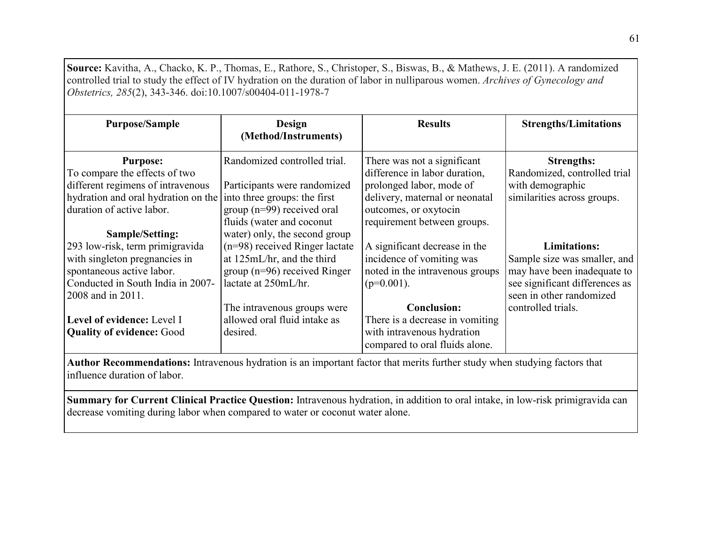**Source:** Kavitha, A., Chacko, K. P., Thomas, E., Rathore, S., Christoper, S., Biswas, B., & Mathews, J. E. (2011). A randomized controlled trial to study the effect of IV hydration on the duration of labor in nulliparous women. *Archives of Gynecology and Obstetrics, 285*(2), 343-346. doi:10.1007/s00404-011-1978-7

| <b>Purpose/Sample</b>                                                                                                                                                      | Design<br>(Method/Instruments)                                                                                                                              | <b>Results</b>                                                                                                                                                                     | <b>Strengths/Limitations</b>                                                                                                                     |
|----------------------------------------------------------------------------------------------------------------------------------------------------------------------------|-------------------------------------------------------------------------------------------------------------------------------------------------------------|------------------------------------------------------------------------------------------------------------------------------------------------------------------------------------|--------------------------------------------------------------------------------------------------------------------------------------------------|
| <b>Purpose:</b><br>To compare the effects of two<br>different regimens of intravenous<br>hydration and oral hydration on the<br>duration of active labor.                  | Randomized controlled trial.<br>Participants were randomized<br>into three groups: the first<br>group ( $n=99$ ) received oral<br>fluids (water and coconut | There was not a significant<br>difference in labor duration,<br>prolonged labor, mode of<br>delivery, maternal or neonatal<br>outcomes, or oxytocin<br>requirement between groups. | <b>Strengths:</b><br>Randomized, controlled trial<br>with demographic<br>similarities across groups.                                             |
| Sample/Setting:<br>293 low-risk, term primigravida<br>with singleton pregnancies in<br>spontaneous active labor.<br>Conducted in South India in 2007-<br>2008 and in 2011. | water) only, the second group<br>$(n=98)$ received Ringer lactate<br>at 125mL/hr, and the third<br>group ( $n=96$ ) received Ringer<br>lactate at 250mL/hr. | A significant decrease in the<br>incidence of vomiting was<br>noted in the intravenous groups<br>$(p=0.001)$ .                                                                     | <b>Limitations:</b><br>Sample size was smaller, and<br>may have been inadequate to<br>see significant differences as<br>seen in other randomized |
| Level of evidence: Level I<br><b>Quality of evidence: Good</b>                                                                                                             | The intravenous groups were<br>allowed oral fluid intake as<br>desired.                                                                                     | <b>Conclusion:</b><br>There is a decrease in vomiting<br>with intravenous hydration<br>compared to oral fluids alone.                                                              | controlled trials.                                                                                                                               |

**Author Recommendations:** Intravenous hydration is an important factor that merits further study when studying factors that influence duration of labor.

**Summary for Current Clinical Practice Question:** Intravenous hydration, in addition to oral intake, in low-risk primigravida can decrease vomiting during labor when compared to water or coconut water alone.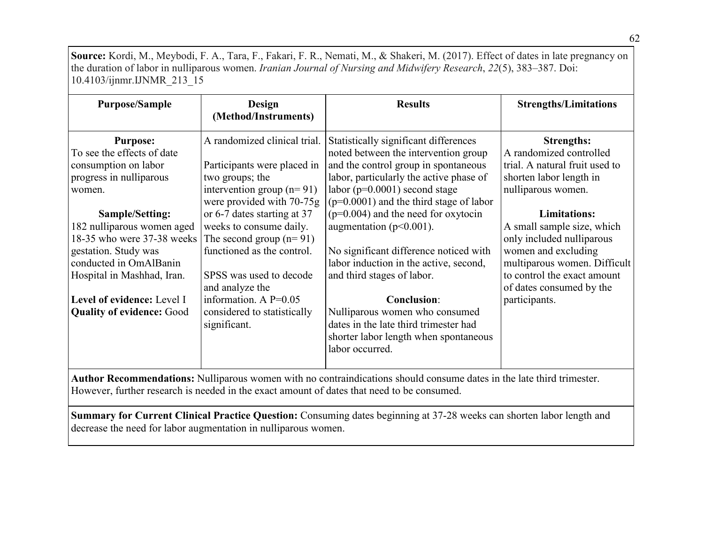**Source:** Kordi, M., Meybodi, F. A., Tara, F., Fakari, F. R., Nemati, M., & Shakeri, M. (2017). Effect of dates in late pregnancy on the duration of labor in nulliparous women. *Iranian Journal of Nursing and Midwifery Research*, *22*(5), 383–387. Doi: 10.4103/ijnmr.IJNMR\_213\_15

| <b>Purpose/Sample</b>                                                                                                                                                                                                                | Design<br>(Method/Instruments)                                                                                                                                                                                                            | <b>Results</b>                                                                                                                                                                                                                                                                          | <b>Strengths/Limitations</b>                                                                                                                                                                                      |
|--------------------------------------------------------------------------------------------------------------------------------------------------------------------------------------------------------------------------------------|-------------------------------------------------------------------------------------------------------------------------------------------------------------------------------------------------------------------------------------------|-----------------------------------------------------------------------------------------------------------------------------------------------------------------------------------------------------------------------------------------------------------------------------------------|-------------------------------------------------------------------------------------------------------------------------------------------------------------------------------------------------------------------|
| <b>Purpose:</b><br>To see the effects of date<br>consumption on labor                                                                                                                                                                | A randomized clinical trial.<br>Participants were placed in                                                                                                                                                                               | Statistically significant differences<br>noted between the intervention group<br>and the control group in spontaneous                                                                                                                                                                   | <b>Strengths:</b><br>A randomized controlled<br>trial. A natural fruit used to                                                                                                                                    |
| progress in nulliparous<br>women.                                                                                                                                                                                                    | two groups; the<br>intervention group $(n=91)$<br>were provided with 70-75g                                                                                                                                                               | labor, particularly the active phase of<br>labor ( $p=0.0001$ ) second stage<br>$(p=0.0001)$ and the third stage of labor                                                                                                                                                               | shorten labor length in<br>nulliparous women.                                                                                                                                                                     |
| <b>Sample/Setting:</b><br>182 nulliparous women aged<br>18-35 who were 37-38 weeks<br>gestation. Study was<br>conducted in OmAlBanin<br>Hospital in Mashhad, Iran.<br>Level of evidence: Level I<br><b>Quality of evidence: Good</b> | or 6-7 dates starting at 37<br>weeks to consume daily.<br>The second group $(n=91)$<br>functioned as the control.<br>SPSS was used to decode<br>and analyze the<br>information. A $P=0.05$<br>considered to statistically<br>significant. | $(p=0.004)$ and the need for oxytocin<br>augmentation ( $p<0.001$ ).<br>No significant difference noticed with<br>labor induction in the active, second,<br>and third stages of labor.<br><b>Conclusion:</b><br>Nulliparous women who consumed<br>dates in the late third trimester had | <b>Limitations:</b><br>A small sample size, which<br>only included nulliparous<br>women and excluding<br>multiparous women. Difficult<br>to control the exact amount<br>of dates consumed by the<br>participants. |
|                                                                                                                                                                                                                                      |                                                                                                                                                                                                                                           | shorter labor length when spontaneous<br>labor occurred.<br>Author Recommendations: Nullingrous women with no contraindications should consume dates in the late third trimester                                                                                                        |                                                                                                                                                                                                                   |

**Author Recommendations:** Nulliparous women with no contraindications should consume dates in the late third trimester. However, further research is needed in the exact amount of dates that need to be consumed.

**Summary for Current Clinical Practice Question:** Consuming dates beginning at 37-28 weeks can shorten labor length and decrease the need for labor augmentation in nulliparous women.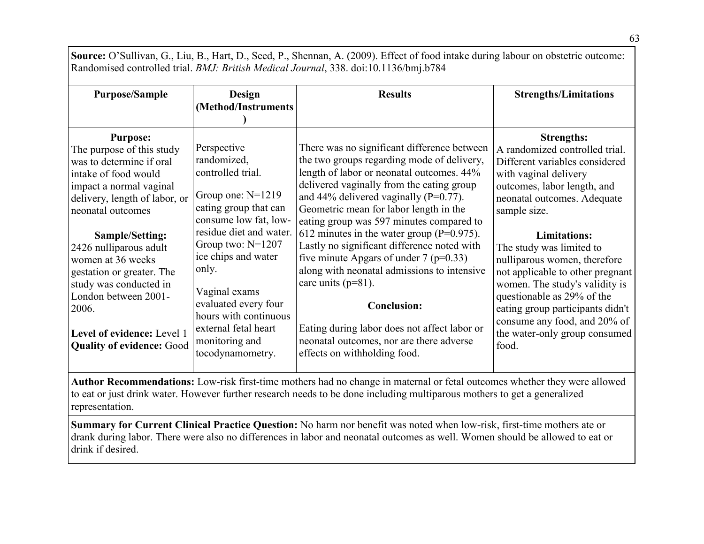**Source:** O'Sullivan, G., Liu, B., Hart, D., Seed, P., Shennan, A. (2009). Effect of food intake during labour on obstetric outcome: Randomised controlled trial. *BMJ: British Medical Journal*, 338. doi:10.1136/bmj.b784

| <b>Purpose/Sample</b>                                                                                                                                                                                                                                                                                                                                                                                         | <b>Design</b><br>(Method/Instruments                                                                                                                                                                                                                                                                                                       | <b>Results</b>                                                                                                                                                                                                                                                                                                                                                                                                                                                                                                                                                                                                                                                                                   | <b>Strengths/Limitations</b>                                                                                                                                                                                                                                                                                                                                                                                                                                                                      |  |  |
|---------------------------------------------------------------------------------------------------------------------------------------------------------------------------------------------------------------------------------------------------------------------------------------------------------------------------------------------------------------------------------------------------------------|--------------------------------------------------------------------------------------------------------------------------------------------------------------------------------------------------------------------------------------------------------------------------------------------------------------------------------------------|--------------------------------------------------------------------------------------------------------------------------------------------------------------------------------------------------------------------------------------------------------------------------------------------------------------------------------------------------------------------------------------------------------------------------------------------------------------------------------------------------------------------------------------------------------------------------------------------------------------------------------------------------------------------------------------------------|---------------------------------------------------------------------------------------------------------------------------------------------------------------------------------------------------------------------------------------------------------------------------------------------------------------------------------------------------------------------------------------------------------------------------------------------------------------------------------------------------|--|--|
| <b>Purpose:</b><br>The purpose of this study<br>was to determine if oral<br>intake of food would<br>impact a normal vaginal<br>delivery, length of labor, or<br>neonatal outcomes<br>Sample/Setting:<br>2426 nulliparous adult<br>women at 36 weeks<br>gestation or greater. The<br>study was conducted in<br>London between 2001-<br>2006.<br>Level of evidence: Level 1<br><b>Quality of evidence: Good</b> | Perspective<br>randomized,<br>controlled trial.<br>Group one: $N=1219$<br>eating group that can<br>consume low fat, low-<br>residue diet and water.<br>Group two: $N=1207$<br>ice chips and water<br>only.<br>Vaginal exams<br>evaluated every four<br>hours with continuous<br>external fetal heart<br>monitoring and<br>tocodynamometry. | There was no significant difference between<br>the two groups regarding mode of delivery,<br>length of labor or neonatal outcomes. 44%<br>delivered vaginally from the eating group<br>and 44% delivered vaginally ( $P=0.77$ ).<br>Geometric mean for labor length in the<br>eating group was 597 minutes compared to<br>612 minutes in the water group ( $P=0.975$ ).<br>Lastly no significant difference noted with<br>five minute Apgars of under $7$ ( $p=0.33$ )<br>along with neonatal admissions to intensive<br>care units $(p=81)$ .<br><b>Conclusion:</b><br>Eating during labor does not affect labor or<br>neonatal outcomes, nor are there adverse<br>effects on withholding food. | <b>Strengths:</b><br>A randomized controlled trial.<br>Different variables considered<br>with vaginal delivery<br>outcomes, labor length, and<br>neonatal outcomes. Adequate<br>sample size.<br><b>Limitations:</b><br>The study was limited to<br>nulliparous women, therefore<br>not applicable to other pregnant<br>women. The study's validity is<br>questionable as 29% of the<br>eating group participants didn't<br>consume any food, and 20% of<br>the water-only group consumed<br>food. |  |  |
| Author Recommendations: Low-risk first-time mothers had no change in maternal or fetal outcomes whether they were allowed<br>to eat or just drink water. However further research needs to be done including multiparous mothers to get a generalized<br>representation.                                                                                                                                      |                                                                                                                                                                                                                                                                                                                                            |                                                                                                                                                                                                                                                                                                                                                                                                                                                                                                                                                                                                                                                                                                  |                                                                                                                                                                                                                                                                                                                                                                                                                                                                                                   |  |  |
| Summary for Current Clinical Practice Question: No harm nor benefit was noted when low-risk, first-time mothers ate or<br>drank during labor. There were also no differences in labor and neonatal outcomes as well. Women should be allowed to eat or                                                                                                                                                        |                                                                                                                                                                                                                                                                                                                                            |                                                                                                                                                                                                                                                                                                                                                                                                                                                                                                                                                                                                                                                                                                  |                                                                                                                                                                                                                                                                                                                                                                                                                                                                                                   |  |  |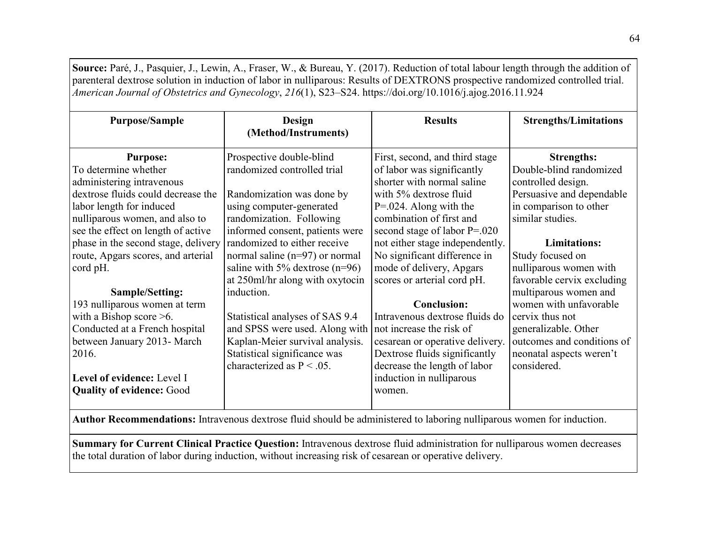**Source:** Paré, J., Pasquier, J., Lewin, A., Fraser, W., & Bureau, Y. (2017). Reduction of total labour length through the addition of parenteral dextrose solution in induction of labor in nulliparous: Results of DEXTRONS prospective randomized controlled trial. *American Journal of Obstetrics and Gynecology*, *216*(1), S23–S24.<https://doi.org/10.1016/j.ajog.2016.11.924>

| <b>Purpose/Sample</b>               | Design<br>(Method/Instruments)   | <b>Results</b>                  | <b>Strengths/Limitations</b> |
|-------------------------------------|----------------------------------|---------------------------------|------------------------------|
|                                     |                                  |                                 |                              |
| <b>Purpose:</b>                     | Prospective double-blind         | First, second, and third stage  | <b>Strengths:</b>            |
| To determine whether                | randomized controlled trial      | of labor was significantly      | Double-blind randomized      |
| administering intravenous           |                                  | shorter with normal saline      | controlled design.           |
| dextrose fluids could decrease the  | Randomization was done by        | with 5% dextrose fluid          | Persuasive and dependable    |
| labor length for induced            | using computer-generated         | $P = 0.024$ . Along with the    | in comparison to other       |
| nulliparous women, and also to      | randomization. Following         | combination of first and        | similar studies.             |
| see the effect on length of active  | informed consent, patients were  | second stage of labor $P=.020$  |                              |
| phase in the second stage, delivery | randomized to either receive     | not either stage independently. | <b>Limitations:</b>          |
| route, Apgars scores, and arterial  | normal saline $(n=97)$ or normal | No significant difference in    | Study focused on             |
| cord pH.                            | saline with 5% dextrose $(n=96)$ | mode of delivery, Apgars        | nulliparous women with       |
|                                     | at 250ml/hr along with oxytocin  | scores or arterial cord pH.     | favorable cervix excluding   |
| Sample/Setting:                     | induction.                       |                                 | multiparous women and        |
| 193 nulliparous women at term       |                                  | <b>Conclusion:</b>              | women with unfavorable       |
| with a Bishop score $\geq 6$ .      | Statistical analyses of SAS 9.4  | Intravenous dextrose fluids do  | cervix thus not              |
| Conducted at a French hospital      | and SPSS were used. Along with   | not increase the risk of        | generalizable. Other         |
| between January 2013- March         | Kaplan-Meier survival analysis.  | cesarean or operative delivery. | outcomes and conditions of   |
| 2016.                               | Statistical significance was     | Dextrose fluids significantly   | neonatal aspects weren't     |
|                                     | characterized as $P < .05$ .     | decrease the length of labor    | considered.                  |
| Level of evidence: Level I          |                                  | induction in nulliparous        |                              |
| <b>Quality of evidence: Good</b>    |                                  | women.                          |                              |
|                                     |                                  |                                 |                              |

**Author Recommendations:** Intravenous dextrose fluid should be administered to laboring nulliparous women for induction.

**Summary for Current Clinical Practice Question:** Intravenous dextrose fluid administration for nulliparous women decreases the total duration of labor during induction, without increasing risk of cesarean or operative delivery.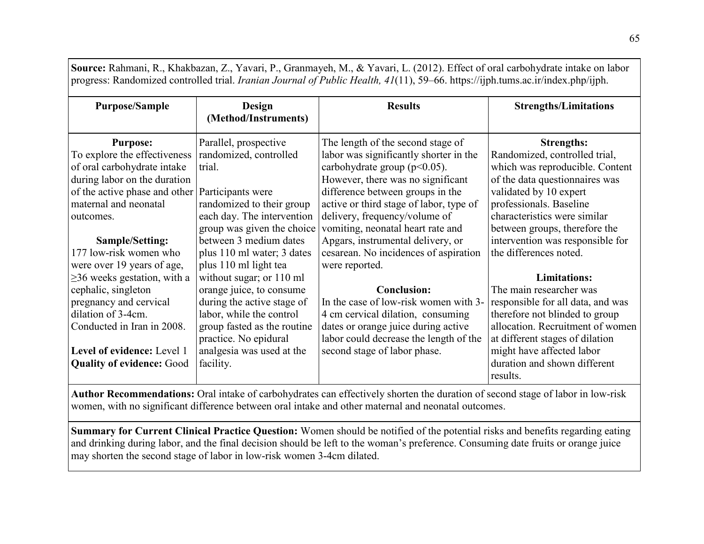| progress: Randomized controlled trial. <i>Iranian Journal of Public Health</i> , $41(11)$ , 59–66. https://ijph.tums.ac.ir/index.php/ijph.                                                                                            |                                                                                                                                                                                                                  |                                                                                                                                                                                                                                                                                                                                                |                                                                                                                                                                                                                                                                                   |
|---------------------------------------------------------------------------------------------------------------------------------------------------------------------------------------------------------------------------------------|------------------------------------------------------------------------------------------------------------------------------------------------------------------------------------------------------------------|------------------------------------------------------------------------------------------------------------------------------------------------------------------------------------------------------------------------------------------------------------------------------------------------------------------------------------------------|-----------------------------------------------------------------------------------------------------------------------------------------------------------------------------------------------------------------------------------------------------------------------------------|
| <b>Purpose/Sample</b>                                                                                                                                                                                                                 | Design<br>(Method/Instruments)                                                                                                                                                                                   | <b>Results</b>                                                                                                                                                                                                                                                                                                                                 | <b>Strengths/Limitations</b>                                                                                                                                                                                                                                                      |
| <b>Purpose:</b><br>To explore the effectiveness<br>of oral carbohydrate intake<br>during labor on the duration<br>of the active phase and other<br>maternal and neonatal<br>outcomes.<br>Sample/Setting:                              | Parallel, prospective<br>randomized, controlled<br>trial.<br>Participants were<br>randomized to their group<br>each day. The intervention<br>group was given the choice<br>between 3 medium dates                | The length of the second stage of<br>labor was significantly shorter in the<br>carbohydrate group ( $p<0.05$ ).<br>However, there was no significant<br>difference between groups in the<br>active or third stage of labor, type of<br>delivery, frequency/volume of<br>vomiting, neonatal heart rate and<br>Apgars, instrumental delivery, or | <b>Strengths:</b><br>Randomized, controlled trial,<br>which was reproducible. Content<br>of the data questionnaires was<br>validated by 10 expert<br>professionals. Baseline<br>characteristics were similar<br>between groups, therefore the<br>intervention was responsible for |
| 177 low-risk women who<br>were over 19 years of age,                                                                                                                                                                                  | plus 110 ml water; 3 dates<br>plus 110 ml light tea                                                                                                                                                              | cesarean. No incidences of aspiration<br>were reported.                                                                                                                                                                                                                                                                                        | the differences noted.                                                                                                                                                                                                                                                            |
| $\geq$ 36 weeks gestation, with a<br>cephalic, singleton<br>pregnancy and cervical<br>dilation of 3-4cm.<br>Conducted in Iran in 2008.<br>Level of evidence: Level 1<br><b>Quality of evidence: Good</b>                              | without sugar; or 110 ml<br>orange juice, to consume<br>during the active stage of<br>labor, while the control<br>group fasted as the routine<br>practice. No epidural<br>analgesia was used at the<br>facility. | <b>Conclusion:</b><br>In the case of low-risk women with 3-<br>4 cm cervical dilation, consuming<br>dates or orange juice during active<br>labor could decrease the length of the<br>second stage of labor phase.                                                                                                                              | <b>Limitations:</b><br>The main researcher was<br>responsible for all data, and was<br>therefore not blinded to group<br>allocation. Recruitment of women<br>at different stages of dilation<br>might have affected labor<br>duration and shown different<br>results.             |
| Author Recommendations: Oral intake of carbohydrates can effectively shorten the duration of second stage of labor in low-risk<br>women, with no significant difference between oral intake and other maternal and neonatal outcomes. |                                                                                                                                                                                                                  |                                                                                                                                                                                                                                                                                                                                                |                                                                                                                                                                                                                                                                                   |

**Source:** Rahmani, R., Khakbazan, Z., Yavari, P., Granmayeh, M., & Yavari, L. (2012). Effect of oral carbohydrate intake on labor progress: Randomized controlled trial. *Iranian Journal of Public Health, 41*(11), 59–66. https://ijph.tums.ac.ir/index.php/ijph.

**Summary for Current Clinical Practice Question:** Women should be notified of the potential risks and benefits regarding eating and drinking during labor, and the final decision should be left to the woman's preference. Consuming date fruits or orange juice may shorten the second stage of labor in low-risk women 3-4cm dilated.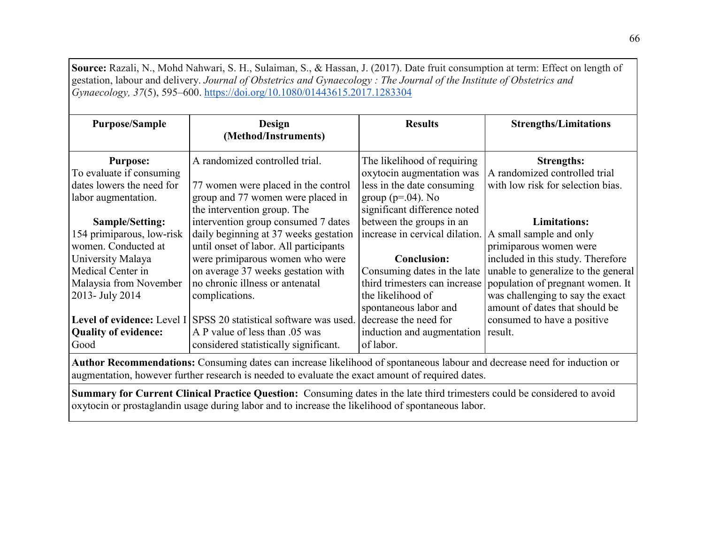**Source:** Razali, N., Mohd Nahwari, S. H., Sulaiman, S., & Hassan, J. (2017). Date fruit consumption at term: Effect on length of gestation, labour and delivery. *Journal of Obstetrics and Gynaecology : The Journal of the Institute of Obstetrics and Gynaecology, 37*(5), 595–600. <https://doi.org/10.1080/01443615.2017.1283304>

| <b>Purpose/Sample</b>                                                                                                           | Design<br>(Method/Instruments)                                                                                                                                                                                                                                                    | <b>Results</b>                                                                                                                                                              | <b>Strengths/Limitations</b>                                                                                                                                                                                                                    |  |
|---------------------------------------------------------------------------------------------------------------------------------|-----------------------------------------------------------------------------------------------------------------------------------------------------------------------------------------------------------------------------------------------------------------------------------|-----------------------------------------------------------------------------------------------------------------------------------------------------------------------------|-------------------------------------------------------------------------------------------------------------------------------------------------------------------------------------------------------------------------------------------------|--|
| <b>Purpose:</b><br>To evaluate if consuming<br>dates lowers the need for<br>labor augmentation.                                 | A randomized controlled trial.<br>77 women were placed in the control<br>group and 77 women were placed in<br>the intervention group. The                                                                                                                                         | The likelihood of requiring<br>oxytocin augmentation was<br>less in the date consuming<br>group ( $p=.04$ ). No<br>significant difference noted                             | <b>Strengths:</b><br>A randomized controlled trial<br>with low risk for selection bias.                                                                                                                                                         |  |
| Sample/Setting:<br>154 primiparous, low-risk<br>women. Conducted at                                                             | intervention group consumed 7 dates<br>daily beginning at 37 weeks gestation<br>until onset of labor. All participants                                                                                                                                                            | between the groups in an<br>increase in cervical dilation.                                                                                                                  | <b>Limitations:</b><br>A small sample and only<br>primiparous women were                                                                                                                                                                        |  |
| University Malaya<br>Medical Center in<br>Malaysia from November<br>2013- July 2014<br><b>Quality of evidence:</b><br>Good      | were primiparous women who were<br>on average 37 weeks gestation with<br>no chronic illness or antenatal<br>complications.<br><b>Level of evidence:</b> Level I SPSS 20 statistical software was used.<br>A P value of less than .05 was<br>considered statistically significant. | <b>Conclusion:</b><br>Consuming dates in the late<br>the likelihood of<br>spontaneous labor and<br>decrease the need for<br>induction and augmentation result.<br>of labor. | included in this study. Therefore<br>unable to generalize to the general<br>third trimesters can increase population of pregnant women. It<br>was challenging to say the exact<br>amount of dates that should be<br>consumed to have a positive |  |
| <b>Author Recommendations:</b> Consuming dates can increase likelihood of spontaneous labour and decrease need for induction or |                                                                                                                                                                                                                                                                                   |                                                                                                                                                                             |                                                                                                                                                                                                                                                 |  |

augmentation, however further research is needed to evaluate the exact amount of required dates.

**Summary for Current Clinical Practice Question:** Consuming dates in the late third trimesters could be considered to avoid oxytocin or prostaglandin usage during labor and to increase the likelihood of spontaneous labor.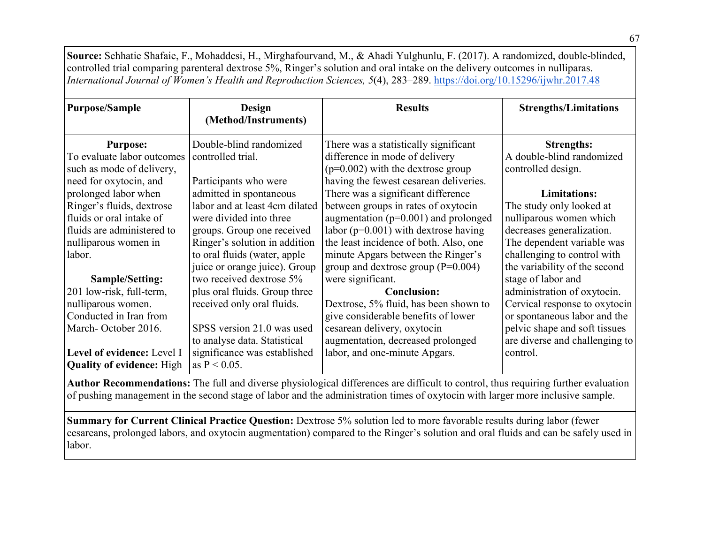**Source:** Sehhatie Shafaie, F., Mohaddesi, H., Mirghafourvand, M., & Ahadi Yulghunlu, F. (2017). A randomized, double-blinded, controlled trial comparing parenteral dextrose 5%, Ringer's solution and oral intake on the delivery outcomes in nulliparas. *International Journal of Women's Health and Reproduction Sciences, 5*(4), 283–289. <https://doi.org/10.15296/ijwhr.2017.48>

| <b>Purpose/Sample</b>            | Design<br>(Method/Instruments) | <b>Results</b>                           | <b>Strengths/Limitations</b>   |
|----------------------------------|--------------------------------|------------------------------------------|--------------------------------|
|                                  |                                |                                          |                                |
| <b>Purpose:</b>                  | Double-blind randomized        | There was a statistically significant    | <b>Strengths:</b>              |
| To evaluate labor outcomes       | controlled trial.              | difference in mode of delivery           | A double-blind randomized      |
| such as mode of delivery,        |                                | $(p=0.002)$ with the dextrose group      | controlled design.             |
| need for oxytocin, and           | Participants who were          | having the fewest cesarean deliveries.   |                                |
| prolonged labor when             | admitted in spontaneous        | There was a significant difference       | <b>Limitations:</b>            |
| Ringer's fluids, dextrose        | labor and at least 4cm dilated | between groups in rates of oxytocin      | The study only looked at       |
| fluids or oral intake of         | were divided into three        | augmentation ( $p=0.001$ ) and prolonged | nulliparous women which        |
| fluids are administered to       | groups. Group one received     | labor ( $p=0.001$ ) with dextrose having | decreases generalization.      |
| nulliparous women in             | Ringer's solution in addition  | the least incidence of both. Also, one   | The dependent variable was     |
| labor.                           | to oral fluids (water, apple   | minute Apgars between the Ringer's       | challenging to control with    |
|                                  | juice or orange juice). Group  | group and dextrose group $(P=0.004)$     | the variability of the second  |
| Sample/Setting:                  | two received dextrose 5%       | were significant.                        | stage of labor and             |
| 201 low-risk, full-term,         | plus oral fluids. Group three  | <b>Conclusion:</b>                       | administration of oxytocin.    |
| nulliparous women.               | received only oral fluids.     | Dextrose, 5% fluid, has been shown to    | Cervical response to oxytocin  |
| Conducted in Iran from           |                                | give considerable benefits of lower      | or spontaneous labor and the   |
| March-October 2016.              | SPSS version 21.0 was used     | cesarean delivery, oxytocin              | pelvic shape and soft tissues  |
|                                  | to analyse data. Statistical   | augmentation, decreased prolonged        | are diverse and challenging to |
| Level of evidence: Level I       | significance was established   | labor, and one-minute Apgars.            | control.                       |
| <b>Quality of evidence:</b> High | as $P < 0.05$ .                |                                          |                                |

**Author Recommendations:** The full and diverse physiological differences are difficult to control, thus requiring further evaluation of pushing management in the second stage of labor and the administration times of oxytocin with larger more inclusive sample.

**Summary for Current Clinical Practice Question:** Dextrose 5% solution led to more favorable results during labor (fewer cesareans, prolonged labors, and oxytocin augmentation) compared to the Ringer's solution and oral fluids and can be safely used in labor.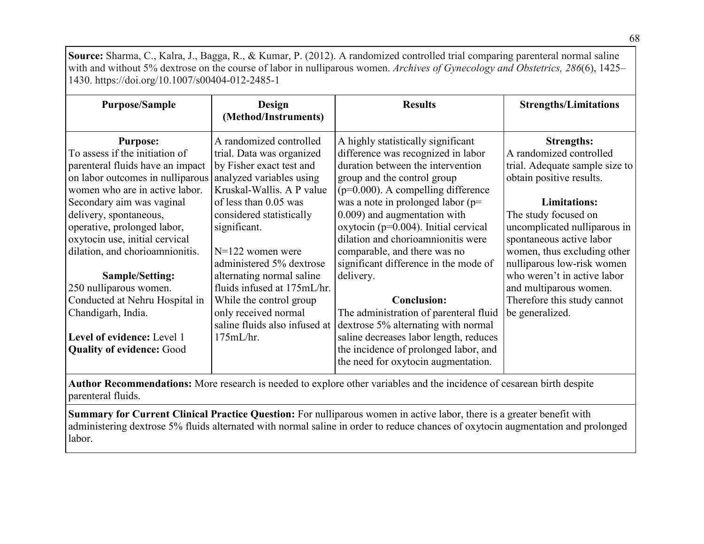**Source:** Sharma, C., Kalra, J., Bagga, R., & Kumar, P. (2012). A randomized controlled trial comparing parenteral normal saline with and without 5% dextrose on the course of labor in nulliparous women. *Archives of Gynecology and Obstetrics, 286*(6), 1425– 1430. https://doi.org/10.1007/s00404-012-2485-1

| <b>Purpose/Sample</b>                                                                                  | Design<br>(Method/Instruments)                                                   | <b>Results</b>                                                                                                         | <b>Strengths/Limitations</b>                                                          |
|--------------------------------------------------------------------------------------------------------|----------------------------------------------------------------------------------|------------------------------------------------------------------------------------------------------------------------|---------------------------------------------------------------------------------------|
| <b>Purpose:</b><br>To assess if the initiation of                                                      | A randomized controlled<br>trial. Data was organized<br>by Fisher exact test and | A highly statistically significant<br>difference was recognized in labor<br>duration between the intervention          | <b>Strengths:</b><br>A randomized controlled                                          |
| parenteral fluids have an impact<br>on labor outcomes in nulliparous<br>women who are in active labor. | analyzed variables using<br>Kruskal-Wallis. A P value                            | group and the control group<br>$(p=0.000)$ . A compelling difference                                                   | trial. Adequate sample size to<br>obtain positive results.                            |
| Secondary aim was vaginal<br>delivery, spontaneous,<br>operative, prolonged labor,                     | of less than 0.05 was<br>considered statistically<br>significant.                | was a note in prolonged labor ( $p=$<br>0.009) and augmentation with<br>oxytocin ( $p=0.004$ ). Initial cervical       | <b>Limitations:</b><br>The study focused on<br>uncomplicated nulliparous in           |
| oxytocin use, initial cervical<br>dilation, and chorioamnionitis.                                      | $N=122$ women were<br>administered 5% dextrose                                   | dilation and chorioamnionitis were<br>comparable, and there was no<br>significant difference in the mode of            | spontaneous active labor<br>women, thus excluding other<br>nulliparous low-risk women |
| Sample/Setting:<br>250 nulliparous women.                                                              | alternating normal saline<br>fluids infused at 175mL/hr.                         | delivery.                                                                                                              | who weren't in active labor<br>and multiparous women.                                 |
| Conducted at Nehru Hospital in                                                                         | While the control group                                                          | <b>Conclusion:</b>                                                                                                     | Therefore this study cannot                                                           |
| Chandigarh, India.                                                                                     | only received normal<br>saline fluids also infused at                            | The administration of parenteral fluid<br>dextrose 5% alternating with normal                                          | be generalized.                                                                       |
| Level of evidence: Level 1<br><b>Quality of evidence: Good</b>                                         | 175mL/hr.                                                                        | saline decreases labor length, reduces<br>the incidence of prolonged labor, and<br>the need for oxytocin augmentation. |                                                                                       |

**Author Recommendations:** More research is needed to explore other variables and the incidence of cesarean birth despite parenteral fluids.

**Summary for Current Clinical Practice Question:** For nulliparous women in active labor, there is a greater benefit with administering dextrose 5% fluids alternated with normal saline in order to reduce chances of oxytocin augmentation and prolonged labor.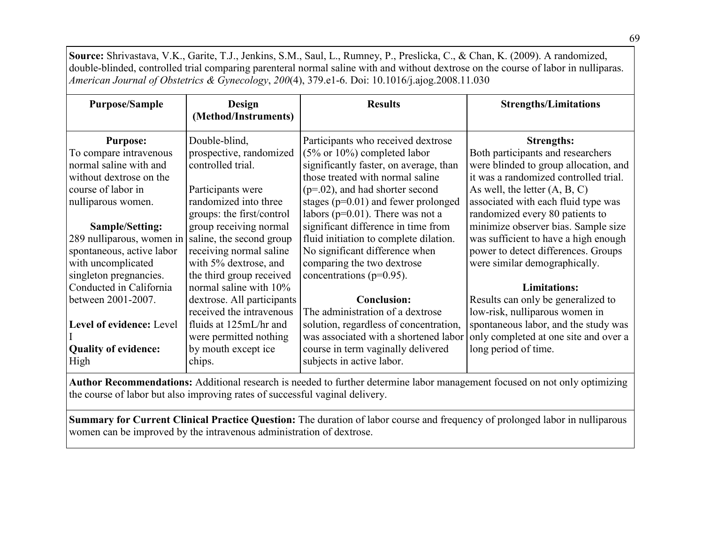**Source:** Shrivastava, V.K., Garite, T.J., Jenkins, S.M., Saul, L., Rumney, P., Preslicka, C., & Chan, K. (2009). A randomized, double-blinded, controlled trial comparing parenteral normal saline with and without dextrose on the course of labor in nulliparas. *American Journal of Obstetrics & Gynecology*, *200*(4), 379.e1-6. Doi: 10.1016/j.ajog.2008.11.030

| <b>Purpose/Sample</b>       | <b>Design</b><br>(Method/Instruments) | <b>Results</b>                           | <b>Strengths/Limitations</b>          |
|-----------------------------|---------------------------------------|------------------------------------------|---------------------------------------|
| <b>Purpose:</b>             | Double-blind,                         | Participants who received dextrose       | <b>Strengths:</b>                     |
| To compare intravenous      | prospective, randomized               | $(5\% \text{ or } 10\%)$ completed labor | Both participants and researchers     |
| normal saline with and      | controlled trial.                     | significantly faster, on average, than   | were blinded to group allocation, and |
| without dextrose on the     |                                       | those treated with normal saline         | it was a randomized controlled trial. |
| course of labor in          | Participants were                     | $(p=.02)$ , and had shorter second       | As well, the letter $(A, B, C)$       |
| nulliparous women.          | randomized into three                 | stages ( $p=0.01$ ) and fewer prolonged  | associated with each fluid type was   |
|                             | groups: the first/control             | labors ( $p=0.01$ ). There was not a     | randomized every 80 patients to       |
| Sample/Setting:             | group receiving normal                | significant difference in time from      | minimize observer bias. Sample size   |
| 289 nulliparous, women in   | saline, the second group              | fluid initiation to complete dilation.   | was sufficient to have a high enough  |
| spontaneous, active labor   | receiving normal saline               | No significant difference when           | power to detect differences. Groups   |
| with uncomplicated          | with 5% dextrose, and                 | comparing the two dextrose               | were similar demographically.         |
| singleton pregnancies.      | the third group received              | concentrations ( $p=0.95$ ).             |                                       |
| Conducted in California     | normal saline with 10%                |                                          | <b>Limitations:</b>                   |
| between 2001-2007.          | dextrose. All participants            | <b>Conclusion:</b>                       | Results can only be generalized to    |
|                             | received the intravenous              | The administration of a dextrose         | low-risk, nulliparous women in        |
| Level of evidence: Level    | fluids at 125mL/hr and                | solution, regardless of concentration,   | spontaneous labor, and the study was  |
|                             | were permitted nothing                | was associated with a shortened labor    | only completed at one site and over a |
| <b>Quality of evidence:</b> | by mouth except ice                   | course in term vaginally delivered       | long period of time.                  |
| High                        | chips.                                | subjects in active labor.                |                                       |

**Author Recommendations:** Additional research is needed to further determine labor management focused on not only optimizing the course of labor but also improving rates of successful vaginal delivery.

**Summary for Current Clinical Practice Question:** The duration of labor course and frequency of prolonged labor in nulliparous women can be improved by the intravenous administration of dextrose.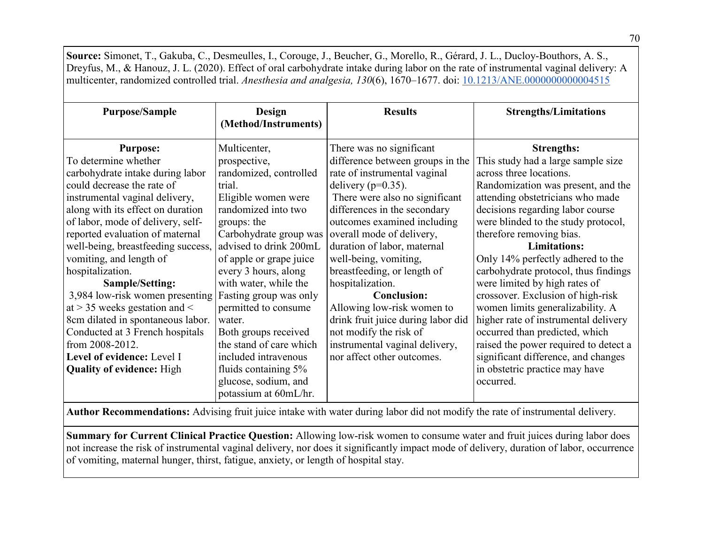| Source: Simonet, T., Gakuba, C., Desmeulles, I., Corouge, J., Beucher, G., Morello, R., Gérard, J. L., Ducloy-Bouthors, A. S., |                         |                                    |                                                                                                                                      |
|--------------------------------------------------------------------------------------------------------------------------------|-------------------------|------------------------------------|--------------------------------------------------------------------------------------------------------------------------------------|
|                                                                                                                                |                         |                                    | Dreyfus, M., & Hanouz, J. L. (2020). Effect of oral carbohydrate intake during labor on the rate of instrumental vaginal delivery: A |
| multicenter, randomized controlled trial. Anesthesia and analgesia, 130(6), 1670–1677. doi: 10.1213/ANE.000000000004515        |                         |                                    |                                                                                                                                      |
|                                                                                                                                |                         |                                    |                                                                                                                                      |
| <b>Purpose/Sample</b>                                                                                                          | Design                  | <b>Results</b>                     | <b>Strengths/Limitations</b>                                                                                                         |
|                                                                                                                                | (Method/Instruments)    |                                    |                                                                                                                                      |
|                                                                                                                                |                         |                                    |                                                                                                                                      |
| <b>Purpose:</b>                                                                                                                | Multicenter,            | There was no significant           | <b>Strengths:</b>                                                                                                                    |
| To determine whether                                                                                                           | prospective,            | difference between groups in the   | This study had a large sample size                                                                                                   |
| carbohydrate intake during labor                                                                                               | randomized, controlled  | rate of instrumental vaginal       | across three locations.                                                                                                              |
| could decrease the rate of                                                                                                     | trial.                  | delivery ( $p=0.35$ ).             | Randomization was present, and the                                                                                                   |
| instrumental vaginal delivery,                                                                                                 | Eligible women were     | There were also no significant     | attending obstetricians who made                                                                                                     |
| along with its effect on duration                                                                                              | randomized into two     | differences in the secondary       | decisions regarding labor course                                                                                                     |
| of labor, mode of delivery, self-                                                                                              | groups: the             | outcomes examined including        | were blinded to the study protocol,                                                                                                  |
| reported evaluation of maternal                                                                                                | Carbohydrate group was  | overall mode of delivery,          | therefore removing bias.                                                                                                             |
| well-being, breastfeeding success,                                                                                             | advised to drink 200mL  | duration of labor, maternal        | <b>Limitations:</b>                                                                                                                  |
| vomiting, and length of                                                                                                        | of apple or grape juice | well-being, vomiting,              | Only 14% perfectly adhered to the                                                                                                    |
| hospitalization.                                                                                                               | every 3 hours, along    | breastfeeding, or length of        | carbohydrate protocol, thus findings                                                                                                 |
| Sample/Setting:                                                                                                                | with water, while the   | hospitalization.                   | were limited by high rates of                                                                                                        |
| 3,984 low-risk women presenting                                                                                                | Fasting group was only  | <b>Conclusion:</b>                 | crossover. Exclusion of high-risk                                                                                                    |
| at $>$ 35 weeks gestation and $<$                                                                                              | permitted to consume    | Allowing low-risk women to         | women limits generalizability. A                                                                                                     |
| 8cm dilated in spontaneous labor.                                                                                              | water.                  | drink fruit juice during labor did | higher rate of instrumental delivery                                                                                                 |
| Conducted at 3 French hospitals                                                                                                | Both groups received    | not modify the risk of             | occurred than predicted, which                                                                                                       |
| from 2008-2012.                                                                                                                | the stand of care which | instrumental vaginal delivery,     | raised the power required to detect a                                                                                                |
| Level of evidence: Level I                                                                                                     | included intravenous    | nor affect other outcomes.         | significant difference, and changes                                                                                                  |
| <b>Quality of evidence:</b> High                                                                                               | fluids containing 5%    |                                    | in obstetric practice may have                                                                                                       |
|                                                                                                                                | glucose, sodium, and    |                                    | occurred.                                                                                                                            |
|                                                                                                                                | potassium at 60mL/hr.   |                                    |                                                                                                                                      |

**Author Recommendations:** Advising fruit juice intake with water during labor did not modify the rate of instrumental delivery.

**Summary for Current Clinical Practice Question:** Allowing low-risk women to consume water and fruit juices during labor does not increase the risk of instrumental vaginal delivery, nor does it significantly impact mode of delivery, duration of labor, occurrence of vomiting, maternal hunger, thirst, fatigue, anxiety, or length of hospital stay.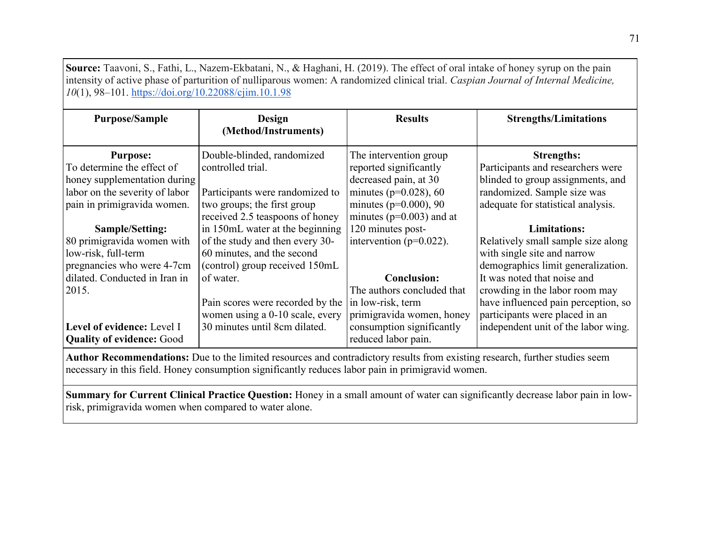| <b>Purpose/Sample</b>                                          | <b>Design</b><br>(Method/Instruments)                                                                                                                                                                                            | <b>Results</b>                                   | <b>Strengths/Limitations</b>        |
|----------------------------------------------------------------|----------------------------------------------------------------------------------------------------------------------------------------------------------------------------------------------------------------------------------|--------------------------------------------------|-------------------------------------|
| <b>Purpose:</b>                                                | Double-blinded, randomized                                                                                                                                                                                                       | The intervention group                           | <b>Strengths:</b>                   |
| To determine the effect of                                     | controlled trial.                                                                                                                                                                                                                | reported significantly                           | Participants and researchers were   |
| honey supplementation during                                   |                                                                                                                                                                                                                                  | decreased pain, at 30                            | blinded to group assignments, and   |
| labor on the severity of labor                                 | Participants were randomized to                                                                                                                                                                                                  | minutes ( $p=0.028$ ), 60                        | randomized. Sample size was         |
| pain in primigravida women.                                    | two groups; the first group                                                                                                                                                                                                      | minutes ( $p=0.000$ ), 90                        | adequate for statistical analysis.  |
|                                                                | received 2.5 teaspoons of honey                                                                                                                                                                                                  | minutes ( $p=0.003$ ) and at                     |                                     |
| Sample/Setting:                                                | in 150mL water at the beginning                                                                                                                                                                                                  | 120 minutes post-                                | <b>Limitations:</b>                 |
| 80 primigravida women with                                     | of the study and then every 30-                                                                                                                                                                                                  | intervention ( $p=0.022$ ).                      | Relatively small sample size along  |
| low-risk, full-term                                            | 60 minutes, and the second                                                                                                                                                                                                       |                                                  | with single site and narrow         |
| pregnancies who were 4-7cm                                     | (control) group received 150mL                                                                                                                                                                                                   |                                                  | demographics limit generalization.  |
| dilated. Conducted in Iran in                                  | of water.                                                                                                                                                                                                                        | <b>Conclusion:</b>                               | It was noted that noise and         |
| 2015.                                                          |                                                                                                                                                                                                                                  | The authors concluded that                       | crowding in the labor room may      |
|                                                                | Pain scores were recorded by the                                                                                                                                                                                                 | in low-risk, term                                | have influenced pain perception, so |
|                                                                | women using a 0-10 scale, every                                                                                                                                                                                                  | primigravida women, honey                        | participants were placed in an      |
| Level of evidence: Level I<br><b>Quality of evidence: Good</b> | 30 minutes until 8cm dilated.                                                                                                                                                                                                    | consumption significantly<br>reduced labor pain. | independent unit of the labor wing. |
|                                                                | Author Recommendations: Due to the limited resources and contradictory results from existing research, further studies seem<br>necessary in this field. Honey consumption significantly reduces labor pain in primigravid women. |                                                  |                                     |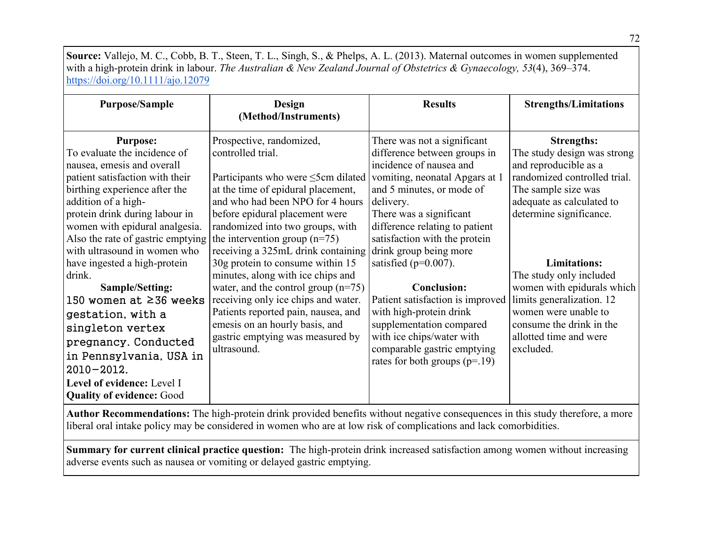**Source:** Vallejo, M. C., Cobb, B. T., Steen, T. L., Singh, S., & Phelps, A. L. (2013). Maternal outcomes in women supplemented with a high-protein drink in labour. *The Australian & New Zealand Journal of Obstetrics & Gynaecology, 53*(4), 369–374. <https://doi.org/10.1111/ajo.12079>

| <b>Purpose/Sample</b>                                                                                                                                                                                                                                                                                                                                                                                                                                                                                                                                                                    | Design<br>(Method/Instruments)                                                                                                                                                                                                                                                                                                                                                                                                                                                                                                                                                                          | <b>Results</b>                                                                                                                                                                                                                                                                                                                                                                                                                                                                                                                        | <b>Strengths/Limitations</b>                                                                                                                                                                                                                                                                                                                                                                     |  |
|------------------------------------------------------------------------------------------------------------------------------------------------------------------------------------------------------------------------------------------------------------------------------------------------------------------------------------------------------------------------------------------------------------------------------------------------------------------------------------------------------------------------------------------------------------------------------------------|---------------------------------------------------------------------------------------------------------------------------------------------------------------------------------------------------------------------------------------------------------------------------------------------------------------------------------------------------------------------------------------------------------------------------------------------------------------------------------------------------------------------------------------------------------------------------------------------------------|---------------------------------------------------------------------------------------------------------------------------------------------------------------------------------------------------------------------------------------------------------------------------------------------------------------------------------------------------------------------------------------------------------------------------------------------------------------------------------------------------------------------------------------|--------------------------------------------------------------------------------------------------------------------------------------------------------------------------------------------------------------------------------------------------------------------------------------------------------------------------------------------------------------------------------------------------|--|
| <b>Purpose:</b><br>To evaluate the incidence of<br>nausea, emesis and overall<br>patient satisfaction with their<br>birthing experience after the<br>addition of a high-<br>protein drink during labour in<br>women with epidural analgesia.<br>Also the rate of gastric emptying<br>with ultrasound in women who<br>have ingested a high-protein<br>drink.<br>Sample/Setting:<br>150 women at ≥36 weeks<br>gestation, with a<br>singleton vertex<br>pregnancy. Conducted<br>in Pennsylvania, USA in<br>$2010 - 2012.$<br>Level of evidence: Level I<br><b>Quality of evidence: Good</b> | Prospective, randomized,<br>controlled trial.<br>Participants who were $\leq$ 5cm dilated<br>at the time of epidural placement,<br>and who had been NPO for 4 hours<br>before epidural placement were<br>randomized into two groups, with<br>the intervention group $(n=75)$<br>receiving a 325mL drink containing<br>30g protein to consume within 15<br>minutes, along with ice chips and<br>water, and the control group $(n=75)$<br>receiving only ice chips and water.<br>Patients reported pain, nausea, and<br>emesis on an hourly basis, and<br>gastric emptying was measured by<br>ultrasound. | There was not a significant<br>difference between groups in<br>incidence of nausea and<br>vomiting, neonatal Apgars at 1<br>and 5 minutes, or mode of<br>delivery.<br>There was a significant<br>difference relating to patient<br>satisfaction with the protein<br>drink group being more<br>satisfied ( $p=0.007$ ).<br><b>Conclusion:</b><br>Patient satisfaction is improved<br>with high-protein drink<br>supplementation compared<br>with ice chips/water with<br>comparable gastric emptying<br>rates for both groups $(p=19)$ | <b>Strengths:</b><br>The study design was strong<br>and reproducible as a<br>randomized controlled trial.<br>The sample size was<br>adequate as calculated to<br>determine significance.<br><b>Limitations:</b><br>The study only included<br>women with epidurals which<br>limits generalization. 12<br>women were unable to<br>consume the drink in the<br>allotted time and were<br>excluded. |  |
| Author Recommendations: The high-protein drink provided benefits without negative consequences in this study therefore, a more                                                                                                                                                                                                                                                                                                                                                                                                                                                           |                                                                                                                                                                                                                                                                                                                                                                                                                                                                                                                                                                                                         |                                                                                                                                                                                                                                                                                                                                                                                                                                                                                                                                       |                                                                                                                                                                                                                                                                                                                                                                                                  |  |

liberal oral intake policy may be considered in women who are at low risk of complications and lack comorbidities.

**Summary for current clinical practice question:** The high-protein drink increased satisfaction among women without increasing adverse events such as nausea or vomiting or delayed gastric emptying.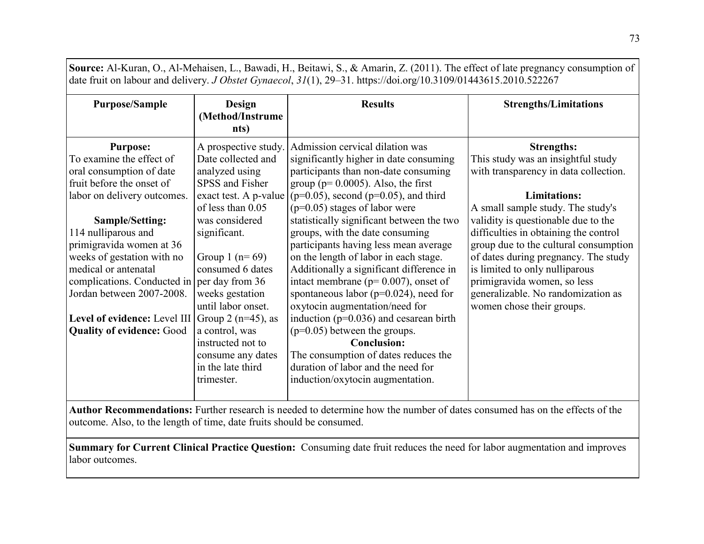**Source:** Al-Kuran, O., Al-Mehaisen, L., Bawadi, H., Beitawi, S., & Amarin, Z. (2011). The effect of late pregnancy consumption of date fruit on labour and delivery. *J Obstet Gynaecol*, *31*(1), 29–31. https://doi.org/10.3109/01443615.2010.522267

| <b>Purpose/Sample</b>                         | Design<br>(Method/Instrume<br>nts) | <b>Results</b>                             | <b>Strengths/Limitations</b>          |
|-----------------------------------------------|------------------------------------|--------------------------------------------|---------------------------------------|
| <b>Purpose:</b>                               | A prospective study.               | Admission cervical dilation was            | <b>Strengths:</b>                     |
| To examine the effect of                      | Date collected and                 | significantly higher in date consuming     | This study was an insightful study    |
| oral consumption of date                      | analyzed using                     | participants than non-date consuming       | with transparency in data collection. |
| fruit before the onset of                     | SPSS and Fisher                    | group ( $p=0.0005$ ). Also, the first      |                                       |
| labor on delivery outcomes.                   | exact test. A p-value              | $(p=0.05)$ , second $(p=0.05)$ , and third | <b>Limitations:</b>                   |
|                                               | of less than 0.05                  | $(p=0.05)$ stages of labor were            | A small sample study. The study's     |
| Sample/Setting:                               | was considered                     | statistically significant between the two  | validity is questionable due to the   |
| 114 nulliparous and                           | significant.                       | groups, with the date consuming            | difficulties in obtaining the control |
| primigravida women at 36                      |                                    | participants having less mean average      | group due to the cultural consumption |
| weeks of gestation with no                    | Group 1 ( $n = 69$ )               | on the length of labor in each stage.      | of dates during pregnancy. The study  |
| medical or antenatal                          | consumed 6 dates                   | Additionally a significant difference in   | is limited to only nulliparous        |
| complications. Conducted in $per$ day from 36 |                                    | intact membrane ( $p=0.007$ ), onset of    | primigravida women, so less           |
| Jordan between 2007-2008.                     | weeks gestation                    | spontaneous labor ( $p=0.024$ ), need for  | generalizable. No randomization as    |
|                                               | until labor onset.                 | oxytocin augmentation/need for             | women chose their groups.             |
| Level of evidence: Level III                  | Group 2 ( $n=45$ ), as             | induction ( $p=0.036$ ) and cesarean birth |                                       |
| <b>Quality of evidence: Good</b>              | a control, was                     | $(p=0.05)$ between the groups.             |                                       |
|                                               | instructed not to                  | <b>Conclusion:</b>                         |                                       |
|                                               | consume any dates                  | The consumption of dates reduces the       |                                       |
|                                               | in the late third                  | duration of labor and the need for         |                                       |
|                                               | trimester.                         | induction/oxytocin augmentation.           |                                       |
|                                               |                                    |                                            |                                       |

**Author Recommendations:** Further research is needed to determine how the number of dates consumed has on the effects of the outcome. Also, to the length of time, date fruits should be consumed.

**Summary for Current Clinical Practice Question:** Consuming date fruit reduces the need for labor augmentation and improves labor outcomes.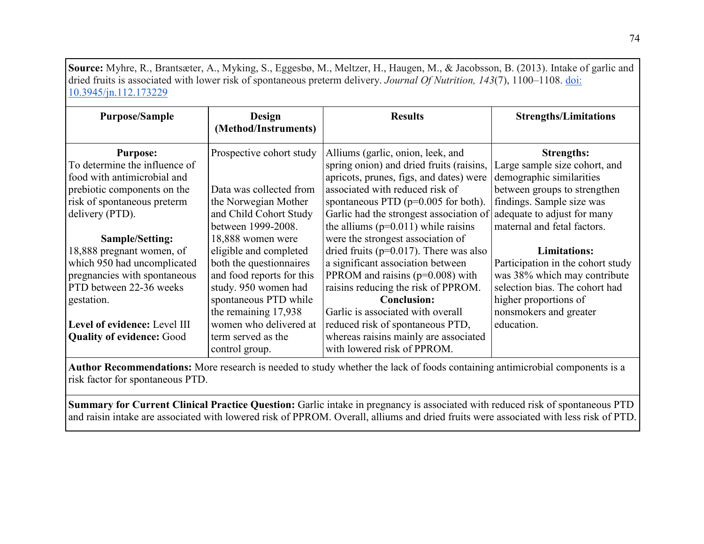**Source:** Myhre, R., Brantsæter, A., Myking, S., Eggesbø, M., Meltzer, H., Haugen, M., & Jacobsson, B. (2013). Intake of garlic and dried fruits is associated with lower risk of spontaneous preterm delivery. *Journal Of Nutrition, 143*(7), 1100–1108[.](https://doi.org/10.3945/jn.112.173229) [doi:](https://doi.org/10.3945/jn.112.173229)  [10.3945/jn.112.173229](https://doi.org/10.3945/jn.112.173229)

| <b>Purpose/Sample</b>                                                                                                                                                                | Design<br>(Method/Instruments)                                                                                                                                                                         | <b>Results</b>                                                                                                                                                                                                                                                                                     | <b>Strengths/Limitations</b>                                                                                                                                                                              |
|--------------------------------------------------------------------------------------------------------------------------------------------------------------------------------------|--------------------------------------------------------------------------------------------------------------------------------------------------------------------------------------------------------|----------------------------------------------------------------------------------------------------------------------------------------------------------------------------------------------------------------------------------------------------------------------------------------------------|-----------------------------------------------------------------------------------------------------------------------------------------------------------------------------------------------------------|
| <b>Purpose:</b><br>To determine the influence of<br>food with antimicrobial and<br>prebiotic components on the<br>risk of spontaneous preterm<br>delivery (PTD).                     | Prospective cohort study<br>Data was collected from<br>the Norwegian Mother<br>and Child Cohort Study<br>between 1999-2008.                                                                            | Alliums (garlic, onion, leek, and<br>spring onion) and dried fruits (raisins,<br>apricots, prunes, figs, and dates) were<br>associated with reduced risk of<br>spontaneous PTD ( $p=0.005$ for both).<br>Garlic had the strongest association of<br>the alliums ( $p=0.011$ ) while raisins        | <b>Strengths:</b><br>Large sample size cohort, and<br>demographic similarities<br>between groups to strengthen<br>findings. Sample size was<br>adequate to adjust for many<br>maternal and fetal factors. |
| Sample/Setting:<br>18,888 pregnant women, of<br>which 950 had uncomplicated<br>pregnancies with spontaneous<br>PTD between 22-36 weeks<br>gestation.<br>Level of evidence: Level III | 18,888 women were<br>eligible and completed<br>both the questionnaires<br>and food reports for this<br>study. 950 women had<br>spontaneous PTD while<br>the remaining 17,938<br>women who delivered at | were the strongest association of<br>dried fruits ( $p=0.017$ ). There was also<br>a significant association between<br>PPROM and raisins ( $p=0.008$ ) with<br>raisins reducing the risk of PPROM.<br><b>Conclusion:</b><br>Garlic is associated with overall<br>reduced risk of spontaneous PTD, | <b>Limitations:</b><br>Participation in the cohort study<br>was 38% which may contribute<br>selection bias. The cohort had<br>higher proportions of<br>nonsmokers and greater<br>education.               |
| <b>Quality of evidence: Good</b>                                                                                                                                                     | term served as the<br>control group.                                                                                                                                                                   | whereas raisins mainly are associated<br>with lowered risk of PPROM.                                                                                                                                                                                                                               |                                                                                                                                                                                                           |

**Author Recommendations:** More research is needed to study whether the lack of foods containing antimicrobial components is a risk factor for spontaneous PTD.

**Summary for Current Clinical Practice Question:** Garlic intake in pregnancy is associated with reduced risk of spontaneous PTD and raisin intake are associated with lowered risk of PPROM. Overall, alliums and dried fruits were associated with less risk of PTD.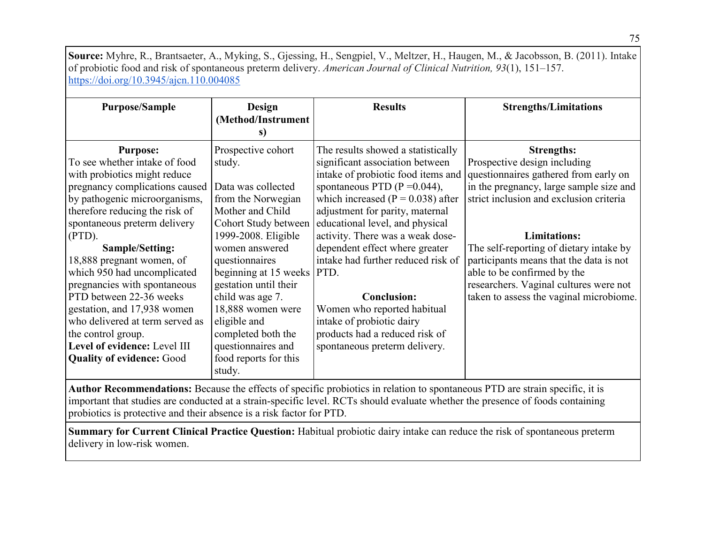**Source:** Myhre, R., Brantsaeter, A., Myking, S., Gjessing, H., Sengpiel, V., Meltzer, H., Haugen, M., & Jacobsson, B. (2011). Intake of probiotic food and risk of spontaneous preterm delivery. *American Journal of Clinical Nutrition, 93*(1), 151–157[.](https://doi.org/10.3945/ajcn.110.004085) <https://doi.org/10.3945/ajcn.110.004085>

| <b>Purpose/Sample</b>                                                                                                                                                                                                                                                                                                                                                                                                                                                    | Design<br>(Method/Instrument                                                                                                                                                                                                                                                                                          | <b>Results</b>                                                                                                                                                                                                                                                                                                                                                                                                                                                                                 | <b>Strengths/Limitations</b>                                                                                                                                                                                                                                                                                                                                                                                      |
|--------------------------------------------------------------------------------------------------------------------------------------------------------------------------------------------------------------------------------------------------------------------------------------------------------------------------------------------------------------------------------------------------------------------------------------------------------------------------|-----------------------------------------------------------------------------------------------------------------------------------------------------------------------------------------------------------------------------------------------------------------------------------------------------------------------|------------------------------------------------------------------------------------------------------------------------------------------------------------------------------------------------------------------------------------------------------------------------------------------------------------------------------------------------------------------------------------------------------------------------------------------------------------------------------------------------|-------------------------------------------------------------------------------------------------------------------------------------------------------------------------------------------------------------------------------------------------------------------------------------------------------------------------------------------------------------------------------------------------------------------|
|                                                                                                                                                                                                                                                                                                                                                                                                                                                                          | S)                                                                                                                                                                                                                                                                                                                    |                                                                                                                                                                                                                                                                                                                                                                                                                                                                                                |                                                                                                                                                                                                                                                                                                                                                                                                                   |
| <b>Purpose:</b><br>To see whether intake of food<br>with probiotics might reduce<br>pregnancy complications caused<br>by pathogenic microorganisms,<br>therefore reducing the risk of<br>spontaneous preterm delivery<br>(PTD).<br><b>Sample/Setting:</b><br>18,888 pregnant women, of<br>which 950 had uncomplicated<br>pregnancies with spontaneous<br>PTD between 22-36 weeks<br>gestation, and 17,938 women<br>who delivered at term served as<br>the control group. | Prospective cohort<br>study.<br>Data was collected<br>from the Norwegian<br>Mother and Child<br>Cohort Study between<br>1999-2008. Eligible<br>women answered<br>questionnaires<br>beginning at 15 weeks PTD.<br>gestation until their<br>child was age 7.<br>18,888 women were<br>eligible and<br>completed both the | The results showed a statistically<br>significant association between<br>intake of probiotic food items and<br>spontaneous PTD ( $P = 0.044$ ),<br>which increased ( $P = 0.038$ ) after<br>adjustment for parity, maternal<br>educational level, and physical<br>activity. There was a weak dose-<br>dependent effect where greater<br>intake had further reduced risk of<br><b>Conclusion:</b><br>Women who reported habitual<br>intake of probiotic dairy<br>products had a reduced risk of | <b>Strengths:</b><br>Prospective design including<br>questionnaires gathered from early on<br>in the pregnancy, large sample size and<br>strict inclusion and exclusion criteria<br><b>Limitations:</b><br>The self-reporting of dietary intake by<br>participants means that the data is not<br>able to be confirmed by the<br>researchers. Vaginal cultures were not<br>taken to assess the vaginal microbiome. |
| Level of evidence: Level III<br><b>Quality of evidence: Good</b>                                                                                                                                                                                                                                                                                                                                                                                                         | questionnaires and<br>food reports for this                                                                                                                                                                                                                                                                           | spontaneous preterm delivery.                                                                                                                                                                                                                                                                                                                                                                                                                                                                  |                                                                                                                                                                                                                                                                                                                                                                                                                   |
|                                                                                                                                                                                                                                                                                                                                                                                                                                                                          | study.                                                                                                                                                                                                                                                                                                                |                                                                                                                                                                                                                                                                                                                                                                                                                                                                                                |                                                                                                                                                                                                                                                                                                                                                                                                                   |

**Author Recommendations:** Because the effects of specific probiotics in relation to spontaneous PTD are strain specific, it is important that studies are conducted at a strain-specific level. RCTs should evaluate whether the presence of foods containing probiotics is protective and their absence is a risk factor for PTD.

**Summary for Current Clinical Practice Question:** Habitual probiotic dairy intake can reduce the risk of spontaneous preterm delivery in low-risk women.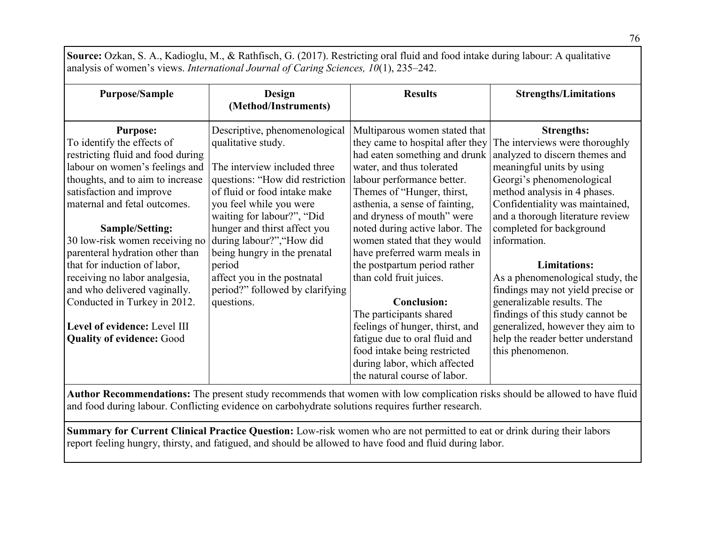**Source:** Ozkan, S. A., Kadioglu, M., & Rathfisch, G. (2017). Restricting oral fluid and food intake during labour: A qualitative analysis of women's views. *International Journal of Caring Sciences, 10*(1), 235–242.

| <b>Purpose/Sample</b>                                                                                                                                                                                                | Design<br>(Method/Instruments)                                                                                                                                                    | <b>Results</b>                                                                                                                                                                                                                               | <b>Strengths/Limitations</b>                                                                                                                                                                                                         |
|----------------------------------------------------------------------------------------------------------------------------------------------------------------------------------------------------------------------|-----------------------------------------------------------------------------------------------------------------------------------------------------------------------------------|----------------------------------------------------------------------------------------------------------------------------------------------------------------------------------------------------------------------------------------------|--------------------------------------------------------------------------------------------------------------------------------------------------------------------------------------------------------------------------------------|
| <b>Purpose:</b><br>To identify the effects of<br>restricting fluid and food during<br>labour on women's feelings and<br>thoughts, and to aim to increase<br>satisfaction and improve<br>maternal and fetal outcomes. | Descriptive, phenomenological<br>qualitative study.<br>The interview included three<br>questions: "How did restriction<br>of fluid or food intake make<br>you feel while you were | Multiparous women stated that<br>they came to hospital after they<br>had eaten something and drunk<br>water, and thus tolerated<br>labour performance better.<br>Themes of "Hunger, thirst,<br>asthenia, a sense of fainting,                | <b>Strengths:</b><br>The interviews were thoroughly<br>analyzed to discern themes and<br>meaningful units by using<br>Georgi's phenomenological<br>method analysis in 4 phases.<br>Confidentiality was maintained,                   |
| Sample/Setting:<br>30 low-risk women receiving no<br>parenteral hydration other than<br>that for induction of labor,                                                                                                 | waiting for labour?", "Did<br>hunger and thirst affect you<br>during labour?","How did<br>being hungry in the prenatal<br>period                                                  | and dryness of mouth" were<br>noted during active labor. The<br>women stated that they would<br>have preferred warm meals in<br>the postpartum period rather                                                                                 | and a thorough literature review<br>completed for background<br>information.<br><b>Limitations:</b>                                                                                                                                  |
| receiving no labor analgesia,<br>and who delivered vaginally.<br>Conducted in Turkey in 2012.<br>Level of evidence: Level III<br><b>Quality of evidence: Good</b>                                                    | affect you in the postnatal<br>period?" followed by clarifying<br>questions.                                                                                                      | than cold fruit juices.<br><b>Conclusion:</b><br>The participants shared<br>feelings of hunger, thirst, and<br>fatigue due to oral fluid and<br>food intake being restricted<br>during labor, which affected<br>the natural course of labor. | As a phenomenological study, the<br>findings may not yield precise or<br>generalizable results. The<br>findings of this study cannot be<br>generalized, however they aim to<br>help the reader better understand<br>this phenomenon. |

**Author Recommendations:** The present study recommends that women with low complication risks should be allowed to have fluid and food during labour. Conflicting evidence on carbohydrate solutions requires further research.

**Summary for Current Clinical Practice Question:** Low-risk women who are not permitted to eat or drink during their labors report feeling hungry, thirsty, and fatigued, and should be allowed to have food and fluid during labor.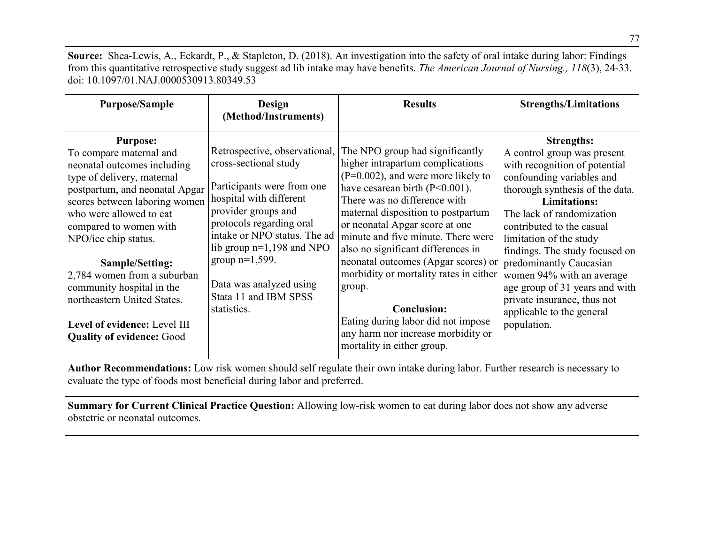**Source:** Shea-Lewis, A., Eckardt, P., & Stapleton, D. (2018). An investigation into the safety of oral intake during labor: Findings from this quantitative retrospective study suggest ad lib intake may have benefits. *The American Journal of Nursing., 118*(3), 24-33. doi: 10.1097/01.NAJ.0000530913.80349.53

| <b>Purpose/Sample</b>                                                                                                                                                                                                                                                                                                                                                                                                                     | <b>Design</b><br>(Method/Instruments)                                                                                                                                                                                                                                                    | <b>Results</b>                                                                                                                                                                                                                                                                                                                                                                                                                                                                                                                                                                                                         | <b>Strengths/Limitations</b>                                                                                                                                                                                                                                                                                                                                                                                                              |
|-------------------------------------------------------------------------------------------------------------------------------------------------------------------------------------------------------------------------------------------------------------------------------------------------------------------------------------------------------------------------------------------------------------------------------------------|------------------------------------------------------------------------------------------------------------------------------------------------------------------------------------------------------------------------------------------------------------------------------------------|------------------------------------------------------------------------------------------------------------------------------------------------------------------------------------------------------------------------------------------------------------------------------------------------------------------------------------------------------------------------------------------------------------------------------------------------------------------------------------------------------------------------------------------------------------------------------------------------------------------------|-------------------------------------------------------------------------------------------------------------------------------------------------------------------------------------------------------------------------------------------------------------------------------------------------------------------------------------------------------------------------------------------------------------------------------------------|
| <b>Purpose:</b><br>To compare maternal and<br>neonatal outcomes including<br>type of delivery, maternal<br>postpartum, and neonatal Apgar<br>scores between laboring women<br>who were allowed to eat<br>compared to women with<br>NPO/ice chip status.<br>Sample/Setting:<br>2,784 women from a suburban<br>community hospital in the<br>northeastern United States.<br>Level of evidence: Level III<br><b>Quality of evidence: Good</b> | cross-sectional study<br>Participants were from one<br>hospital with different<br>provider groups and<br>protocols regarding oral<br>intake or NPO status. The ad<br>lib group $n=1,198$ and NPO<br>group $n=1,599$ .<br>Data was analyzed using<br>Stata 11 and IBM SPSS<br>statistics. | Retrospective, observational, The NPO group had significantly<br>higher intrapartum complications<br>$(P=0.002)$ , and were more likely to<br>have cesarean birth $(P<0.001)$ .<br>There was no difference with<br>maternal disposition to postpartum<br>or neonatal Apgar score at one<br>minute and five minute. There were<br>also no significant differences in<br>neonatal outcomes (Apgar scores) or predominantly Caucasian<br>morbidity or mortality rates in either<br>group.<br><b>Conclusion:</b><br>Eating during labor did not impose<br>any harm nor increase morbidity or<br>mortality in either group. | <b>Strengths:</b><br>A control group was present<br>with recognition of potential<br>confounding variables and<br>thorough synthesis of the data.<br><b>Limitations:</b><br>The lack of randomization<br>contributed to the casual<br>limitation of the study<br>findings. The study focused on<br>women 94% with an average<br>age group of 31 years and with<br>private insurance, thus not<br>applicable to the general<br>population. |

**Author Recommendations:** Low risk women should self regulate their own intake during labor. Further research is necessary to evaluate the type of foods most beneficial during labor and preferred.

**Summary for Current Clinical Practice Question:** Allowing low-risk women to eat during labor does not show any adverse obstetric or neonatal outcomes.